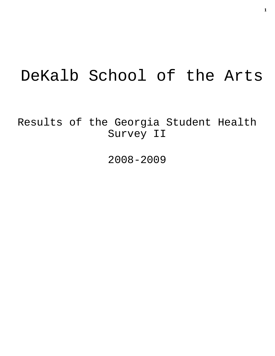# DeKalb School of the Arts

Results of the Georgia Student Health Survey II

2008-2009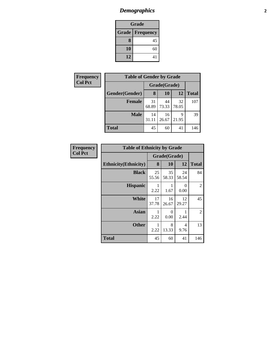# *Demographics* **2**

| Grade                    |    |  |  |  |
|--------------------------|----|--|--|--|
| <b>Grade   Frequency</b> |    |  |  |  |
| 8                        | 45 |  |  |  |
| 10                       | 60 |  |  |  |
| 12                       | 41 |  |  |  |

| Frequency      | <b>Table of Gender by Grade</b> |              |             |             |              |  |  |
|----------------|---------------------------------|--------------|-------------|-------------|--------------|--|--|
| <b>Col Pct</b> |                                 | Grade(Grade) |             |             |              |  |  |
|                | Gender(Gender)                  | 8            | <b>10</b>   | <b>12</b>   | <b>Total</b> |  |  |
|                | <b>Female</b>                   | 31<br>68.89  | 44<br>73.33 | 32<br>78.05 | 107          |  |  |
|                | <b>Male</b>                     | 14<br>31.11  | 16<br>26.67 | 9<br>21.95  | 39           |  |  |
|                | <b>Total</b>                    | 45           | 60          | 41          | 146          |  |  |

| Frequency      | <b>Table of Ethnicity by Grade</b> |              |                  |                  |              |
|----------------|------------------------------------|--------------|------------------|------------------|--------------|
| <b>Col Pct</b> |                                    | Grade(Grade) |                  |                  |              |
|                | <b>Ethnicity</b> (Ethnicity)       | 8            | 10               | 12               | <b>Total</b> |
|                | <b>Black</b>                       | 25<br>55.56  | 35<br>58.33      | 24<br>58.54      | 84           |
|                | <b>Hispanic</b>                    | 1<br>2.22    | 1<br>1.67        | $\theta$<br>0.00 | 2            |
|                | White                              | 17<br>37.78  | 16<br>26.67      | 12<br>29.27      | 45           |
|                | <b>Asian</b>                       | 2.22         | $\theta$<br>0.00 | 2.44             | 2            |
|                | <b>Other</b>                       | 1<br>2.22    | 8<br>13.33       | 4<br>9.76        | 13           |
|                | <b>Total</b>                       | 45           | 60               | 41               | 146          |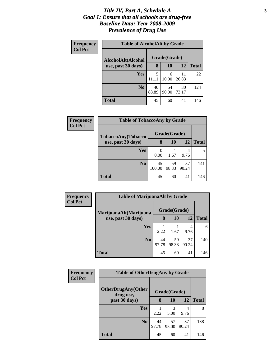### *Title IV, Part A, Schedule A* **3** *Goal 1: Ensure that all schools are drug-free Baseline Data: Year 2008-2009 Prevalence of Drug Use*

| Frequency<br><b>Col Pct</b> | <b>Table of AlcoholAlt by Grade</b> |              |             |             |              |  |
|-----------------------------|-------------------------------------|--------------|-------------|-------------|--------------|--|
|                             | AlcoholAlt(Alcohol                  | Grade(Grade) |             |             |              |  |
|                             | use, past 30 days)                  | 8            | 10          | 12          | <b>Total</b> |  |
|                             | Yes                                 | 5<br>11.11   | 6<br>10.00  | 11<br>26.83 | 22           |  |
|                             | N <sub>0</sub>                      | 40<br>88.89  | 54<br>90.00 | 30<br>73.17 | 124          |  |
|                             | Total                               | 45           | 60          | 41          | 146          |  |

| Frequency<br><b>Col Pct</b> | <b>Table of TobaccoAny by Grade</b> |        |              |       |              |
|-----------------------------|-------------------------------------|--------|--------------|-------|--------------|
|                             | TobaccoAny(Tobacco                  |        | Grade(Grade) |       |              |
|                             | use, past 30 days)                  | 8      | 10           | 12    | <b>Total</b> |
|                             | Yes                                 |        |              | 4     |              |
|                             |                                     | 0.00   | 1.67         | 9.76  |              |
|                             | N <sub>0</sub>                      | 45     | 59           | 37    | 141          |
|                             |                                     | 100.00 | 98.33        | 90.24 |              |
|                             | <b>Total</b>                        | 45     | 60           | 41    | 146          |

| Frequency<br><b>Col Pct</b> | <b>Table of MarijuanaAlt by Grade</b> |             |              |             |              |
|-----------------------------|---------------------------------------|-------------|--------------|-------------|--------------|
|                             | MarijuanaAlt(Marijuana                |             | Grade(Grade) |             |              |
|                             | use, past 30 days)                    | 8           | 10           | 12          | <b>Total</b> |
|                             | Yes                                   | 2.22        | 1.67         | 4<br>9.76   | 6            |
|                             | N <sub>0</sub>                        | 44<br>97.78 | 59<br>98.33  | 37<br>90.24 | 140          |
|                             | <b>Total</b>                          | 45          | 60           | 41          | 146          |

| Frequency<br><b>Col Pct</b> | <b>Table of OtherDrugAny by Grade</b>  |             |              |             |              |
|-----------------------------|----------------------------------------|-------------|--------------|-------------|--------------|
|                             | <b>OtherDrugAny(Other</b><br>drug use, |             | Grade(Grade) |             |              |
|                             | past 30 days)                          | 8           | 10           | <b>12</b>   | <b>Total</b> |
|                             | Yes                                    | 2.22        | 3<br>5.00    | 4<br>9.76   | 8            |
|                             | N <sub>0</sub>                         | 44<br>97.78 | 57<br>95.00  | 37<br>90.24 | 138          |
|                             | <b>Total</b>                           | 45          | 60           | 41          | 146          |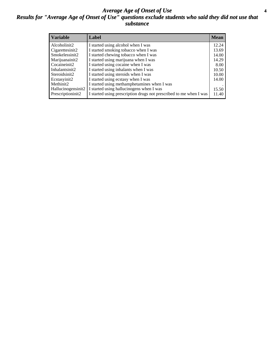### *Average Age of Onset of Use* **4** *Results for "Average Age of Onset of Use" questions exclude students who said they did not use that substance*

| <b>Variable</b>    | Label                                                              | <b>Mean</b> |
|--------------------|--------------------------------------------------------------------|-------------|
| Alcoholinit2       | I started using alcohol when I was                                 | 12.24       |
| Cigarettesinit2    | I started smoking tobacco when I was                               | 13.69       |
| Smokelessinit2     | I started chewing tobacco when I was                               | 14.00       |
| Marijuanainit2     | I started using marijuana when I was                               | 14.29       |
| Cocaineinit2       | I started using cocaine when I was                                 | 8.00        |
| Inhalantsinit2     | I started using inhalants when I was                               | 10.50       |
| Steroidsinit2      | I started using steroids when I was                                | 10.00       |
| Ecstasyinit2       | I started using ecstasy when I was                                 | 14.00       |
| Methinit2          | I started using methamphetamines when I was                        |             |
| Hallucinogensinit2 | I started using hallucinogens when I was                           | 15.50       |
| Prescriptioninit2  | I started using prescription drugs not prescribed to me when I was | 11.40       |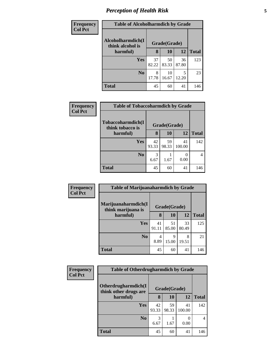# *Perception of Health Risk* **5**

| <b>Frequency</b> | <b>Table of Alcoholharmdich by Grade</b> |              |             |             |              |
|------------------|------------------------------------------|--------------|-------------|-------------|--------------|
| <b>Col Pct</b>   | Alcoholharmdich(I<br>think alcohol is    | Grade(Grade) |             |             |              |
|                  | harmful)                                 | 8            | 10          | 12          | <b>Total</b> |
|                  | <b>Yes</b>                               | 37<br>82.22  | 50<br>83.33 | 36<br>87.80 | 123          |
|                  | N <sub>0</sub>                           | 8<br>17.78   | 10<br>16.67 | 5<br>12.20  | 23           |
|                  | <b>Total</b>                             | 45           | 60          | 41          | 146          |

| <b>Frequency</b> | <b>Table of Tobaccoharmdich by Grade</b> |              |             |                  |              |
|------------------|------------------------------------------|--------------|-------------|------------------|--------------|
| <b>Col Pct</b>   | Tobaccoharmdich(I<br>think tobacco is    | Grade(Grade) |             |                  |              |
|                  | harmful)                                 | 8            | 10          | 12               | <b>Total</b> |
|                  | Yes                                      | 42<br>93.33  | 59<br>98.33 | 41<br>100.00     | 142          |
|                  | N <sub>0</sub>                           | 3<br>6.67    | 1.67        | $\theta$<br>0.00 |              |
|                  | <b>Total</b>                             | 45           | 60          | 41               | 146          |

| Frequency      | <b>Table of Marijuanaharmdich by Grade</b> |              |             |             |              |
|----------------|--------------------------------------------|--------------|-------------|-------------|--------------|
| <b>Col Pct</b> | Marijuanaharmdich(I<br>think marijuana is  | Grade(Grade) |             |             |              |
|                | harmful)                                   | 8            | <b>10</b>   | 12          | <b>Total</b> |
|                | <b>Yes</b>                                 | 41<br>91.11  | 51<br>85.00 | 33<br>80.49 | 125          |
|                | N <sub>o</sub>                             | 4<br>8.89    | 9<br>15.00  | 8<br>19.51  | 21           |
|                | Total                                      | 45           | 60          | 41          | 146          |

| Frequency      | <b>Table of Otherdrugharmdich by Grade</b>   |              |             |                  |              |  |
|----------------|----------------------------------------------|--------------|-------------|------------------|--------------|--|
| <b>Col Pct</b> | Otherdrugharmdich(I<br>think other drugs are | Grade(Grade) |             |                  |              |  |
|                | harmful)                                     | 8            | 10          | 12               | <b>Total</b> |  |
|                | <b>Yes</b>                                   | 42<br>93.33  | 59<br>98.33 | 41<br>100.00     | 142          |  |
|                | N <sub>0</sub>                               | 3<br>6.67    | 1.67        | $\theta$<br>0.00 | 4            |  |
|                | <b>Total</b>                                 | 45           | 60          | 41               | 146          |  |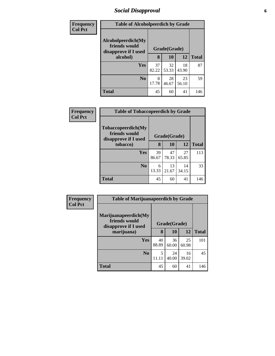# *Social Disapproval* **6**

| Frequency      | <b>Table of Alcoholpeerdich by Grade</b>                    |              |             |             |              |
|----------------|-------------------------------------------------------------|--------------|-------------|-------------|--------------|
| <b>Col Pct</b> | Alcoholpeerdich(My<br>friends would<br>disapprove if I used | Grade(Grade) |             |             |              |
|                | alcohol)                                                    | 8            | 10          | 12          | <b>Total</b> |
|                | Yes                                                         | 37<br>82.22  | 32<br>53.33 | 18<br>43.90 | 87           |
|                | N <sub>0</sub>                                              | 8<br>17.78   | 28<br>46.67 | 23<br>56.10 | 59           |
|                | <b>Total</b>                                                | 45           | 60          | 41          | 146          |

| <b>Frequency</b> | <b>Table of Tobaccopeerdich by Grade</b>                            |              |             |             |              |  |
|------------------|---------------------------------------------------------------------|--------------|-------------|-------------|--------------|--|
| <b>Col Pct</b>   | <b>Tobaccopeerdich</b> (My<br>friends would<br>disapprove if I used | Grade(Grade) |             |             |              |  |
|                  | tobacco)                                                            | 8            | 10          | 12          | <b>Total</b> |  |
|                  | <b>Yes</b>                                                          | 39<br>86.67  | 47<br>78.33 | 27<br>65.85 | 113          |  |
|                  | N <sub>0</sub>                                                      | 6<br>13.33   | 13<br>21.67 | 14<br>34.15 | 33           |  |
|                  | <b>Total</b>                                                        | 45           | 60          | 41          | 146          |  |

| Frequency      | <b>Table of Marijuanapeerdich by Grade</b>                    |              |             |             |              |  |
|----------------|---------------------------------------------------------------|--------------|-------------|-------------|--------------|--|
| <b>Col Pct</b> | Marijuanapeerdich(My<br>friends would<br>disapprove if I used | Grade(Grade) |             |             |              |  |
|                | marijuana)                                                    | 8            | 10          | 12          | <b>Total</b> |  |
|                | Yes                                                           | 40<br>88.89  | 36<br>60.00 | 25<br>60.98 | 101          |  |
|                | N <sub>0</sub>                                                | 5<br>11.11   | 24<br>40.00 | 16<br>39.02 | 45           |  |
|                | <b>Total</b>                                                  | 45           | 60          | 41          | 146          |  |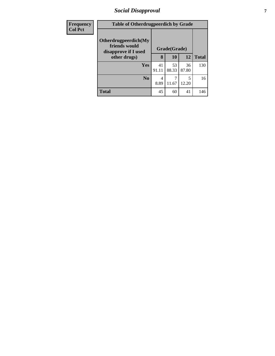# *Social Disapproval* **7**

| <b>Frequency</b> | <b>Table of Otherdrugpeerdich by Grade</b>                                    |              |             |             |              |
|------------------|-------------------------------------------------------------------------------|--------------|-------------|-------------|--------------|
| <b>Col Pct</b>   | Otherdrugpeerdich(My<br>friends would<br>disapprove if I used<br>other drugs) | Grade(Grade) |             |             |              |
|                  |                                                                               | 8            | 10          | 12          | <b>Total</b> |
|                  | Yes                                                                           | 41<br>91.11  | 53<br>88.33 | 36<br>87.80 | 130          |
|                  | N <sub>o</sub>                                                                | 4<br>8.89    | 11.67       | 5<br>12.20  | 16           |
|                  | <b>Total</b>                                                                  | 45           | 60          | 41          | 146          |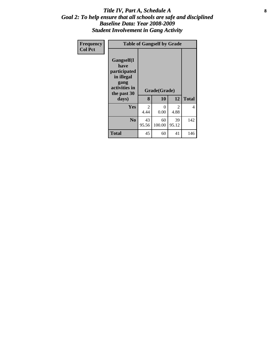### Title IV, Part A, Schedule A **8** *Goal 2: To help ensure that all schools are safe and disciplined Baseline Data: Year 2008-2009 Student Involvement in Gang Activity*

| Frequency<br><b>Col Pct</b> | <b>Table of Gangself by Grade</b>                                                                         |             |                    |             |              |  |  |
|-----------------------------|-----------------------------------------------------------------------------------------------------------|-------------|--------------------|-------------|--------------|--|--|
|                             | <b>Gangself</b> (I<br>have<br>participated<br>in illegal<br>gang<br>activities in<br>the past 30<br>days) | 8           | Grade(Grade)<br>10 | 12          | <b>Total</b> |  |  |
|                             | <b>Yes</b>                                                                                                | 2<br>4.44   | 0<br>0.00          | 2<br>4.88   | 4            |  |  |
|                             | N <sub>0</sub>                                                                                            | 43<br>95.56 | 60<br>100.00       | 39<br>95.12 | 142          |  |  |
|                             | <b>Total</b>                                                                                              | 45          | 60                 | 41          | 146          |  |  |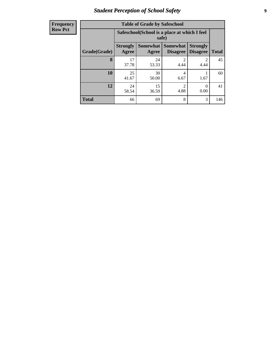# *Student Perception of School Safety* **9**

| <b>Frequency</b><br>Row Pct |
|-----------------------------|
|                             |

| <b>Table of Grade by Safeschool</b> |                          |                                                        |                                    |                                    |              |  |  |  |
|-------------------------------------|--------------------------|--------------------------------------------------------|------------------------------------|------------------------------------|--------------|--|--|--|
|                                     |                          | Safeschool (School is a place at which I feel<br>safe) |                                    |                                    |              |  |  |  |
| Grade(Grade)                        | <b>Strongly</b><br>Agree | <b>Somewhat</b><br>Agree                               | <b>Somewhat</b><br><b>Disagree</b> | <b>Strongly</b><br><b>Disagree</b> | <b>Total</b> |  |  |  |
| 8                                   | 17<br>37.78              | 24<br>53.33                                            | $\overline{c}$<br>4.44             | 2<br>4.44                          | 45           |  |  |  |
| 10                                  | 25<br>41.67              | 30<br>50.00                                            | 4<br>6.67                          | 1.67                               | 60           |  |  |  |
| 12                                  | 24<br>58.54              | 15<br>36.59                                            | $\overline{c}$<br>4.88             | 0<br>0.00                          | 41           |  |  |  |
| <b>Total</b>                        | 66                       | 69                                                     | 8                                  | 3                                  | 146          |  |  |  |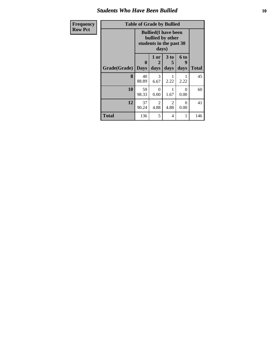### *Students Who Have Been Bullied* **10**

| Frequency      | <b>Table of Grade by Bullied</b>                                                    |                  |                   |                        |                   |              |  |
|----------------|-------------------------------------------------------------------------------------|------------------|-------------------|------------------------|-------------------|--------------|--|
| <b>Row Pct</b> | <b>Bullied</b> (I have been<br>bullied by other<br>students in the past 30<br>days) |                  |                   |                        |                   |              |  |
|                | Grade(Grade)                                                                        | 0<br><b>Days</b> | 1 or<br>2<br>days | 3 to<br>5<br>days      | 6 to<br>9<br>days | <b>Total</b> |  |
|                | 8                                                                                   | 40<br>88.89      | 3<br>6.67         | 1<br>2.22              | 2.22              | 45           |  |
|                | 10                                                                                  | 59<br>98.33      | $\Omega$<br>0.00  | 1<br>1.67              | $\Omega$<br>0.00  | 60           |  |
|                | 12                                                                                  | 37<br>90.24      | 2<br>4.88         | $\overline{2}$<br>4.88 | $\Omega$<br>0.00  | 41           |  |
|                | <b>Total</b>                                                                        | 136              | 5                 | 4                      | 1                 | 146          |  |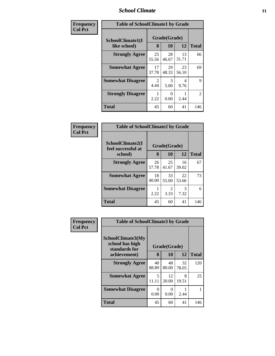### *School Climate* **11**

| Frequency      | <b>Table of SchoolClimate1 by Grade</b> |                        |                    |             |                |  |
|----------------|-----------------------------------------|------------------------|--------------------|-------------|----------------|--|
| <b>Col Pct</b> | SchoolClimate1(I<br>like school)        | 8                      | Grade(Grade)<br>10 | 12          | <b>Total</b>   |  |
|                | <b>Strongly Agree</b>                   | 25<br>55.56            | 28<br>46.67        | 13<br>31.71 | 66             |  |
|                | <b>Somewhat Agree</b>                   | 17<br>37.78            | 29<br>48.33        | 23<br>56.10 | 69             |  |
|                | <b>Somewhat Disagree</b>                | $\overline{2}$<br>4.44 | 3<br>5.00          | 4<br>9.76   | $\mathbf Q$    |  |
|                | <b>Strongly Disagree</b>                | 2.22                   | 0<br>0.00          | 2.44        | $\mathfrak{D}$ |  |
|                | <b>Total</b>                            | 45                     | 60                 | 41          | 146            |  |

| Frequency      | <b>Table of SchoolClimate2 by Grade</b> |              |                        |             |              |
|----------------|-----------------------------------------|--------------|------------------------|-------------|--------------|
| <b>Col Pct</b> | SchoolClimate2(I<br>feel successful at  | Grade(Grade) |                        |             |              |
|                | school)                                 | 8            | 10                     | 12          | <b>Total</b> |
|                | <b>Strongly Agree</b>                   | 26<br>57.78  | 25<br>41.67            | 16<br>39.02 | 67           |
|                | <b>Somewhat Agree</b>                   | 18<br>40.00  | 33<br>55.00            | 22<br>53.66 | 73           |
|                | <b>Somewhat Disagree</b>                | 2.22         | $\mathfrak{D}$<br>3.33 | 3<br>7.32   | 6            |
|                | Total                                   | 45           | 60                     | 41          | 146          |

| Frequency      | <b>Table of SchoolClimate3 by Grade</b>               |             |                       |             |              |
|----------------|-------------------------------------------------------|-------------|-----------------------|-------------|--------------|
| <b>Col Pct</b> | SchoolClimate3(My<br>school has high<br>standards for |             | Grade(Grade)          |             |              |
|                | achievement)                                          | 8           | 10                    | 12          | <b>Total</b> |
|                | <b>Strongly Agree</b>                                 | 40<br>88.89 | 48<br>80.00           | 32<br>78.05 | 120          |
|                | <b>Somewhat Agree</b>                                 | 5<br>11.11  | 12<br>20.00           | 8<br>19.51  | 25           |
|                | <b>Somewhat Disagree</b>                              | 0<br>0.00   | $\mathcal{O}$<br>0.00 | 2.44        |              |
|                | <b>Total</b>                                          | 45          | 60                    | 41          | 146          |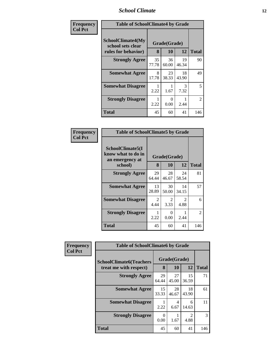### *School Climate* **12**

| Frequency      | <b>Table of SchoolClimate4 by Grade</b>                              |             |                    |             |              |
|----------------|----------------------------------------------------------------------|-------------|--------------------|-------------|--------------|
| <b>Col Pct</b> | <b>SchoolClimate4(My</b><br>school sets clear<br>rules for behavior) | 8           | Grade(Grade)<br>10 | 12          | <b>Total</b> |
|                | <b>Strongly Agree</b>                                                | 35<br>77.78 | 36<br>60.00        | 19<br>46.34 | 90           |
|                | <b>Somewhat Agree</b>                                                | 8<br>17.78  | 23<br>38.33        | 18<br>43.90 | 49           |
|                | <b>Somewhat Disagree</b>                                             | 2.22        | 1.67               | 3<br>7.32   | 5            |
|                | <b>Strongly Disagree</b>                                             | 2.22        | $\Omega$<br>0.00   | 2.44        | 2            |
|                | <b>Total</b>                                                         | 45          | 60                 | 41          | 146          |

| <b>Table of SchoolClimate5 by Grade</b>                   |                       |             |             |              |  |  |  |
|-----------------------------------------------------------|-----------------------|-------------|-------------|--------------|--|--|--|
| SchoolClimate5(I<br>know what to do in<br>an emergency at | Grade(Grade)          |             |             |              |  |  |  |
| school)                                                   | 8                     | 10          | 12          | <b>Total</b> |  |  |  |
| <b>Strongly Agree</b>                                     | 29<br>64.44           | 28<br>46.67 | 24<br>58.54 | 81           |  |  |  |
| <b>Somewhat Agree</b>                                     | 13<br>28.89           | 30<br>50.00 | 14<br>34.15 | 57           |  |  |  |
| <b>Somewhat Disagree</b>                                  | $\mathcal{L}$<br>4.44 | 2<br>3.33   | 2<br>4.88   | 6            |  |  |  |
| <b>Strongly Disagree</b>                                  | 2.22                  | 0<br>0.00   | 2.44        | 2            |  |  |  |
| Total                                                     | 45                    | 60          | 41          | 146          |  |  |  |

| Frequency      | <b>Table of SchoolClimate6 by Grade</b>                  |                  |                    |                                     |              |
|----------------|----------------------------------------------------------|------------------|--------------------|-------------------------------------|--------------|
| <b>Col Pct</b> | <b>SchoolClimate6(Teachers</b><br>treat me with respect) | 8                | Grade(Grade)<br>10 | 12                                  | <b>Total</b> |
|                | <b>Strongly Agree</b>                                    | 29<br>64.44      | 27<br>45.00        | 15<br>36.59                         | 71           |
|                | <b>Somewhat Agree</b>                                    | 15<br>33.33      | 28<br>46.67        | 18<br>43.90                         | 61           |
|                | <b>Somewhat Disagree</b>                                 | 2.22             | 4<br>6.67          | 6<br>14.63                          | 11           |
|                | <b>Strongly Disagree</b>                                 | $\theta$<br>0.00 | 1.67               | $\mathcal{D}_{\mathcal{L}}$<br>4.88 | 3            |
|                | <b>Total</b>                                             | 45               | 60                 | 41                                  | 146          |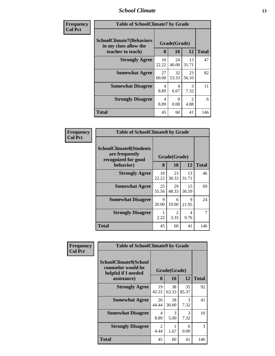### *School Climate* **13**

| Frequency      | <b>Table of SchoolClimate7 by Grade</b>                                       |                   |                   |                       |     |
|----------------|-------------------------------------------------------------------------------|-------------------|-------------------|-----------------------|-----|
| <b>Col Pct</b> | <b>SchoolClimate7(Behaviors</b><br>in my class allow the<br>teacher to teach) | Grade(Grade)<br>8 | <b>Total</b>      |                       |     |
|                | <b>Strongly Agree</b>                                                         | 10<br>22.22       | 10<br>24<br>40.00 | 12<br>13<br>31.71     | 47  |
|                | <b>Somewhat Agree</b>                                                         | 27<br>60.00       | 32<br>53.33       | 23<br>56.10           | 82  |
|                | <b>Somewhat Disagree</b>                                                      | 4<br>8.89         | 4<br>6.67         | 3<br>7.32             | 11  |
|                | <b>Strongly Disagree</b>                                                      | 4<br>8.89         | $\Omega$<br>0.00  | $\mathcal{D}$<br>4.88 | 6   |
|                | <b>Total</b>                                                                  | 45                | 60                | 41                    | 146 |

| <b>Frequency</b> | <b>Table of SchoolClimate8 by Grade</b>                                 |             |                        |              |     |
|------------------|-------------------------------------------------------------------------|-------------|------------------------|--------------|-----|
| <b>Col Pct</b>   | <b>SchoolClimate8(Students</b><br>are frequently<br>recognized for good |             | Grade(Grade)           |              |     |
| behavior)        | 8                                                                       | 10          | 12                     | <b>Total</b> |     |
|                  | <b>Strongly Agree</b>                                                   | 10<br>22.22 | 23<br>38.33            | 13<br>31.71  | 46  |
|                  | <b>Somewhat Agree</b>                                                   | 25<br>55.56 | 29<br>48.33            | 15<br>36.59  | 69  |
|                  | <b>Somewhat Disagree</b>                                                | 9<br>20.00  | 6<br>10.00             | 9<br>21.95   | 24  |
|                  | <b>Strongly Disagree</b>                                                | 1<br>2.22   | $\mathfrak{D}$<br>3.33 | 4<br>9.76    | 7   |
|                  | <b>Total</b>                                                            | 45          | 60                     | 41           | 146 |

| Frequency      | <b>Table of SchoolClimate9 by Grade</b>                                           |             |                    |                       |              |
|----------------|-----------------------------------------------------------------------------------|-------------|--------------------|-----------------------|--------------|
| <b>Col Pct</b> | SchoolClimate9(School<br>counselor would be<br>helpful if I needed<br>assistance) | 8           | Grade(Grade)<br>10 | 12                    | <b>Total</b> |
|                | <b>Strongly Agree</b>                                                             | 19<br>42.22 | 38<br>63.33        | 35<br>85.37           | 92           |
|                | <b>Somewhat Agree</b>                                                             | 20<br>44.44 | 18<br>30.00        | $\mathcal{F}$<br>7.32 | 41           |
|                | <b>Somewhat Disagree</b>                                                          | 4<br>8.89   | 3<br>5.00          | $\mathcal{R}$<br>7.32 | 10           |
|                | <b>Strongly Disagree</b>                                                          | 2<br>4.44   | 1.67               | $\Omega$<br>0.00      | 3            |
|                | <b>Total</b>                                                                      | 45          | 60                 | 41                    | 146          |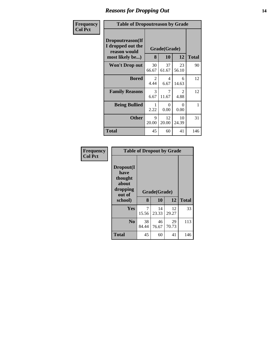### *Reasons for Dropping Out* **14**

| Frequency      | <b>Table of Dropoutreason by Grade</b>                                   |             |                        |                                     |              |
|----------------|--------------------------------------------------------------------------|-------------|------------------------|-------------------------------------|--------------|
| <b>Col Pct</b> | Dropoutreason(If<br>I dropped out the<br>reason would<br>most likely be) | 8           | Grade(Grade)<br>10     | 12                                  | <b>Total</b> |
|                | <b>Won't Drop out</b>                                                    | 30<br>66.67 | 37<br>61.67            | 23<br>56.10                         | 90           |
|                | <b>Bored</b>                                                             | 2<br>4.44   | $\overline{4}$<br>6.67 | 6<br>14.63                          | 12           |
|                | <b>Family Reasons</b>                                                    | 3<br>6.67   | 7<br>11.67             | $\mathcal{D}_{\mathcal{L}}$<br>4.88 | 12           |
|                | <b>Being Bullied</b>                                                     | 2.22        | ∩<br>0.00              | 0<br>0.00                           | 1            |
|                | <b>Other</b>                                                             | 9<br>20.00  | 12<br>20.00            | 10<br>24.39                         | 31           |
|                | Total                                                                    | 45          | 60                     | 41                                  | 146          |

| Frequency      |                                                                        |             | <b>Table of Dropout by Grade</b> |             |              |  |
|----------------|------------------------------------------------------------------------|-------------|----------------------------------|-------------|--------------|--|
| <b>Col Pct</b> | Dropout(I<br>have<br>thought<br>about<br>dropping<br>out of<br>school) | 8           | Grade(Grade)<br>10               | 12          | <b>Total</b> |  |
|                | Yes                                                                    | 7<br>15.56  | 14<br>23.33                      | 12<br>29.27 | 33           |  |
|                | N <sub>0</sub>                                                         | 38<br>84.44 | 46<br>76.67                      | 29<br>70.73 | 113          |  |
|                | <b>Total</b>                                                           | 45          | 60                               | 41          | 146          |  |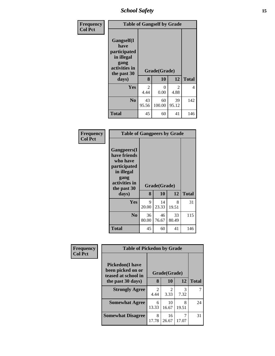*School Safety* **15**

| <b>Frequency</b> | <b>Table of Gangself by Grade</b>                                                        |                        |                    |                        |              |  |  |
|------------------|------------------------------------------------------------------------------------------|------------------------|--------------------|------------------------|--------------|--|--|
| <b>Col Pct</b>   | Gangself(I<br>have<br>participated<br>in illegal<br>gang<br>activities in<br>the past 30 | 8                      | Grade(Grade)<br>10 | 12                     | <b>Total</b> |  |  |
|                  | days)                                                                                    |                        |                    |                        |              |  |  |
|                  | Yes                                                                                      | $\overline{2}$<br>4.44 | 0<br>0.00          | $\mathfrak{D}$<br>4.88 | 4            |  |  |
|                  | No                                                                                       | 43<br>95.56            | 60<br>100.00       | 39<br>95.12            | 142          |  |  |
|                  | <b>Total</b>                                                                             | 45                     | 60                 | 41                     | 146          |  |  |

| <b>Frequency</b> |
|------------------|
| Col Pct          |

|                                                                                                                       | <b>Table of Gangpeers by Grade</b> |              |             |              |  |  |  |  |
|-----------------------------------------------------------------------------------------------------------------------|------------------------------------|--------------|-------------|--------------|--|--|--|--|
| <b>Gangpeers</b> (I<br>have friends<br>who have<br>participated<br>in illegal<br>gang<br>activities in<br>the past 30 |                                    | Grade(Grade) |             |              |  |  |  |  |
| days)                                                                                                                 | 8                                  | 10           | 12          | <b>Total</b> |  |  |  |  |
| Yes                                                                                                                   | 9<br>20.00                         | 14<br>23.33  | 8<br>19.51  | 31           |  |  |  |  |
| N <sub>0</sub>                                                                                                        | 36<br>80.00                        | 46<br>76.67  | 33<br>80.49 | 115          |  |  |  |  |
| <b>Total</b>                                                                                                          | 45                                 | 60           | 41          | 146          |  |  |  |  |

| Frequency      | <b>Table of Pickedon by Grade</b>                                   |                        |                        |            |              |  |  |
|----------------|---------------------------------------------------------------------|------------------------|------------------------|------------|--------------|--|--|
| <b>Col Pct</b> | <b>Pickedon</b> (I have<br>been picked on or<br>teased at school in |                        | Grade(Grade)           |            |              |  |  |
|                | the past 30 days)                                                   | 8                      | 10                     | 12         | <b>Total</b> |  |  |
|                | <b>Strongly Agree</b>                                               | $\mathfrak{D}$<br>4.44 | $\mathfrak{D}$<br>3.33 | 3<br>7.32  |              |  |  |
|                | <b>Somewhat Agree</b>                                               | 6<br>13.33             | 10<br>16.67            | 8<br>19.51 | 24           |  |  |
|                | <b>Somewhat Disagree</b>                                            | 8<br>17.78             | 16<br>26.67            | 7<br>17.07 | 31           |  |  |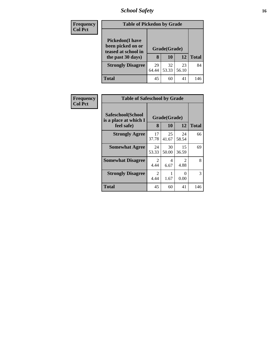# *School Safety* **16**

| <b>Frequency</b> | <b>Table of Pickedon by Grade</b>                                                        |                               |             |             |              |
|------------------|------------------------------------------------------------------------------------------|-------------------------------|-------------|-------------|--------------|
| <b>Col Pct</b>   | <b>Pickedon</b> (I have<br>been picked on or<br>teased at school in<br>the past 30 days) | Grade(Grade)<br>12<br>8<br>10 |             |             | <b>Total</b> |
|                  | <b>Strongly Disagree</b>                                                                 | 29<br>64.44                   | 32<br>53.33 | 23<br>56.10 | 84           |
|                  | Total                                                                                    | 45                            | 60          | 41          | 146          |

| Frequency<br><b>Col Pct</b> | <b>Table of Safeschool by Grade</b>                      |             |                    |             |              |  |
|-----------------------------|----------------------------------------------------------|-------------|--------------------|-------------|--------------|--|
|                             | Safeschool(School<br>is a place at which I<br>feel safe) | 8           | Grade(Grade)<br>10 | 12          | <b>Total</b> |  |
|                             | <b>Strongly Agree</b>                                    | 17<br>37.78 | 25<br>41.67        | 24<br>58.54 | 66           |  |
|                             | <b>Somewhat Agree</b>                                    | 24<br>53.33 | 30<br>50.00        | 15<br>36.59 | 69           |  |
|                             | <b>Somewhat Disagree</b>                                 | 2<br>4.44   | 4<br>6.67          | 2<br>4.88   | 8            |  |
|                             | <b>Strongly Disagree</b>                                 | 2<br>4.44   | 1.67               | 0<br>0.00   | 3            |  |
|                             | Total                                                    | 45          | 60                 | 41          | 146          |  |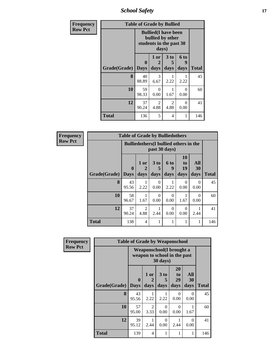*School Safety* **17**

| Frequency      | <b>Table of Grade by Bullied</b> |                            |                                                                                     |                              |                   |       |
|----------------|----------------------------------|----------------------------|-------------------------------------------------------------------------------------|------------------------------|-------------------|-------|
| <b>Row Pct</b> |                                  |                            | <b>Bullied</b> (I have been<br>bullied by other<br>students in the past 30<br>days) |                              |                   |       |
|                | Grade(Grade)                     | $\mathbf 0$<br><b>Days</b> | 1 or<br>2<br>days                                                                   | 3 <sub>to</sub><br>5<br>days | 6 to<br>g<br>days | Total |
|                | 8                                | 40<br>88.89                | 3<br>6.67                                                                           | 2.22                         | 2.22              | 45    |
|                | 10                               | 59<br>98.33                | $\Omega$<br>0.00                                                                    | 1.67                         | $\Omega$<br>0.00  | 60    |
|                | 12                               | 37<br>90.24                | $\overline{2}$<br>4.88                                                              | 2<br>4.88                    | $\Omega$<br>0.00  | 41    |
|                | <b>Total</b>                     | 136                        | 5                                                                                   | 4                            | 1                 | 146   |

| Frequency      | <b>Table of Grade by Bulliedothers</b> |                                 |                                               |                         |                   |                                    |                   |              |  |  |
|----------------|----------------------------------------|---------------------------------|-----------------------------------------------|-------------------------|-------------------|------------------------------------|-------------------|--------------|--|--|
| <b>Row Pct</b> |                                        |                                 | <b>Bulliedothers</b> (I bullied others in the | past 30 days)           |                   |                                    |                   |              |  |  |
|                | Grade(Grade)                           | $\boldsymbol{0}$<br><b>Days</b> | 1 or<br>2<br>days                             | 3 <sub>to</sub><br>days | 6 to<br>9<br>days | 10<br>t <sub>0</sub><br>19<br>days | All<br>30<br>days | <b>Total</b> |  |  |
|                | 8                                      | 43<br>95.56                     | 1<br>2.22                                     | $\Omega$<br>0.00        | 2.22              | $\Omega$<br>0.00                   | $\Omega$<br>0.00  | 45           |  |  |
|                | 10                                     | 58<br>96.67                     | 1.67                                          | 0<br>0.00               | 0<br>0.00         | 1.67                               | $\Omega$<br>0.00  | 60           |  |  |
|                | 12                                     | 37<br>90.24                     | $\overline{2}$<br>4.88                        | 2.44                    | $\Omega$<br>0.00  | $\Omega$<br>0.00                   | 2.44              | 41           |  |  |
|                | <b>Total</b>                           | 138                             | $\overline{4}$                                | 1                       | 1                 | 1                                  | 1                 | 146          |  |  |

| Frequency      | <b>Table of Grade by Weaponschool</b> |                             |                                                          |                   |                        |                          |              |  |
|----------------|---------------------------------------|-----------------------------|----------------------------------------------------------|-------------------|------------------------|--------------------------|--------------|--|
| <b>Row Pct</b> |                                       |                             | Weaponschool(I brought a<br>weapon to school in the past | 30 days)          |                        |                          |              |  |
|                | Grade(Grade)                          | $\mathbf{0}$<br><b>Days</b> | 1 or<br>$\overline{2}$<br>days                           | 3 to<br>5<br>days | 20<br>to<br>29<br>days | <b>All</b><br>30<br>days | <b>Total</b> |  |
|                | 8                                     | 43<br>95.56                 | 1<br>2.22                                                | 2.22              | 0<br>0.00              | 0<br>0.00                | 45           |  |
|                | 10                                    | 57<br>95.00                 | 2<br>3.33                                                | 0<br>0.00         | 0<br>0.00              | 1.67                     | 60           |  |
|                | 12                                    | 39<br>95.12                 | 2.44                                                     | $\Omega$<br>0.00  | 2.44                   | 0<br>0.00                | 41           |  |
|                | <b>Total</b>                          | 139                         | 4                                                        | 1                 |                        |                          | 146          |  |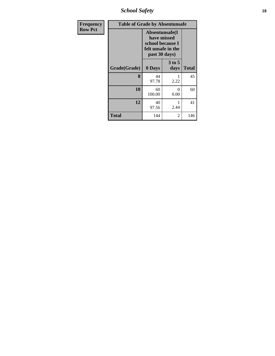*School Safety* **18**

| <b>Frequency</b> | <b>Table of Grade by Absentunsafe</b> |                                                                                           |                  |              |  |  |
|------------------|---------------------------------------|-------------------------------------------------------------------------------------------|------------------|--------------|--|--|
| <b>Row Pct</b>   |                                       | Absentunsafe(I)<br>have missed<br>school because I<br>felt unsafe in the<br>past 30 days) |                  |              |  |  |
|                  | Grade(Grade)                          | 0 Days                                                                                    | $3$ to 5<br>days | <b>Total</b> |  |  |
|                  | 8                                     | 44<br>97.78                                                                               | 1<br>2.22        | 45           |  |  |
|                  | 10                                    | 60<br>100.00                                                                              | $\theta$<br>0.00 | 60           |  |  |
|                  | 12                                    | 40<br>97.56                                                                               | 2.44             | 41           |  |  |
|                  | <b>Total</b>                          | 144                                                                                       | 2                | 146          |  |  |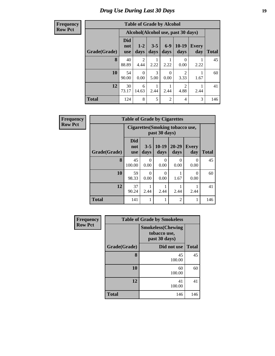#### **Frequency Row Pct**

| <b>Table of Grade by Alcohol</b> |                          |                                    |                 |                 |                        |                     |              |  |  |
|----------------------------------|--------------------------|------------------------------------|-----------------|-----------------|------------------------|---------------------|--------------|--|--|
|                                  |                          | Alcohol(Alcohol use, past 30 days) |                 |                 |                        |                     |              |  |  |
| Grade(Grade)                     | Did<br>not<br><b>use</b> | $1 - 2$<br>days                    | $3 - 5$<br>days | $6 - 9$<br>days | $10-19$<br>days        | <b>Every</b><br>day | <b>Total</b> |  |  |
| 8                                | 40<br>88.89              | 2<br>4.44                          | 2.22            | 2.22            | 0<br>0.00              | 2.22                | 45           |  |  |
| 10                               | 54<br>90.00              | 0<br>0.00                          | 3<br>5.00       | 0<br>0.00       | $\mathfrak{D}$<br>3.33 | 1.67                | 60           |  |  |
| 12                               | 30<br>73.17              | 6<br>14.63                         | 2.44            | 2.44            | $\mathfrak{D}$<br>4.88 | 2.44                | 41           |  |  |
| <b>Total</b>                     | 124                      | 8                                  | 5               | $\overline{2}$  | 4                      | 3                   | 146          |  |  |

| Frequency      | <b>Table of Grade by Cigarettes</b> |                                 |                  |                                                         |                   |                     |              |  |  |  |
|----------------|-------------------------------------|---------------------------------|------------------|---------------------------------------------------------|-------------------|---------------------|--------------|--|--|--|
| <b>Row Pct</b> |                                     |                                 |                  | <b>Cigarettes(Smoking tobacco use,</b><br>past 30 days) |                   |                     |              |  |  |  |
|                | Grade(Grade)                        | <b>Did</b><br>not<br><b>use</b> | $3 - 5$<br>days  | $10-19$<br>days                                         | $20 - 29$<br>days | <b>Every</b><br>day | <b>Total</b> |  |  |  |
|                | 8                                   | 45<br>100.00                    | $\Omega$<br>0.00 | $\theta$<br>0.00                                        | 0<br>0.00         | $\Omega$<br>0.00    | 45           |  |  |  |
|                | 10                                  | 59<br>98.33                     | $\Omega$<br>0.00 | $\Omega$<br>0.00                                        | 1.67              | $\Omega$<br>0.00    | 60           |  |  |  |
|                | 12                                  | 37<br>90.24                     | 2.44             | 2.44                                                    | 2.44              | 2.44                | 41           |  |  |  |
|                | <b>Total</b>                        | 141                             | 1                |                                                         | $\overline{2}$    |                     | 146          |  |  |  |

| <b>Frequency</b> |              | <b>Table of Grade by Smokeless</b>                        |              |
|------------------|--------------|-----------------------------------------------------------|--------------|
| <b>Row Pct</b>   |              | <b>Smokeless(Chewing</b><br>tobacco use,<br>past 30 days) |              |
|                  | Grade(Grade) | Did not use                                               | <b>Total</b> |
|                  | 8            | 45<br>100.00                                              | 45           |
|                  | 10           | 60<br>100.00                                              | 60           |
|                  | 12           | 41<br>100.00                                              | 41           |
|                  | <b>Total</b> | 146                                                       | 146          |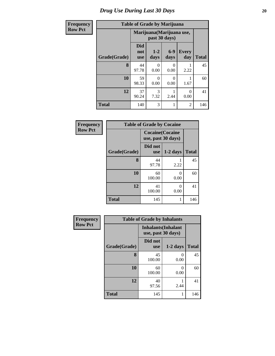#### **Frequency Row Pct**

| <b>Table of Grade by Marijuana</b> |
|------------------------------------|
|------------------------------------|

| Y | Table of Graue by Marijuana |                                 |                           |                 |                     |              |  |  |  |  |
|---|-----------------------------|---------------------------------|---------------------------|-----------------|---------------------|--------------|--|--|--|--|
|   |                             |                                 | Marijuana (Marijuana use, | past 30 days)   |                     |              |  |  |  |  |
|   | Grade(Grade)                | <b>Did</b><br>not<br><b>use</b> | $1 - 2$<br>days           | $6 - 9$<br>days | <b>Every</b><br>day | <b>Total</b> |  |  |  |  |
|   | 8                           | 44<br>97.78                     | 0<br>0.00                 | 0<br>0.00       | 2.22                | 45           |  |  |  |  |
|   | 10                          | 59<br>98.33                     | 0<br>0.00                 | 0<br>0.00       | 1.67                | 60           |  |  |  |  |
|   | 12                          | 37<br>90.24                     | 3<br>7.32                 | 2.44            | 0<br>0.00           | 41           |  |  |  |  |
|   | <b>Total</b>                | 140                             | 3                         | 1               | 2                   | 146          |  |  |  |  |

| Frequency      | <b>Table of Grade by Cocaine</b> |                                               |                           |              |  |  |  |
|----------------|----------------------------------|-----------------------------------------------|---------------------------|--------------|--|--|--|
| <b>Row Pct</b> |                                  | <b>Cocaine</b> (Cocaine<br>use, past 30 days) |                           |              |  |  |  |
|                | Grade(Grade)                     | Did not<br><b>use</b>                         | $1-2$ days                | <b>Total</b> |  |  |  |
|                | 8                                | 44<br>97.78                                   | 2.22                      | 45           |  |  |  |
|                | 10                               | 60<br>100.00                                  | 0.00                      | 60           |  |  |  |
|                | 12                               | 41<br>100.00                                  | $\mathbf{\Omega}$<br>0.00 | 41           |  |  |  |
|                | <b>Total</b>                     | 145                                           |                           | 146          |  |  |  |

| Frequency      | <b>Table of Grade by Inhalants</b> |                                                  |            |              |  |  |  |  |
|----------------|------------------------------------|--------------------------------------------------|------------|--------------|--|--|--|--|
| <b>Row Pct</b> |                                    | <b>Inhalants</b> (Inhalant<br>use, past 30 days) |            |              |  |  |  |  |
|                | Grade(Grade)                       | Did not<br><b>use</b>                            | $1-2$ days | <b>Total</b> |  |  |  |  |
|                | 8                                  | 45<br>100.00                                     | 0<br>0.00  | 45           |  |  |  |  |
|                | 10                                 | 60<br>100.00                                     | 0<br>0.00  | 60           |  |  |  |  |
|                | 12                                 | 40<br>97.56                                      | 2.44       | 41           |  |  |  |  |
|                | <b>Total</b>                       | 145                                              | 1          | 146          |  |  |  |  |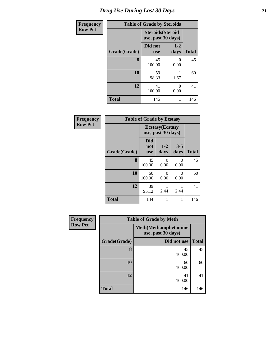| <b>Frequency</b> | <b>Table of Grade by Steroids</b> |                                                |                 |              |  |  |
|------------------|-----------------------------------|------------------------------------------------|-----------------|--------------|--|--|
| <b>Row Pct</b>   |                                   | <b>Steroids</b> (Steroid<br>use, past 30 days) |                 |              |  |  |
|                  | Grade(Grade)                      | Did not<br><b>use</b>                          | $1 - 2$<br>days | <b>Total</b> |  |  |
|                  | 8                                 | 45<br>100.00                                   | 0<br>0.00       | 45           |  |  |
|                  | 10                                | 59<br>98.33                                    | 1.67            | 60           |  |  |
|                  | 12                                | 41<br>100.00                                   | ∩<br>0.00       | 41           |  |  |
|                  | <b>Total</b>                      | 145                                            |                 | 146          |  |  |

| Frequency      | <b>Table of Grade by Ecstasy</b> |                                               |                 |                  |              |  |  |
|----------------|----------------------------------|-----------------------------------------------|-----------------|------------------|--------------|--|--|
| <b>Row Pct</b> |                                  | <b>Ecstasy</b> (Ecstasy<br>use, past 30 days) |                 |                  |              |  |  |
|                | Grade(Grade)                     | <b>Did</b><br>not<br><b>use</b>               | $1 - 2$<br>days | $3 - 5$<br>days  | <b>Total</b> |  |  |
|                | 8                                | 45<br>100.00                                  | 0<br>0.00       | $\Omega$<br>0.00 | 45           |  |  |
|                | 10                               | 60<br>100.00                                  | 0<br>0.00       | 0<br>0.00        | 60           |  |  |
|                | 12                               | 39<br>95.12                                   | 2.44            | 2.44             | 41           |  |  |
|                | <b>Total</b>                     | 144                                           | 1               | 1                | 146          |  |  |

| <b>Frequency</b> | <b>Table of Grade by Meth</b> |                                                   |              |  |  |
|------------------|-------------------------------|---------------------------------------------------|--------------|--|--|
| <b>Row Pct</b>   |                               | <b>Meth(Methamphetamine</b><br>use, past 30 days) |              |  |  |
|                  | Grade(Grade)                  | Did not use                                       | <b>Total</b> |  |  |
|                  | 8                             | 45<br>100.00                                      | 45           |  |  |
|                  | 10                            | 60<br>100.00                                      | 60           |  |  |
|                  | 12                            | 41<br>100.00                                      | 41           |  |  |
|                  | <b>Total</b>                  | 146                                               | 146          |  |  |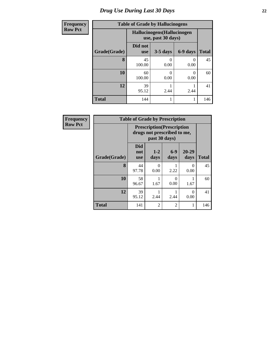| <b>Frequency</b> | <b>Table of Grade by Hallucinogens</b> |                                                   |            |          |              |  |
|------------------|----------------------------------------|---------------------------------------------------|------------|----------|--------------|--|
| <b>Row Pct</b>   |                                        | Hallucinogens (Hallucinogen<br>use, past 30 days) |            |          |              |  |
|                  | Grade(Grade)                           | Did not<br><b>use</b>                             | $3-5$ days | 6-9 days | <b>Total</b> |  |
|                  | 8                                      | 45<br>100.00                                      | 0<br>0.00  | 0.00     | 45           |  |
|                  | 10                                     | 60<br>100.00                                      | 0<br>0.00  | 0.00     | 60           |  |
|                  | 12                                     | 39<br>95.12                                       | 2.44       | 2.44     | 41           |  |
|                  | <b>Total</b>                           | 144                                               |            |          | 146          |  |

| Frequency      | <b>Table of Grade by Prescription</b>                                             |                                 |                  |                  |                  |              |  |
|----------------|-----------------------------------------------------------------------------------|---------------------------------|------------------|------------------|------------------|--------------|--|
| <b>Row Pct</b> | <b>Prescription</b> (Prescription<br>drugs not prescribed to me,<br>past 30 days) |                                 |                  |                  |                  |              |  |
|                | Grade(Grade)                                                                      | <b>Did</b><br>not<br><b>use</b> | $1 - 2$<br>days  | $6 - 9$<br>days  | 20-29<br>days    | <b>Total</b> |  |
|                | 8                                                                                 | 44<br>97.78                     | $\Omega$<br>0.00 | 2.22             | $\Omega$<br>0.00 | 45           |  |
|                | 10                                                                                | 58<br>96.67                     | 1.67             | $\theta$<br>0.00 | 1.67             | 60           |  |
|                | 12                                                                                | 39<br>95.12                     | 2.44             | 2.44             | 0<br>0.00        | 41           |  |
|                | <b>Total</b>                                                                      | 141                             | 2                | $\overline{c}$   |                  | 146          |  |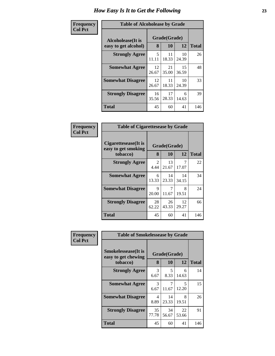#### **Frequency Col Pct**

| <b>Table of Alcoholease by Grade</b> |              |             |             |              |  |  |
|--------------------------------------|--------------|-------------|-------------|--------------|--|--|
| Alcoholease(It is                    | Grade(Grade) |             |             |              |  |  |
| easy to get alcohol)                 | 8            | 10          | 12          | <b>Total</b> |  |  |
| <b>Strongly Agree</b>                | 5<br>11.11   | 11<br>18.33 | 10<br>24.39 | 26           |  |  |
| <b>Somewhat Agree</b>                | 12<br>26.67  | 21<br>35.00 | 15<br>36.59 | 48           |  |  |
| <b>Somewhat Disagree</b>             | 12<br>26.67  | 11<br>18.33 | 10<br>24.39 | 33           |  |  |
| <b>Strongly Disagree</b>             | 16<br>35.56  | 17<br>28.33 | 6<br>14.63  | 39           |  |  |
| <b>Total</b>                         | 45           | 60          | 41          | 146          |  |  |

#### **Frequency Col Pct Table of Cigarettesease by Grade Cigarettesease(It is easy to get smoking tobacco) Grade(Grade) 8 10 12 Total Strongly Agree** 2 4.44 21.67 13 17.07 **Somewhat Agree** 6 13.33 14 23.33 34.15 **Somewhat Disagree** 9 20.00 7 11.67

| <b>Somewhat Disagree</b> | 20.00       | 11.67       | 19.51       | 24  |
|--------------------------|-------------|-------------|-------------|-----|
| <b>Strongly Disagree</b> | 28<br>62.22 | 26<br>43.33 | 12<br>29.27 | 66  |
| <b>Total</b>             | 45          | 60          | 41          | 146 |

7

14

22

34

| Frequency      | <b>Table of Smokelessease by Grade</b>             |             |              |             |              |  |  |
|----------------|----------------------------------------------------|-------------|--------------|-------------|--------------|--|--|
| <b>Col Pct</b> | <b>Smokelessease</b> (It is<br>easy to get chewing |             | Grade(Grade) |             |              |  |  |
|                | tobacco)                                           | 8           | 10           | 12          | <b>Total</b> |  |  |
|                | <b>Strongly Agree</b>                              | 3<br>6.67   | 5<br>8.33    | 6<br>14.63  | 14           |  |  |
|                | <b>Somewhat Agree</b>                              | 3<br>6.67   | 7<br>11.67   | 5<br>12.20  | 15           |  |  |
|                | <b>Somewhat Disagree</b>                           | 4<br>8.89   | 14<br>23.33  | 8<br>19.51  | 26           |  |  |
|                | <b>Strongly Disagree</b>                           | 35<br>77.78 | 34<br>56.67  | 22<br>53.66 | 91           |  |  |
|                | <b>Total</b>                                       | 45          | 60           | 41          | 146          |  |  |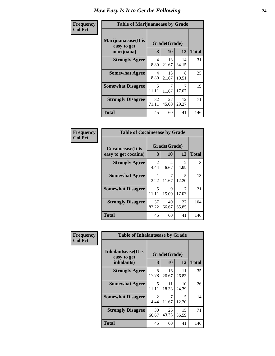#### **Frequency Col Pct**

| <b>Table of Marijuanaease by Grade</b>           |                   |              |             |     |  |  |
|--------------------------------------------------|-------------------|--------------|-------------|-----|--|--|
| Marijuanaease(It is<br>easy to get<br>marijuana) | Grade(Grade)<br>8 | <b>Total</b> |             |     |  |  |
| <b>Strongly Agree</b>                            | 4<br>8.89         | 13<br>21.67  | 14<br>34.15 | 31  |  |  |
| <b>Somewhat Agree</b>                            | 4<br>8.89         | 13<br>21.67  | 8<br>19.51  | 25  |  |  |
| <b>Somewhat Disagree</b>                         | 5<br>11.11        | 7<br>11.67   | 17.07       | 19  |  |  |
| <b>Strongly Disagree</b>                         | 32<br>71.11       | 27<br>45.00  | 12<br>29.27 | 71  |  |  |
| <b>Total</b>                                     | 45                | 60           | 41          | 146 |  |  |

| <b>Table of Cocaineease by Grade</b>      |             |                          |             |                   |  |  |
|-------------------------------------------|-------------|--------------------------|-------------|-------------------|--|--|
| Cocaineease(It is<br>easy to get cocaine) | 8           | Grade(Grade)<br>12<br>10 |             |                   |  |  |
| <b>Strongly Agree</b>                     | 2<br>4.44   | 4<br>6.67                | 2<br>4.88   | <b>Total</b><br>8 |  |  |
| <b>Somewhat Agree</b>                     | 2.22        | 11.67                    | 5<br>12.20  | 13                |  |  |
| <b>Somewhat Disagree</b>                  | 5<br>11.11  | 9<br>15.00               | 7<br>17.07  | 21                |  |  |
| <b>Strongly Disagree</b>                  | 37<br>82.22 | 40<br>66.67              | 27<br>65.85 | 104               |  |  |
| <b>Total</b>                              | 45          | 60                       | 41          | 146               |  |  |

| Frequency<br><b>Col Pct</b> | <b>Table of Inhalantsease by Grade</b>                   |             |                    |             |              |
|-----------------------------|----------------------------------------------------------|-------------|--------------------|-------------|--------------|
|                             | <b>Inhalantsease</b> (It is<br>easy to get<br>inhalants) | 8           | Grade(Grade)<br>10 | 12          | <b>Total</b> |
|                             | <b>Strongly Agree</b>                                    | 8<br>17.78  | 16<br>26.67        | 11<br>26.83 | 35           |
|                             | <b>Somewhat Agree</b>                                    | 5<br>11.11  | 11<br>18.33        | 10<br>24.39 | 26           |
|                             | <b>Somewhat Disagree</b>                                 | 2<br>4.44   | 7<br>11.67         | 5<br>12.20  | 14           |
|                             | <b>Strongly Disagree</b>                                 | 30<br>66.67 | 26<br>43.33        | 15<br>36.59 | 71           |
|                             | Total                                                    | 45          | 60                 | 41          | 146          |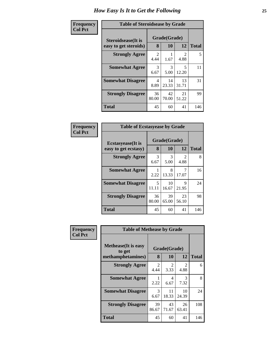| <b>Table of Steroidsease by Grade</b> |                       |             |                        |              |  |  |
|---------------------------------------|-----------------------|-------------|------------------------|--------------|--|--|
| <b>Steroidsease</b> (It is            | Grade(Grade)          |             |                        |              |  |  |
| easy to get steroids)                 | 8                     | 10          | 12                     | <b>Total</b> |  |  |
| <b>Strongly Agree</b>                 | $\mathcal{L}$<br>4.44 | 1.67        | $\mathfrak{D}$<br>4.88 | 5            |  |  |
| <b>Somewhat Agree</b>                 | 3<br>6.67             | 3<br>5.00   | 5<br>12.20             | 11           |  |  |
| <b>Somewhat Disagree</b>              | 4<br>8.89             | 14<br>23.33 | 13<br>31.71            | 31           |  |  |
| <b>Strongly Disagree</b>              | 36<br>80.00           | 42<br>70.00 | 21<br>51.22            | 99           |  |  |
| <b>Total</b>                          | 45                    | 60          | 41                     | 146          |  |  |

| Frequency      | <b>Table of Ecstasyease by Grade</b>              |             |                    |                        |              |  |  |  |
|----------------|---------------------------------------------------|-------------|--------------------|------------------------|--------------|--|--|--|
| <b>Col Pct</b> | <b>Ecstasyease</b> (It is<br>easy to get ecstasy) | 8           | Grade(Grade)<br>10 | 12                     | <b>Total</b> |  |  |  |
|                | <b>Strongly Agree</b>                             | 3<br>6.67   | 3<br>5.00          | $\mathfrak{D}$<br>4.88 | 8            |  |  |  |
|                | <b>Somewhat Agree</b>                             | 2.22        | 8<br>13.33         | 7<br>17.07             | 16           |  |  |  |
|                | <b>Somewhat Disagree</b>                          | 5<br>11.11  | 10<br>16.67        | 9<br>21.95             | 24           |  |  |  |
|                | <b>Strongly Disagree</b>                          | 36<br>80.00 | 39<br>65.00        | 23<br>56.10            | 98           |  |  |  |
|                | <b>Total</b>                                      | 45          | 60                 | 41                     | 146          |  |  |  |

| Frequency      |                                                            |             |                    |             | <b>Table of Methease by Grade</b> |  |  |  |  |  |  |  |  |
|----------------|------------------------------------------------------------|-------------|--------------------|-------------|-----------------------------------|--|--|--|--|--|--|--|--|
| <b>Col Pct</b> | <b>Methease</b> (It is easy<br>to get<br>methamphetamines) | 8           | Grade(Grade)<br>10 | 12          | <b>Total</b>                      |  |  |  |  |  |  |  |  |
|                | <b>Strongly Agree</b>                                      | 2<br>4.44   | 2<br>3.33          | 2<br>4.88   | 6                                 |  |  |  |  |  |  |  |  |
|                | <b>Somewhat Agree</b>                                      | 2.22        | 4<br>6.67          | 3<br>7.32   | 8                                 |  |  |  |  |  |  |  |  |
|                | <b>Somewhat Disagree</b>                                   | 3<br>6.67   | 11<br>18.33        | 10<br>24.39 | 24                                |  |  |  |  |  |  |  |  |
|                | <b>Strongly Disagree</b>                                   | 39<br>86.67 | 43<br>71.67        | 26<br>63.41 | 108                               |  |  |  |  |  |  |  |  |
|                | Total                                                      | 45          | 60                 | 41          | 146                               |  |  |  |  |  |  |  |  |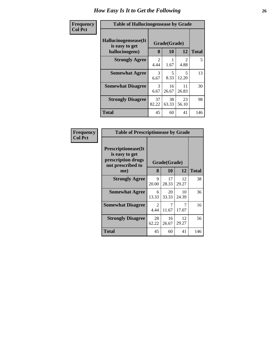| Frequency      | <b>Table of Hallucinogensease by Grade</b>               |                        |                    |                               |              |  |  |
|----------------|----------------------------------------------------------|------------------------|--------------------|-------------------------------|--------------|--|--|
| <b>Col Pct</b> | Hallucinogensease(It<br>is easy to get<br>hallucinogens) | 8                      | Grade(Grade)<br>10 | 12                            | <b>Total</b> |  |  |
|                | <b>Strongly Agree</b>                                    | $\mathfrak{D}$<br>4.44 | 1.67               | $\mathcal{D}_{\cdot}$<br>4.88 | 5            |  |  |
|                | <b>Somewhat Agree</b>                                    | 3<br>6.67              | 5<br>8.33          | 5<br>12.20                    | 13           |  |  |
|                | <b>Somewhat Disagree</b>                                 | 3<br>6.67              | 16<br>26.67        | 11<br>26.83                   | 30           |  |  |
|                | <b>Strongly Disagree</b>                                 | 37<br>82.22            | 38<br>63.33        | 23<br>56.10                   | 98           |  |  |
|                | <b>Total</b>                                             | 45                     | 60                 | 41                            | 146          |  |  |

| <b>Frequency</b> |
|------------------|
| <b>Col Pct</b>   |

| <b>Table of Prescriptionease by Grade</b>                                                |                        |              |             |       |  |  |
|------------------------------------------------------------------------------------------|------------------------|--------------|-------------|-------|--|--|
| <b>Prescriptionease</b> (It<br>is easy to get<br>prescription drugs<br>not prescribed to |                        | Grade(Grade) |             |       |  |  |
| me)                                                                                      | 8                      | 10           | 12          | Total |  |  |
| <b>Strongly Agree</b>                                                                    | 9<br>20.00             | 17<br>28.33  | 12<br>29.27 | 38    |  |  |
| <b>Somewhat Agree</b>                                                                    | 6<br>13.33             | 20<br>33.33  | 10<br>24.39 | 36    |  |  |
| <b>Somewhat Disagree</b>                                                                 | $\mathfrak{D}$<br>4.44 | 7<br>11.67   | 7<br>17.07  | 16    |  |  |
| <b>Strongly Disagree</b>                                                                 | 28<br>62.22            | 16<br>26.67  | 12<br>29.27 | 56    |  |  |
| Total                                                                                    | 45                     | 60           | 41          | 146   |  |  |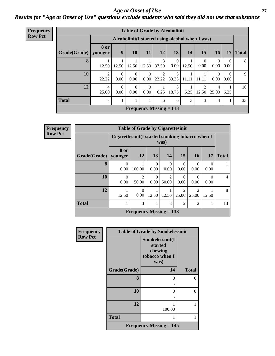### *Age at Onset of Use* **27** *Results for "Age at Onset of Use" questions exclude students who said they did not use that substance*

| <b>Frequency</b> | <b>Table of Grade by Alcoholinit</b>             |                         |                        |                  |                           |                         |                  |       |                  |                  |                  |              |
|------------------|--------------------------------------------------|-------------------------|------------------------|------------------|---------------------------|-------------------------|------------------|-------|------------------|------------------|------------------|--------------|
| <b>Row Pct</b>   | Alcoholinit (I started using alcohol when I was) |                         |                        |                  |                           |                         |                  |       |                  |                  |                  |              |
|                  | Grade(Grade)                                     | 8 or<br>younger         | 9                      | <b>10</b>        | <b>11</b>                 | 12                      | 13               | 14    | 15               | <b>16</b>        | 17               | <b>Total</b> |
|                  | 8                                                | 12.50                   | 12.50                  | 12.50            | 12.50                     | 3<br>37.50              | $\Omega$<br>0.00 | 12.50 | $\theta$<br>0.00 | $\Omega$<br>0.00 | $\Omega$<br>0.00 | 8            |
|                  | 10                                               | 2<br>22.22              | $\overline{0}$<br>0.00 | $\theta$<br>0.00 | $\Omega$<br>0.00          | $\overline{c}$<br>22.22 | 3<br>33.33       | 11.11 | 11.11            | $\Omega$<br>0.00 | $\Omega$<br>0.00 | 9            |
|                  | 12                                               | $\overline{4}$<br>25.00 | $\overline{0}$<br>0.00 | $\theta$<br>0.00 | $\Omega$<br>$0.00\,$      | 6.25                    | 3<br>18.75       | 6.25  | 2<br>12.50       | 4<br>25.00       | 6.25             | 16           |
|                  | <b>Total</b>                                     | ┑                       |                        |                  |                           | 6                       | 6                | 3     | 3                | 4                |                  | 33           |
|                  |                                                  |                         |                        |                  | Frequency Missing $= 113$ |                         |                  |       |                  |                  |                  |              |

| Frequency      | <b>Table of Grade by Cigarettesinit</b> |                                                         |                           |                  |                         |                                      |                  |                  |                |
|----------------|-----------------------------------------|---------------------------------------------------------|---------------------------|------------------|-------------------------|--------------------------------------|------------------|------------------|----------------|
| <b>Row Pct</b> |                                         | Cigarettesinit(I started smoking tobacco when I<br>was) |                           |                  |                         |                                      |                  |                  |                |
|                | Grade(Grade)                            | 8 or<br>younger                                         | 12                        | 13               | 14                      | 15                                   | <b>16</b>        | <b>17</b>        | <b>Total</b>   |
|                | 8                                       | $\Omega$<br>0.00                                        | 100.00                    | $\Omega$<br>0.00 | $\Omega$<br>0.00        | $\Omega$<br>0.00                     | $\Omega$<br>0.00 | $\Omega$<br>0.00 |                |
|                | 10                                      | $\theta$<br>0.00                                        | 2<br>50.00                | $\Omega$<br>0.00 | $\overline{2}$<br>50.00 | $\Omega$<br>0.00                     | 0<br>0.00        | 0.00             | $\overline{4}$ |
|                | 12                                      | 12.50                                                   | $\Omega$<br>0.00          | 12.50            | 12.50                   | $\mathcal{D}_{\mathcal{A}}$<br>25.00 | 2<br>25.00       | 12.50            | 8              |
|                | <b>Total</b>                            | 1                                                       | $\mathcal{E}$             |                  | 3                       | $\overline{2}$                       | $\overline{2}$   |                  | 13             |
|                |                                         |                                                         | Frequency Missing $= 133$ |                  |                         |                                      |                  |                  |                |

| Frequency      | <b>Table of Grade by Smokelessinit</b>      |                                                                 |              |  |  |  |  |  |
|----------------|---------------------------------------------|-----------------------------------------------------------------|--------------|--|--|--|--|--|
| <b>Row Pct</b> |                                             | Smokelessinit(I<br>started<br>chewing<br>tobacco when I<br>was) |              |  |  |  |  |  |
|                | Grade(Grade)                                | 14                                                              | <b>Total</b> |  |  |  |  |  |
|                | 8                                           | 0                                                               | 0            |  |  |  |  |  |
|                | 10                                          | 0                                                               | $\theta$     |  |  |  |  |  |
|                | 12                                          | 100.00                                                          | 1            |  |  |  |  |  |
|                | <b>Total</b>                                |                                                                 | 1            |  |  |  |  |  |
|                | <b>Frequency Missing <math>= 145</math></b> |                                                                 |              |  |  |  |  |  |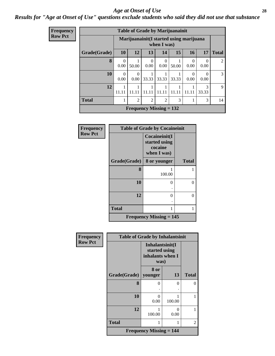#### *Age at Onset of Use* **28**

### *Results for "Age at Onset of Use" questions exclude students who said they did not use that substance*

| <b>Frequency</b> |  |
|------------------|--|
| <b>Row Pct</b>   |  |

| <b>Table of Grade by Marijuanainit</b> |           |                                                         |                |                                |       |                  |                        |              |
|----------------------------------------|-----------|---------------------------------------------------------|----------------|--------------------------------|-------|------------------|------------------------|--------------|
|                                        |           | Marijuanainit (I started using marijuana<br>when I was) |                |                                |       |                  |                        |              |
| Grade(Grade)                           | <b>10</b> | 12                                                      | 13             | 14                             | 15    | 16               | 17                     | <b>Total</b> |
| 8                                      | 0<br>0.00 | 50.00                                                   | 0<br>0.00      | $\Omega$<br>0.00               | 50.00 | $\theta$<br>0.00 | $\theta$<br>0.00       | 2            |
| 10                                     | 0<br>0.00 | 0.00                                                    | 33.33          | 33.33                          | 33.33 | 0.00             | 0.00                   | 3            |
| 12                                     |           |                                                         |                | 11.11                          | .     | 11.11            | $\mathcal{R}$<br>33.33 | 9            |
| <b>Total</b>                           | 1         | $\overline{c}$                                          | $\overline{2}$ | $\overline{2}$                 | 3     | 1                | 3                      | 14           |
|                                        |           |                                                         |                | <b>Frequency Missing = 132</b> |       |                  |                        |              |

| Frequency      | <b>Table of Grade by Cocaineinit</b> |                                                          |              |  |  |  |  |
|----------------|--------------------------------------|----------------------------------------------------------|--------------|--|--|--|--|
| <b>Row Pct</b> |                                      | Cocaineinit(I<br>started using<br>cocaine<br>when I was) |              |  |  |  |  |
|                | Grade(Grade)                         | 8 or younger                                             | <b>Total</b> |  |  |  |  |
|                | 8                                    | 100.00                                                   |              |  |  |  |  |
|                | 10                                   | 0                                                        | 0            |  |  |  |  |
|                | 12                                   | 0                                                        | 0            |  |  |  |  |
|                | <b>Total</b>                         | 1                                                        |              |  |  |  |  |
|                |                                      | <b>Frequency Missing = 145</b>                           |              |  |  |  |  |

| Frequency      | <b>Table of Grade by Inhalantsinit</b> |                                                              |           |              |  |  |  |  |  |
|----------------|----------------------------------------|--------------------------------------------------------------|-----------|--------------|--|--|--|--|--|
| <b>Row Pct</b> |                                        | Inhalantsinit(I<br>started using<br>inhalants when I<br>was) |           |              |  |  |  |  |  |
|                | Grade(Grade)   younger                 | 8 or                                                         | 13        | <b>Total</b> |  |  |  |  |  |
|                | 8                                      | 0                                                            | 0         | $\theta$     |  |  |  |  |  |
|                | 10                                     | $\Omega$<br>0.00                                             | 100.00    |              |  |  |  |  |  |
|                | 12                                     | 100.00                                                       | 0<br>0.00 |              |  |  |  |  |  |
|                | <b>Total</b>                           | 1                                                            | 1         | 2            |  |  |  |  |  |
|                |                                        | <b>Frequency Missing <math>= 144</math></b>                  |           |              |  |  |  |  |  |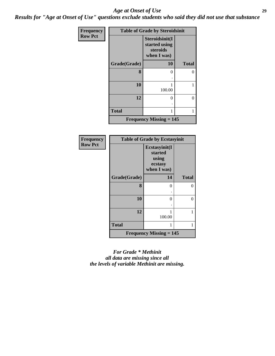#### *Age at Onset of Use* **29**

*Results for "Age at Onset of Use" questions exclude students who said they did not use that substance*

| <b>Frequency</b> | <b>Table of Grade by Steroidsinit</b> |                                                            |              |  |  |
|------------------|---------------------------------------|------------------------------------------------------------|--------------|--|--|
| <b>Row Pct</b>   |                                       | Steroidsinit(I<br>started using<br>steroids<br>when I was) |              |  |  |
|                  | Grade(Grade)                          | 10                                                         | <b>Total</b> |  |  |
|                  | 8                                     | 0                                                          | 0            |  |  |
|                  | 10                                    | 1<br>100.00                                                | 1            |  |  |
|                  | 12                                    | 0                                                          | 0            |  |  |
|                  | <b>Total</b>                          | 1                                                          | 1            |  |  |
|                  |                                       | <b>Frequency Missing <math>= 145</math></b>                |              |  |  |

| Frequency      | <b>Table of Grade by Ecstasyinit</b> |                                                             |                   |  |
|----------------|--------------------------------------|-------------------------------------------------------------|-------------------|--|
| <b>Row Pct</b> |                                      | Ecstasyinit(I<br>started<br>using<br>ecstasy<br>when I was) |                   |  |
|                | Grade(Grade)                         | 14                                                          | <b>Total</b>      |  |
|                | 8                                    | 0                                                           | 0                 |  |
|                | 10                                   | 0                                                           | $\mathbf{\Omega}$ |  |
|                | 12                                   | 100.00                                                      | 1                 |  |
|                | <b>Total</b>                         | 1                                                           | 1                 |  |
|                |                                      | <b>Frequency Missing <math>= 145</math></b>                 |                   |  |

*For Grade \* Methinit all data are missing since all the levels of variable Methinit are missing.*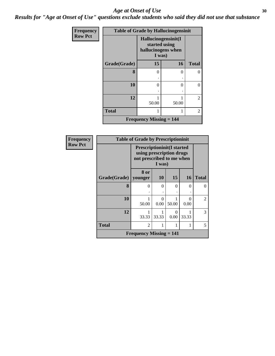#### Age at Onset of Use **30**

*Results for "Age at Onset of Use" questions exclude students who said they did not use that substance*

| Frequency      |              | <b>Table of Grade by Hallucinogensinit</b>                           |       |                |
|----------------|--------------|----------------------------------------------------------------------|-------|----------------|
| <b>Row Pct</b> |              | Hallucinogensinit(I<br>started using<br>hallucinogens when<br>I was) |       |                |
|                | Grade(Grade) | 15                                                                   | 16    | <b>Total</b>   |
|                | 8            | $\overline{0}$                                                       | 0     | 0              |
|                |              |                                                                      |       |                |
|                | 10           | $\theta$                                                             | 0     | $\Omega$       |
|                |              |                                                                      |       |                |
|                | 12           | 50.00                                                                | 50.00 | $\overline{2}$ |
|                | <b>Total</b> | 1                                                                    |       | $\overline{2}$ |
|                |              | <b>Frequency Missing <math>= 144</math></b>                          |       |                |

| Frequency      | <b>Table of Grade by Prescriptioninit</b> |                                                                                                      |                  |                  |                  |                |
|----------------|-------------------------------------------|------------------------------------------------------------------------------------------------------|------------------|------------------|------------------|----------------|
| <b>Row Pct</b> |                                           | <b>Prescriptioninit(I started</b><br>using prescription drugs<br>not prescribed to me when<br>I was) |                  |                  |                  |                |
|                | Grade(Grade)                              | 8 or<br>younger                                                                                      | <b>10</b>        | 15               | 16               | <b>Total</b>   |
|                | 8                                         | 0                                                                                                    | $\theta$         | 0                | 0                | $\Omega$       |
|                | 10                                        | 50.00                                                                                                | $\Omega$<br>0.00 | 50.00            | $\Omega$<br>0.00 | $\mathfrak{D}$ |
|                | 12                                        | 33.33                                                                                                | 33.33            | $\Omega$<br>0.00 | 33.33            | 3              |
|                | <b>Total</b>                              | $\mathfrak{D}$                                                                                       |                  |                  |                  | 5              |
|                |                                           | <b>Frequency Missing <math>= 141</math></b>                                                          |                  |                  |                  |                |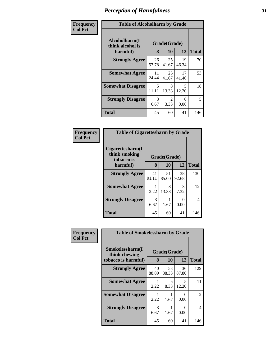| Frequency |  |
|-----------|--|
| Col Pct   |  |

### **Table of Alcoholharm by Grade**

٦

| Table of Alcohomathi by Grauc                 |                                        |                          |             |     |  |  |  |
|-----------------------------------------------|----------------------------------------|--------------------------|-------------|-----|--|--|--|
| Alcoholharm(I<br>think alcohol is<br>harmful) | 8                                      | Grade(Grade)<br>12<br>10 |             |     |  |  |  |
| <b>Strongly Agree</b>                         | 26<br>57.78                            | 25<br>41.67              | 19<br>46.34 | 70  |  |  |  |
| <b>Somewhat Agree</b>                         | 11<br>24.44                            | 53                       |             |     |  |  |  |
| <b>Somewhat Disagree</b>                      | 5<br>5<br>8<br>12.20<br>13.33<br>11.11 |                          |             |     |  |  |  |
| <b>Strongly Disagree</b>                      | 3<br>6.67                              | 2<br>3.33                | 0<br>0.00   | 5   |  |  |  |
| <b>Total</b>                                  | 45                                     | 60                       | 41          | 146 |  |  |  |

| <b>Table of Cigarettesharm by Grade</b>         |              |               |             |     |  |  |  |
|-------------------------------------------------|--------------|---------------|-------------|-----|--|--|--|
| Cigarettesharm(I<br>think smoking<br>tobacco is | Grade(Grade) | <b>Total</b>  |             |     |  |  |  |
| harmful)                                        |              | 12<br>10<br>8 |             |     |  |  |  |
| <b>Strongly Agree</b>                           | 41<br>91.11  | 51<br>85.00   | 38<br>92.68 | 130 |  |  |  |
| <b>Somewhat Agree</b>                           | 2.22         | 8<br>13.33    | 3<br>7.32   | 12  |  |  |  |
| <b>Strongly Disagree</b>                        | 3<br>6.67    | 1.67          | 0.00        | 4   |  |  |  |
| <b>Total</b>                                    | 45           | 60            | 41          | 146 |  |  |  |

| Frequency      | <b>Table of Smokelessharm by Grade</b> |              |             |                |              |  |
|----------------|----------------------------------------|--------------|-------------|----------------|--------------|--|
| <b>Col Pct</b> | Smokelessharm(I<br>think chewing       | Grade(Grade) |             |                |              |  |
|                | tobacco is harmful)                    | 8            | 10          | 12             | <b>Total</b> |  |
|                | <b>Strongly Agree</b>                  | 40<br>88.89  | 53<br>88.33 | 36<br>87.80    | 129          |  |
|                | <b>Somewhat Agree</b>                  | 1<br>2.22    | 5<br>8.33   | 5<br>12.20     | 11           |  |
|                | <b>Somewhat Disagree</b>               | 1<br>2.22    | 1.67        | $_{0}$<br>0.00 | 2            |  |
|                | <b>Strongly Disagree</b>               | 3<br>6.67    | 1.67        | 0<br>0.00      | 4            |  |
|                | <b>Total</b>                           | 45           | 60          | 41             | 146          |  |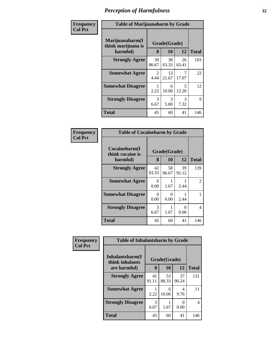| Frequency<br>Col Pct |
|----------------------|
|                      |

Ш

### **Table of Marijuanaharm by Grade**

٦

| Table of Ivialifuananalin by Grauc                |                                  |              |           |     |  |  |  |
|---------------------------------------------------|----------------------------------|--------------|-----------|-----|--|--|--|
| Marijuanaharm(I<br>think marijuana is<br>harmful) | Grade(Grade)<br>8                | <b>Total</b> |           |     |  |  |  |
| <b>Strongly Agree</b>                             | 103                              |              |           |     |  |  |  |
| <b>Somewhat Agree</b>                             | 2<br>4.44                        | 22           |           |     |  |  |  |
| <b>Somewhat Disagree</b>                          | 5<br>6<br>10.00<br>12.20<br>2.22 |              |           |     |  |  |  |
| <b>Strongly Disagree</b>                          | 3<br>6.67                        | 3<br>5.00    | 3<br>7.32 | 9   |  |  |  |
| <b>Total</b>                                      | 45                               | 60           | 41        | 146 |  |  |  |

| <b>Table of Cocaineharm by Grade</b>          |             |                          |             |     |  |  |  |
|-----------------------------------------------|-------------|--------------------------|-------------|-----|--|--|--|
| Cocaineharm(I<br>think cocaine is<br>harmful) | 8           | Grade(Grade)<br>10<br>12 |             |     |  |  |  |
| <b>Strongly Agree</b>                         | 42<br>93.33 | 58<br>96.67              | 39<br>95.12 | 139 |  |  |  |
| <b>Somewhat Agree</b>                         | 0<br>0.00   | 1.67                     | 1<br>2.44   | 2   |  |  |  |
| <b>Somewhat Disagree</b>                      | 0<br>0.00   | 0<br>0.00                | 2.44        | 1   |  |  |  |
| <b>Strongly Disagree</b>                      | 3<br>6.67   | 1.67                     | 0<br>0.00   | 4   |  |  |  |
| <b>Total</b>                                  | 45          | 60                       | 41          | 146 |  |  |  |

| Frequency      | <b>Table of Inhalantsharm by Grade</b> |             |              |                           |              |
|----------------|----------------------------------------|-------------|--------------|---------------------------|--------------|
| <b>Col Pct</b> | Inhalantsharm(I<br>think inhalants     |             | Grade(Grade) |                           |              |
|                | are harmful)                           | 8           | 10           | 12                        | <b>Total</b> |
|                | <b>Strongly Agree</b>                  | 41<br>91.11 | 53<br>88.33  | 37<br>90.24               | 131          |
|                | <b>Somewhat Agree</b>                  | 2.22        | 6<br>10.00   | 4<br>9.76                 | 11           |
|                | <b>Strongly Disagree</b>               | 3<br>6.67   | 1.67         | $\mathbf{\Omega}$<br>0.00 | 4            |
|                | <b>Total</b>                           | 45          | 60           | 41                        | 146          |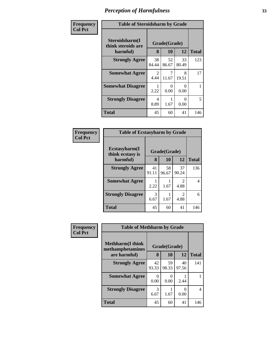| <b>Frequency</b><br>Col Pct |
|-----------------------------|
|                             |

Ш

### **Table of Steroidsharm by Grade**

| Table of biel oldshaftli by Grade                |                               |             |             |     |  |  |  |
|--------------------------------------------------|-------------------------------|-------------|-------------|-----|--|--|--|
| Steroidsharm(I<br>think steroids are<br>harmful) | Grade(Grade)<br>12<br>8<br>10 |             |             |     |  |  |  |
| <b>Strongly Agree</b>                            | 38<br>84.44                   | 52<br>86.67 | 33<br>80.49 | 123 |  |  |  |
| <b>Somewhat Agree</b>                            | 2<br>4.44                     | 11.67       | 8<br>19.51  | 17  |  |  |  |
| <b>Somewhat Disagree</b>                         | 2.22                          | 0.00        | 0.00        | 1   |  |  |  |
| <b>Strongly Disagree</b>                         | 4<br>8.89                     | 1.67        | 0<br>0.00   | 5   |  |  |  |
| Total                                            | 45                            | 60          | 41          | 146 |  |  |  |

| <b>Table of Ecstasyharm by Grade</b>              |             |             |                       |              |  |  |
|---------------------------------------------------|-------------|-------------|-----------------------|--------------|--|--|
| Ecstasyharm(I<br>Grade(Grade)<br>think ecstasy is |             |             |                       |              |  |  |
| harmful)                                          | 8           | 10          | 12                    | <b>Total</b> |  |  |
| <b>Strongly Agree</b>                             | 41<br>91.11 | 58<br>96.67 | 37<br>90.24           | 136          |  |  |
| <b>Somewhat Agree</b>                             | 2.22        | 1.67        | $\mathcal{L}$<br>4.88 | 4            |  |  |
| <b>Strongly Disagree</b>                          | 3<br>6.67   | 1.67        | $\mathcal{L}$<br>4.88 | 6            |  |  |
| <b>Total</b>                                      | 45          | 60          | 41                    | 146          |  |  |

| <b>Frequency</b> |  |
|------------------|--|
| $ $ Col Pct      |  |

| <b>Table of Methharm by Grade</b>                            |             |             |             |              |  |  |
|--------------------------------------------------------------|-------------|-------------|-------------|--------------|--|--|
| <b>Methharm</b> (I think<br>Grade(Grade)<br>methamphetamines |             |             |             |              |  |  |
| are harmful)                                                 | 8           | 10          | 12          | <b>Total</b> |  |  |
| <b>Strongly Agree</b>                                        | 42<br>93.33 | 59<br>98.33 | 40<br>97.56 | 141          |  |  |
| <b>Somewhat Agree</b>                                        | 0<br>0.00   | 0<br>0.00   | 2.44        |              |  |  |
| <b>Strongly Disagree</b>                                     | 3<br>6.67   | 1.67        | 0.00        |              |  |  |
| Total                                                        | 45          | 60          | 41          | 146          |  |  |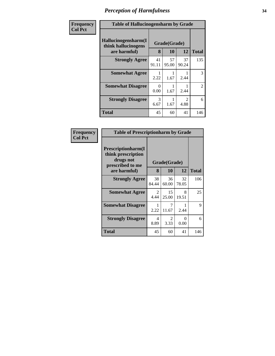| Frequency      | <b>Table of Hallucinogensharm by Grade</b>                 |                  |                    |                                     |                |
|----------------|------------------------------------------------------------|------------------|--------------------|-------------------------------------|----------------|
| <b>Col Pct</b> | Hallucinogensharm(I<br>think hallucinogens<br>are harmful) | 8                | Grade(Grade)<br>10 | 12                                  | <b>Total</b>   |
|                | <b>Strongly Agree</b>                                      | 41<br>91.11      | 57<br>95.00        | 37<br>90.24                         | 135            |
|                | <b>Somewhat Agree</b>                                      | 2.22             | 1.67               | 2.44                                | 3              |
|                | <b>Somewhat Disagree</b>                                   | $\Omega$<br>0.00 | 1.67               | 2.44                                | $\overline{2}$ |
|                | <b>Strongly Disagree</b>                                   | 3<br>6.67        | 1.67               | $\mathcal{D}_{\mathcal{L}}$<br>4.88 | 6              |
|                | <b>Total</b>                                               | 45               | 60                 | 41                                  | 146            |

| <b>Frequency</b> |
|------------------|
| <b>Col Pct</b>   |

| <b>Table of Prescriptionharm by Grade</b>                                         |              |                        |             |              |  |  |  |
|-----------------------------------------------------------------------------------|--------------|------------------------|-------------|--------------|--|--|--|
| <b>Prescriptionharm(I)</b><br>think prescription<br>drugs not<br>prescribed to me | Grade(Grade) |                        |             |              |  |  |  |
| are harmful)                                                                      | 8            | 10                     | 12          | <b>Total</b> |  |  |  |
| <b>Strongly Agree</b>                                                             | 38<br>84.44  | 36<br>60.00            | 32<br>78.05 | 106          |  |  |  |
| <b>Somewhat Agree</b>                                                             | 2<br>4.44    | 15<br>25.00            | 8<br>19.51  | 25           |  |  |  |
| <b>Somewhat Disagree</b>                                                          | 2.22         | 7<br>11.67             | 2.44        | 9            |  |  |  |
| <b>Strongly Disagree</b>                                                          | 4<br>8.89    | $\mathfrak{D}$<br>3.33 | 0<br>0.00   | 6            |  |  |  |
| <b>Total</b>                                                                      | 45           | 60                     | 41          | 146          |  |  |  |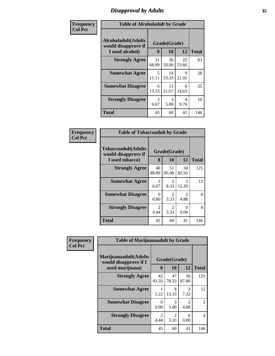# *Disapproval by Adults* **35**

| Frequency      | <b>Table of Alcoholadult by Grade</b>                                 |             |                    |             |              |  |
|----------------|-----------------------------------------------------------------------|-------------|--------------------|-------------|--------------|--|
| <b>Col Pct</b> | <b>Alcoholadult</b> (Adults<br>would disapprove if<br>I used alcohol) | 8           | Grade(Grade)<br>10 | 12          | <b>Total</b> |  |
|                | <b>Strongly Agree</b>                                                 | 31<br>68.89 | 30<br>50.00        | 22<br>53.66 | 83           |  |
|                | <b>Somewhat Agree</b>                                                 | .5<br>11.11 | 14<br>23.33        | 9<br>21.95  | 28           |  |
|                | <b>Somewhat Disagree</b>                                              | 6<br>13.33  | 13<br>21.67        | 6<br>14.63  | 25           |  |
|                | <b>Strongly Disagree</b>                                              | 3<br>6.67   | 3<br>5.00          | 4<br>9.76   | 10           |  |
|                | <b>Total</b>                                                          | 45          | 60                 | 41          | 146          |  |

| Frequency<br>Col Pct |
|----------------------|
|                      |

| <b>Table of Tobaccoadult by Grade</b>                                 |                   |              |             |     |  |  |
|-----------------------------------------------------------------------|-------------------|--------------|-------------|-----|--|--|
| <b>Tobaccoadult</b> (Adults<br>would disapprove if<br>I used tobacco) | Grade(Grade)<br>8 | <b>Total</b> |             |     |  |  |
| <b>Strongly Agree</b>                                                 | 40<br>88.89       | 51<br>85.00  | 34<br>82.93 | 125 |  |  |
| <b>Somewhat Agree</b>                                                 | 3<br>6.67         | 5<br>8.33    | 5<br>12.20  | 13  |  |  |
| <b>Somewhat Disagree</b>                                              | 0<br>0.00         | 2<br>3.33    | 2<br>4.88   | 4   |  |  |
| <b>Strongly Disagree</b>                                              | 2<br>4.44         | 2<br>3.33    | 0<br>0.00   | 4   |  |  |
| Total                                                                 | 45                | 60           | 41          | 146 |  |  |

| Frequency      | <b>Table of Marijuanaadult by Grade</b>                           |             |                        |                        |              |  |  |
|----------------|-------------------------------------------------------------------|-------------|------------------------|------------------------|--------------|--|--|
| <b>Col Pct</b> | Marijuanaadult(Adults<br>would disapprove if I<br>used marijuana) | 8           | Grade(Grade)<br>10     | 12                     | <b>Total</b> |  |  |
|                | <b>Strongly Agree</b>                                             | 42<br>93.33 | 47<br>78.33            | 36<br>87.80            | 125          |  |  |
|                | <b>Somewhat Agree</b>                                             | 2.22        | 8<br>13.33             | 3<br>7.32              | 12           |  |  |
|                | <b>Somewhat Disagree</b>                                          | 0<br>0.00   | 3<br>5.00              | $\mathfrak{D}$<br>4.88 | 5            |  |  |
|                | <b>Strongly Disagree</b>                                          | 2<br>4.44   | $\mathfrak{D}$<br>3.33 | $\Omega$<br>0.00       | 4            |  |  |
|                | <b>Total</b>                                                      | 45          | 60                     | 41                     | 146          |  |  |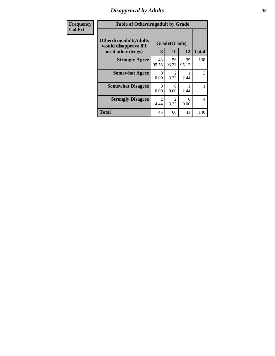# *Disapproval by Adults* **36**

| Frequency<br><b>Col Pct</b> | <b>Table of Otherdrugadult by Grade</b>                                     |                        |                        |                  |                          |
|-----------------------------|-----------------------------------------------------------------------------|------------------------|------------------------|------------------|--------------------------|
|                             | <b>Otherdrugadult</b> (Adults<br>would disapprove if I<br>used other drugs) | 8                      | Grade(Grade)<br>10     | 12               | <b>Total</b>             |
|                             | <b>Strongly Agree</b>                                                       | 43<br>95.56            | 56<br>93.33            | 39<br>95.12      | 138                      |
|                             | <b>Somewhat Agree</b>                                                       | 0<br>0.00              | $\mathfrak{D}$<br>3.33 | 2.44             | 3                        |
|                             | <b>Somewhat Disagree</b>                                                    | 0<br>0.00              | $\Omega$<br>0.00       | 2.44             |                          |
|                             | <b>Strongly Disagree</b>                                                    | $\mathfrak{D}$<br>4.44 | 2<br>3.33              | $\Omega$<br>0.00 | $\overline{\mathcal{A}}$ |
|                             | <b>Total</b>                                                                | 45                     | 60                     | 41               | 146                      |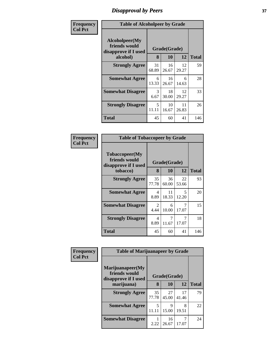## *Disapproval by Peers* **37**

| Frequency      | <b>Table of Alcoholpeer by Grade</b>                    |             |              |             |              |  |  |
|----------------|---------------------------------------------------------|-------------|--------------|-------------|--------------|--|--|
| <b>Col Pct</b> | Alcoholpeer(My<br>friends would<br>disapprove if I used |             | Grade(Grade) |             |              |  |  |
|                | alcohol)                                                | 8           | 10           | 12          | <b>Total</b> |  |  |
|                | <b>Strongly Agree</b>                                   | 31<br>68.89 | 16<br>26.67  | 12<br>29.27 | 59           |  |  |
|                | <b>Somewhat Agree</b>                                   | 6<br>13.33  | 16<br>26.67  | 6<br>14.63  | 28           |  |  |
|                | <b>Somewhat Disagree</b>                                | 3<br>6.67   | 18<br>30.00  | 12<br>29.27 | 33           |  |  |
|                | <b>Strongly Disagree</b>                                | 5<br>11.11  | 10<br>16.67  | 11<br>26.83 | 26           |  |  |
|                | Total                                                   | 45          | 60           | 41          | 146          |  |  |

| Frequency      | <b>Table of Tobaccopeer by Grade</b>                    |                        |              |                                   |              |  |  |
|----------------|---------------------------------------------------------|------------------------|--------------|-----------------------------------|--------------|--|--|
| <b>Col Pct</b> | Tobaccopeer(My<br>friends would<br>disapprove if I used |                        | Grade(Grade) |                                   |              |  |  |
|                | tobacco)                                                | 8                      | 10           | 12                                | <b>Total</b> |  |  |
|                | <b>Strongly Agree</b>                                   | 35<br>77.78            | 36<br>60.00  | 22<br>53.66                       | 93           |  |  |
|                | <b>Somewhat Agree</b>                                   | 4<br>8.89              | 11<br>18.33  | $\overline{\mathcal{L}}$<br>12.20 | 20           |  |  |
|                | <b>Somewhat Disagree</b>                                | $\overline{2}$<br>4.44 | 6<br>10.00   | 7<br>17.07                        | 15           |  |  |
|                | <b>Strongly Disagree</b>                                | 4<br>8.89              | 7<br>11.67   | 17.07                             | 18           |  |  |
|                | Total                                                   | 45                     | 60           | 41                                | 146          |  |  |

| <b>Frequency</b> | <b>Table of Marijuanapeer by Grade</b>                    |             |              |             |              |  |
|------------------|-----------------------------------------------------------|-------------|--------------|-------------|--------------|--|
| <b>Col Pct</b>   | Marijuanapeer(My<br>friends would<br>disapprove if I used |             | Grade(Grade) |             |              |  |
|                  | marijuana)                                                | 8           | 10           | 12          | <b>Total</b> |  |
|                  | <b>Strongly Agree</b>                                     | 35<br>77.78 | 27<br>45.00  | 17<br>41.46 | 79           |  |
|                  | <b>Somewhat Agree</b>                                     | 5<br>11.11  | 9<br>15.00   | 8<br>19.51  | 22           |  |
|                  | <b>Somewhat Disagree</b>                                  | 2.22        | 16<br>26.67  | 7<br>17.07  | 24           |  |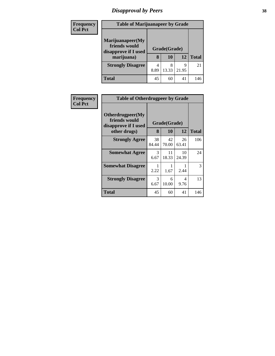## *Disapproval by Peers* **38**

| <b>Frequency</b> | <b>Table of Marijuanapeer by Grade</b>                                  |           |                    |            |              |  |
|------------------|-------------------------------------------------------------------------|-----------|--------------------|------------|--------------|--|
| <b>Col Pct</b>   | Marijuanapeer(My<br>friends would<br>disapprove if I used<br>marijuana) | 8         | Grade(Grade)<br>10 | 12         | <b>Total</b> |  |
|                  | <b>Strongly Disagree</b>                                                | 4<br>8.89 | 8<br>13.33         | 9<br>21.95 | 21           |  |
|                  | <b>Total</b>                                                            | 45        | 60                 | 41         | 146          |  |

| Frequency      | <b>Table of Otherdrugpeer by Grade</b>                    |             |              |             |              |  |  |  |
|----------------|-----------------------------------------------------------|-------------|--------------|-------------|--------------|--|--|--|
| <b>Col Pct</b> | Otherdrugpeer(My<br>friends would<br>disapprove if I used |             | Grade(Grade) |             |              |  |  |  |
|                | other drugs)                                              | 8           | 10           | 12          | <b>Total</b> |  |  |  |
|                | <b>Strongly Agree</b>                                     | 38<br>84.44 | 42<br>70.00  | 26<br>63.41 | 106          |  |  |  |
|                | <b>Somewhat Agree</b>                                     | 3<br>6.67   | 11<br>18.33  | 10<br>24.39 | 24           |  |  |  |
|                | <b>Somewhat Disagree</b>                                  | 2.22        | 1.67         | 2.44        | 3            |  |  |  |
|                | <b>Strongly Disagree</b>                                  | 3<br>6.67   | 6<br>10.00   | 4<br>9.76   | 13           |  |  |  |
|                | Total                                                     | 45          | 60           | 41          | 146          |  |  |  |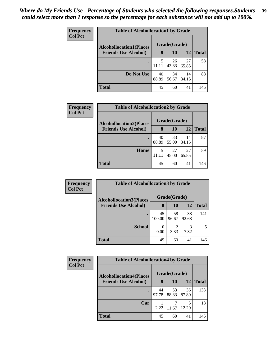| <b>Frequency</b> | <b>Table of Alcohollocation1 by Grade</b> |             |              |             |              |  |  |
|------------------|-------------------------------------------|-------------|--------------|-------------|--------------|--|--|
| <b>Col Pct</b>   | <b>Alcohollocation1(Places</b>            |             | Grade(Grade) |             |              |  |  |
|                  | <b>Friends Use Alcohol)</b>               | 8           | 10           | 12          | <b>Total</b> |  |  |
|                  |                                           | 5<br>11.11  | 26<br>43.33  | 27<br>65.85 | 58           |  |  |
|                  | Do Not Use                                | 40<br>88.89 | 34<br>56.67  | 14<br>34.15 | 88           |  |  |
|                  | <b>Total</b>                              | 45          | 60           | 41          | 146          |  |  |

| Frequency      | <b>Table of Alcohollocation2 by Grade</b> |             |              |             |              |
|----------------|-------------------------------------------|-------------|--------------|-------------|--------------|
| <b>Col Pct</b> | <b>Alcohollocation2(Places</b>            |             | Grade(Grade) |             |              |
|                | <b>Friends Use Alcohol)</b>               | 8           | <b>10</b>    | 12          | <b>Total</b> |
|                |                                           | 40<br>88.89 | 33<br>55.00  | 14<br>34.15 | 87           |
|                | <b>Home</b>                               | 5<br>11.11  | 27<br>45.00  | 27<br>65.85 | 59           |
|                | <b>Total</b>                              | 45          | 60           | 41          | 146          |

| Frequency<br><b>Col Pct</b> | <b>Table of Alcohollocation 3 by Grade</b> |              |              |             |              |
|-----------------------------|--------------------------------------------|--------------|--------------|-------------|--------------|
|                             | <b>Alcohollocation3</b> (Places            |              | Grade(Grade) |             |              |
|                             | <b>Friends Use Alcohol)</b>                | 8            | 10           | 12          | <b>Total</b> |
|                             |                                            | 45<br>100.00 | 58<br>96.67  | 38<br>92.68 | 141          |
|                             | <b>School</b>                              | 0.00         | 3.33         | 3<br>7.32   | 5            |
|                             | <b>Total</b>                               | 45           | 60           | 41          | 146          |

| <b>Frequency</b> | <b>Table of Alcohollocation4 by Grade</b> |             |              |             |              |
|------------------|-------------------------------------------|-------------|--------------|-------------|--------------|
| <b>Col Pct</b>   | <b>Alcohollocation4(Places</b>            |             | Grade(Grade) |             |              |
|                  | <b>Friends Use Alcohol)</b>               | 8           | <b>10</b>    | <b>12</b>   | <b>Total</b> |
|                  |                                           | 44<br>97.78 | 53<br>88.33  | 36<br>87.80 | 133          |
|                  | Car                                       | 2.22        | 11.67        | 5<br>12.20  | 13           |
|                  | <b>Total</b>                              | 45          | 60           | 41          | 146          |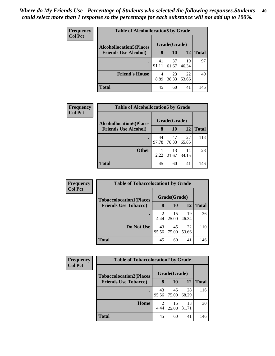| <b>Frequency</b> | <b>Table of Alcohollocation5 by Grade</b> |             |              |             |              |  |  |
|------------------|-------------------------------------------|-------------|--------------|-------------|--------------|--|--|
| <b>Col Pct</b>   | <b>Alcohollocation5</b> (Places           |             | Grade(Grade) |             |              |  |  |
|                  | <b>Friends Use Alcohol)</b>               | 8           | 10           | 12          | <b>Total</b> |  |  |
|                  |                                           | 41<br>91.11 | 37<br>61.67  | 19<br>46.34 | 97           |  |  |
|                  | <b>Friend's House</b>                     | 4<br>8.89   | 23<br>38.33  | 22<br>53.66 | 49           |  |  |
|                  | <b>Total</b>                              | 45          | 60           | 41          | 146          |  |  |

| <b>Frequency</b> | <b>Table of Alcohollocation6 by Grade</b> |             |              |             |              |  |  |  |
|------------------|-------------------------------------------|-------------|--------------|-------------|--------------|--|--|--|
| <b>Col Pct</b>   | <b>Alcohollocation6(Places</b>            |             | Grade(Grade) |             |              |  |  |  |
|                  | <b>Friends Use Alcohol)</b>               | 8           | 10           | 12          | <b>Total</b> |  |  |  |
|                  |                                           | 44<br>97.78 | 47<br>78.33  | 27<br>65.85 | 118          |  |  |  |
|                  | <b>Other</b>                              | 2.22        | 13<br>21.67  | 14<br>34.15 | 28           |  |  |  |
|                  | <b>Total</b>                              | 45          | 60           | 41          | 146          |  |  |  |

| Frequency      | <b>Table of Tobaccolocation1 by Grade</b> |             |              |             |              |  |  |  |
|----------------|-------------------------------------------|-------------|--------------|-------------|--------------|--|--|--|
| <b>Col Pct</b> | <b>Tobaccolocation1(Places</b>            |             | Grade(Grade) |             |              |  |  |  |
|                | <b>Friends Use Tobacco)</b>               | 8           | 10           | 12          | <b>Total</b> |  |  |  |
|                |                                           | 2<br>4.44   | 15<br>25.00  | 19<br>46.34 | 36           |  |  |  |
|                | <b>Do Not Use</b>                         | 43<br>95.56 | 45<br>75.00  | 22<br>53.66 | 110          |  |  |  |
|                | <b>Total</b>                              | 45          | 60           | 41          | 146          |  |  |  |

| <b>Frequency</b><br><b>Col Pct</b> | <b>Table of Tobaccolocation2 by Grade</b> |             |              |             |              |  |  |  |
|------------------------------------|-------------------------------------------|-------------|--------------|-------------|--------------|--|--|--|
|                                    | <b>Tobaccolocation2(Places</b>            |             | Grade(Grade) |             |              |  |  |  |
|                                    | <b>Friends Use Tobacco)</b>               | 8           | <b>10</b>    | 12          | <b>Total</b> |  |  |  |
|                                    |                                           | 43<br>95.56 | 45<br>75.00  | 28<br>68.29 | 116          |  |  |  |
|                                    | Home                                      | 2<br>4.44   | 15<br>25.00  | 13<br>31.71 | 30           |  |  |  |
|                                    | <b>Total</b>                              | 45          | 60           | 41          | 146          |  |  |  |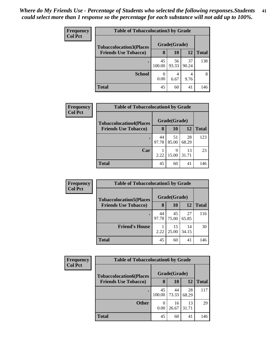| Frequency      | <b>Table of Tobaccolocation 3 by Grade</b> |              |             |             |              |  |  |
|----------------|--------------------------------------------|--------------|-------------|-------------|--------------|--|--|
| <b>Col Pct</b> | <b>Tobaccolocation3(Places</b>             | Grade(Grade) |             |             |              |  |  |
|                | <b>Friends Use Tobacco)</b>                | 8            | 10          | 12          | <b>Total</b> |  |  |
|                | $\bullet$                                  | 45<br>100.00 | 56<br>93.33 | 37<br>90.24 | 138          |  |  |
|                | <b>School</b>                              | 0<br>0.00    | 4<br>6.67   | 9.76        | 8            |  |  |
|                | Total                                      | 45           | 60          | 41          | 146          |  |  |

| Frequency      | <b>Table of Tobaccolocation4 by Grade</b> |              |             |             |              |  |  |  |
|----------------|-------------------------------------------|--------------|-------------|-------------|--------------|--|--|--|
| <b>Col Pct</b> | <b>Tobaccolocation4(Places</b>            | Grade(Grade) |             |             |              |  |  |  |
|                | <b>Friends Use Tobacco)</b>               | 8            | 10          | 12          | <b>Total</b> |  |  |  |
|                | ٠                                         | 44<br>97.78  | 51<br>85.00 | 28<br>68.29 | 123          |  |  |  |
|                | Car                                       | 2.22         | 9<br>15.00  | 13<br>31.71 | 23           |  |  |  |
|                | <b>Total</b>                              | 45           | 60          | 41          | 146          |  |  |  |

| <b>Frequency</b> | <b>Table of Tobaccolocation5 by Grade</b> |             |              |             |              |  |
|------------------|-------------------------------------------|-------------|--------------|-------------|--------------|--|
| <b>Col Pct</b>   | <b>Tobaccolocation5(Places</b>            |             | Grade(Grade) |             |              |  |
|                  | <b>Friends Use Tobacco)</b>               | 8           | 10           | 12          | <b>Total</b> |  |
|                  |                                           | 44<br>97.78 | 45<br>75.00  | 27<br>65.85 | 116          |  |
|                  | <b>Friend's House</b>                     | 2.22        | 15<br>25.00  | 14<br>34.15 | 30           |  |
|                  | <b>Total</b>                              | 45          | 60           | 41          | 146          |  |

| <b>Frequency</b> | <b>Table of Tobaccolocation6 by Grade</b> |              |             |             |              |  |  |  |  |
|------------------|-------------------------------------------|--------------|-------------|-------------|--------------|--|--|--|--|
| <b>Col Pct</b>   | <b>Tobaccolocation6(Places</b>            | Grade(Grade) |             |             |              |  |  |  |  |
|                  | <b>Friends Use Tobacco)</b>               | 8            | 10          | 12          | <b>Total</b> |  |  |  |  |
|                  |                                           | 45<br>100.00 | 44<br>73.33 | 28<br>68.29 | 117          |  |  |  |  |
|                  | <b>Other</b>                              | 0<br>0.00    | 16<br>26.67 | 13<br>31.71 | 29           |  |  |  |  |
|                  | Total                                     | 45           | 60          | 41          | 146          |  |  |  |  |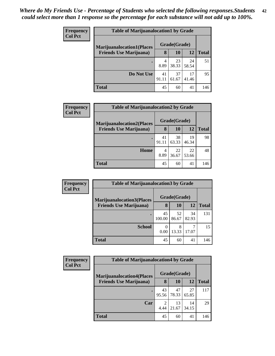| <b>Frequency</b> |                                  | <b>Table of Marijuanalocation1 by Grade</b> |              |             |              |  |
|------------------|----------------------------------|---------------------------------------------|--------------|-------------|--------------|--|
| <b>Col Pct</b>   | <b>Marijuanalocation1(Places</b> |                                             | Grade(Grade) |             |              |  |
|                  | <b>Friends Use Marijuana</b> )   | 8                                           | 10           | 12          | <b>Total</b> |  |
|                  |                                  | 4<br>8.89                                   | 23<br>38.33  | 24<br>58.54 | 51           |  |
|                  | Do Not Use                       | 41<br>91.11                                 | 37<br>61.67  | 17<br>41.46 | 95           |  |
|                  | <b>Total</b>                     | 45                                          | 60           | 41          | 146          |  |

| <b>Frequency</b> | <b>Table of Marijuanalocation2 by Grade</b> |             |              |             |              |
|------------------|---------------------------------------------|-------------|--------------|-------------|--------------|
| <b>Col Pct</b>   | <b>Marijuanalocation2(Places)</b>           |             | Grade(Grade) |             |              |
|                  | <b>Friends Use Marijuana</b> )              | 8           | <b>10</b>    | 12          | <b>Total</b> |
|                  |                                             | 41<br>91.11 | 38<br>63.33  | 19<br>46.34 | 98           |
|                  | Home                                        | 4<br>8.89   | 22<br>36.67  | 22<br>53.66 | 48           |
|                  | <b>Total</b>                                | 45          | 60           | 41          | 146          |

| Frequency      | <b>Table of Marijuanalocation3 by Grade</b> |              |              |             |              |  |  |
|----------------|---------------------------------------------|--------------|--------------|-------------|--------------|--|--|
| <b>Col Pct</b> | <b>Marijuanalocation3(Places</b>            |              | Grade(Grade) |             |              |  |  |
|                | <b>Friends Use Marijuana</b> )              | 8            | 10           | 12          | <b>Total</b> |  |  |
|                |                                             | 45<br>100.00 | 52<br>86.67  | 34<br>82.93 | 131          |  |  |
|                | <b>School</b>                               | 0<br>0.00    | 8<br>13.33   | 17.07       | 15           |  |  |
|                | <b>Total</b>                                | 45           | 60           | 41          | 146          |  |  |

| <b>Frequency</b> | <b>Table of Marijuanalocation4 by Grade</b> |             |              |             |              |  |  |  |
|------------------|---------------------------------------------|-------------|--------------|-------------|--------------|--|--|--|
| <b>Col Pct</b>   | <b>Marijuanalocation4(Places</b>            |             | Grade(Grade) |             |              |  |  |  |
|                  | <b>Friends Use Marijuana</b> )              | 8           | 10           | 12          | <b>Total</b> |  |  |  |
|                  |                                             | 43<br>95.56 | 47<br>78.33  | 27<br>65.85 | 117          |  |  |  |
|                  | Car                                         | 2<br>4.44   | 13<br>21.67  | 14<br>34.15 | 29           |  |  |  |
|                  | <b>Total</b>                                | 45          | 60           | 41          | 146          |  |  |  |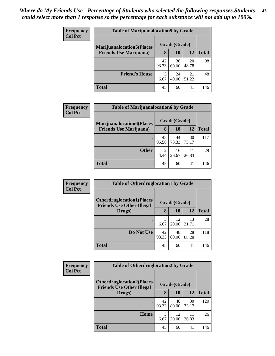| <b>Frequency</b><br><b>Col Pct</b> | <b>Table of Marijuanalocation5 by Grade</b> |              |             |             |              |  |  |
|------------------------------------|---------------------------------------------|--------------|-------------|-------------|--------------|--|--|
|                                    | <b>Marijuanalocation5</b> (Places           | Grade(Grade) |             |             |              |  |  |
|                                    | <b>Friends Use Marijuana</b> )              | 8            | 10          | 12          | <b>Total</b> |  |  |
|                                    | ٠                                           | 42<br>93.33  | 36<br>60.00 | 20<br>48.78 | 98           |  |  |
|                                    | <b>Friend's House</b>                       | 3<br>6.67    | 24<br>40.00 | 21<br>51.22 | 48           |  |  |
|                                    | <b>Total</b>                                | 45           | 60          | 41          | 146          |  |  |

| Frequency      | <b>Table of Marijuanalocation6 by Grade</b> |             |              |             |              |  |  |
|----------------|---------------------------------------------|-------------|--------------|-------------|--------------|--|--|
| <b>Col Pct</b> | <b>Marijuanalocation6(Places</b>            |             | Grade(Grade) |             |              |  |  |
|                | <b>Friends Use Marijuana</b> )              | 8           | 10           | 12          | <b>Total</b> |  |  |
|                |                                             | 43<br>95.56 | 44<br>73.33  | 30<br>73.17 | 117          |  |  |
|                | <b>Other</b>                                | 2<br>4.44   | 16<br>26.67  | 11<br>26.83 | 29           |  |  |
|                | <b>Total</b>                                | 45          | 60           | 41          | 146          |  |  |

| <b>Frequency</b> | <b>Table of Otherdruglocation1 by Grade</b>                          |             |              |             |              |  |  |
|------------------|----------------------------------------------------------------------|-------------|--------------|-------------|--------------|--|--|
| <b>Col Pct</b>   | <b>Otherdruglocation1(Places</b><br><b>Friends Use Other Illegal</b> |             | Grade(Grade) |             |              |  |  |
|                  | Drugs)                                                               | 8           | 10           | 12          | <b>Total</b> |  |  |
|                  |                                                                      | 3<br>6.67   | 12<br>20.00  | 13<br>31.71 | 28           |  |  |
|                  | Do Not Use                                                           | 42<br>93.33 | 48<br>80.00  | 28<br>68.29 | 118          |  |  |
|                  | <b>Total</b>                                                         | 45          | 60           | 41          | 146          |  |  |

| <b>Frequency</b> | <b>Table of Otherdruglocation2 by Grade</b>                           |             |              |             |              |  |
|------------------|-----------------------------------------------------------------------|-------------|--------------|-------------|--------------|--|
| <b>Col Pct</b>   | <b>Otherdruglocation2(Places)</b><br><b>Friends Use Other Illegal</b> |             | Grade(Grade) |             |              |  |
|                  | Drugs)                                                                | 8           | 10           | 12          | <b>Total</b> |  |
|                  | $\bullet$                                                             | 42<br>93.33 | 48<br>80.00  | 30<br>73.17 | 120          |  |
|                  | Home                                                                  | 3<br>6.67   | 12<br>20.00  | 11<br>26.83 | 26           |  |
|                  | <b>Total</b>                                                          | 45          | 60           | 41          | 146          |  |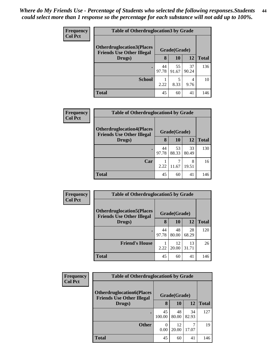| <b>Frequency</b> | <b>Table of Otherdruglocation 3 by Grade</b>                         |             |              |             |              |
|------------------|----------------------------------------------------------------------|-------------|--------------|-------------|--------------|
| <b>Col Pct</b>   | <b>Otherdruglocation3(Places</b><br><b>Friends Use Other Illegal</b> |             | Grade(Grade) |             |              |
|                  | Drugs)                                                               | 8           | <b>10</b>    | 12          | <b>Total</b> |
|                  | $\bullet$                                                            | 44<br>97.78 | 55<br>91.67  | 37<br>90.24 | 136          |
|                  | <b>School</b>                                                        | 2.22        | 5<br>8.33    | 4<br>9.76   | 10           |
|                  | <b>Total</b>                                                         | 45          | 60           | 41          | 146          |

| <b>Frequency</b><br><b>Col Pct</b> | <b>Table of Otherdruglocation4 by Grade</b>                          |             |              |             |              |  |  |
|------------------------------------|----------------------------------------------------------------------|-------------|--------------|-------------|--------------|--|--|
|                                    | <b>Otherdruglocation4(Places</b><br><b>Friends Use Other Illegal</b> |             | Grade(Grade) |             |              |  |  |
|                                    | Drugs)                                                               | 8           | <b>10</b>    | 12          | <b>Total</b> |  |  |
|                                    | $\bullet$                                                            | 44<br>97.78 | 53<br>88.33  | 33<br>80.49 | 130          |  |  |
|                                    | Car                                                                  | 2.22        | 11.67        | 8<br>19.51  | 16           |  |  |
|                                    | <b>Total</b>                                                         | 45          | 60           | 41          | 146          |  |  |

| <b>Frequency</b> | <b>Table of Otherdruglocation5 by Grade</b>                           |             |              |             |              |  |
|------------------|-----------------------------------------------------------------------|-------------|--------------|-------------|--------------|--|
| <b>Col Pct</b>   | <b>Otherdruglocation5</b> (Places<br><b>Friends Use Other Illegal</b> |             | Grade(Grade) |             |              |  |
|                  | Drugs)                                                                | 8           | 10           | 12          | <b>Total</b> |  |
|                  | $\bullet$                                                             | 44<br>97.78 | 48<br>80.00  | 28<br>68.29 | 120          |  |
|                  | <b>Friend's House</b>                                                 | 2.22        | 12<br>20.00  | 13<br>31.71 | 26           |  |
|                  | Total                                                                 | 45          | 60           | 41          | 146          |  |

| <b>Frequency</b>                                                                       | <b>Table of Otherdruglocation6 by Grade</b> |                  |              |             |              |
|----------------------------------------------------------------------------------------|---------------------------------------------|------------------|--------------|-------------|--------------|
| <b>Col Pct</b><br><b>Otherdruglocation6(Places</b><br><b>Friends Use Other Illegal</b> |                                             |                  | Grade(Grade) |             |              |
|                                                                                        | Drugs)                                      | 8                | 10           | 12          | <b>Total</b> |
|                                                                                        |                                             | 45<br>100.00     | 48<br>80.00  | 34<br>82.93 | 127          |
|                                                                                        | <b>Other</b>                                | $\theta$<br>0.00 | 12<br>20.00  | 7<br>17.07  | 19           |
|                                                                                        | <b>Total</b>                                | 45               | 60           | 41          | 146          |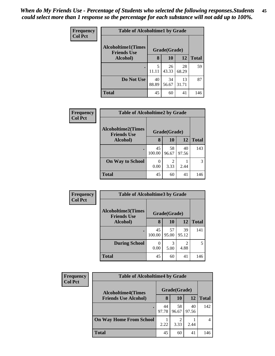| <b>Frequency</b><br><b>Col Pct</b> | <b>Table of Alcoholtime1 by Grade</b>           |             |              |             |              |  |
|------------------------------------|-------------------------------------------------|-------------|--------------|-------------|--------------|--|
|                                    | <b>Alcoholtime1(Times</b><br><b>Friends Use</b> |             | Grade(Grade) |             |              |  |
|                                    | Alcohol)                                        | 8           | 10           | <b>12</b>   | <b>Total</b> |  |
|                                    |                                                 | 5<br>11.11  | 26<br>43.33  | 28<br>68.29 | 59           |  |
|                                    | Do Not Use                                      | 40<br>88.89 | 34<br>56.67  | 13<br>31.71 | 87           |  |
|                                    | <b>Total</b>                                    | 45          | 60           | 41          | 146          |  |

| <b>Frequency</b> |                                                 | <b>Table of Alcoholtime2 by Grade</b> |             |             |              |  |  |
|------------------|-------------------------------------------------|---------------------------------------|-------------|-------------|--------------|--|--|
| <b>Col Pct</b>   | <b>Alcoholtime2(Times</b><br><b>Friends Use</b> | Grade(Grade)                          |             |             |              |  |  |
|                  | Alcohol)                                        | 8                                     | 10          | 12          | <b>Total</b> |  |  |
|                  | ٠                                               | 45<br>100.00                          | 58<br>96.67 | 40<br>97.56 | 143          |  |  |
|                  | <b>On Way to School</b>                         | $\mathbf{\Omega}$<br>0.00             | 3.33        | 2.44        |              |  |  |
|                  | <b>Total</b>                                    | 45                                    | 60          | 41          | 146          |  |  |

| Frequency<br><b>Col Pct</b> | <b>Table of Alcoholtime3 by Grade</b>           |              |              |                        |              |  |  |
|-----------------------------|-------------------------------------------------|--------------|--------------|------------------------|--------------|--|--|
|                             | <b>Alcoholtime3(Times</b><br><b>Friends Use</b> |              | Grade(Grade) |                        |              |  |  |
|                             | Alcohol)                                        | 8            | 10           | 12                     | <b>Total</b> |  |  |
|                             | $\bullet$                                       | 45<br>100.00 | 57<br>95.00  | 39<br>95.12            | 141          |  |  |
|                             | <b>During School</b>                            | 0<br>0.00    | 3<br>5.00    | $\mathfrak{D}$<br>4.88 | 5            |  |  |
|                             | <b>Total</b>                                    | 45           | 60           | 41                     | 146          |  |  |

| Frequency      | <b>Table of Alcoholtime4 by Grade</b> |             |                        |             |              |  |  |
|----------------|---------------------------------------|-------------|------------------------|-------------|--------------|--|--|
| <b>Col Pct</b> | <b>Alcoholtime4(Times</b>             |             | Grade(Grade)           |             |              |  |  |
|                | <b>Friends Use Alcohol)</b>           | 8           | 10                     | <b>12</b>   | <b>Total</b> |  |  |
|                |                                       | 44<br>97.78 | 58<br>96.67            | 40<br>97.56 | 142          |  |  |
|                | <b>On Way Home From School</b>        | 2.22        | $\overline{c}$<br>3.33 | 2.44        |              |  |  |
|                | <b>Total</b>                          | 45          | 60                     | 41          | 146          |  |  |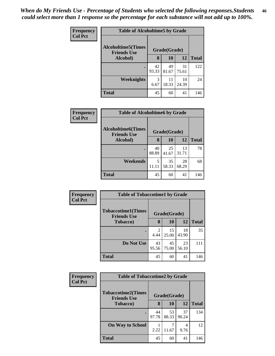| <b>Frequency</b> | <b>Table of Alcoholtime5 by Grade</b>           |             |              |             |              |  |
|------------------|-------------------------------------------------|-------------|--------------|-------------|--------------|--|
| <b>Col Pct</b>   | <b>Alcoholtime5(Times</b><br><b>Friends Use</b> |             | Grade(Grade) |             |              |  |
|                  | Alcohol)                                        | 8           | 10           | <b>12</b>   | <b>Total</b> |  |
|                  |                                                 | 42<br>93.33 | 49<br>81.67  | 31<br>75.61 | 122          |  |
|                  | <b>Weeknights</b>                               | 3<br>6.67   | 11<br>18.33  | 10<br>24.39 | 24           |  |
|                  | <b>Total</b>                                    | 45          | 60           | 41          | 146          |  |

| <b>Frequency</b> | <b>Table of Alcoholtime6 by Grade</b>           |             |              |             |              |  |
|------------------|-------------------------------------------------|-------------|--------------|-------------|--------------|--|
| <b>Col Pct</b>   | <b>Alcoholtime6(Times</b><br><b>Friends Use</b> |             | Grade(Grade) |             |              |  |
|                  | Alcohol)                                        | 8           | 10           | 12          | <b>Total</b> |  |
|                  |                                                 | 40<br>88.89 | 25<br>41.67  | 13<br>31.71 | 78           |  |
|                  | Weekends                                        | 5<br>11.11  | 35<br>58.33  | 28<br>68.29 | 68           |  |
|                  | <b>Total</b>                                    | 45          | 60           | 41          | 146          |  |

| <b>Frequency</b> | <b>Table of Tobaccotime1 by Grade</b>                           |             |             |             |              |
|------------------|-----------------------------------------------------------------|-------------|-------------|-------------|--------------|
| <b>Col Pct</b>   | <b>Tobaccotime1(Times</b><br>Grade(Grade)<br><b>Friends Use</b> |             |             |             |              |
|                  | <b>Tobacco</b> )                                                | 8           | 10          | <b>12</b>   | <b>Total</b> |
|                  |                                                                 | 2<br>4.44   | 15<br>25.00 | 18<br>43.90 | 35           |
|                  | Do Not Use                                                      | 43<br>95.56 | 45<br>75.00 | 23<br>56.10 | 111          |
|                  | <b>Total</b>                                                    | 45          | 60          | 41          | 146          |

| <b>Frequency</b> | <b>Table of Tobaccotime2 by Grade</b>                           |             |             |             |              |  |
|------------------|-----------------------------------------------------------------|-------------|-------------|-------------|--------------|--|
| <b>Col Pct</b>   | <b>Tobaccotime2(Times</b><br>Grade(Grade)<br><b>Friends Use</b> |             |             |             |              |  |
|                  | <b>Tobacco</b> )                                                | 8           | 10          | 12          | <b>Total</b> |  |
|                  |                                                                 | 44<br>97.78 | 53<br>88.33 | 37<br>90.24 | 134          |  |
|                  | <b>On Way to School</b>                                         | 2.22        | 11.67       | 4<br>9.76   | 12           |  |
|                  | <b>Total</b>                                                    | 45          | 60          | 41          | 146          |  |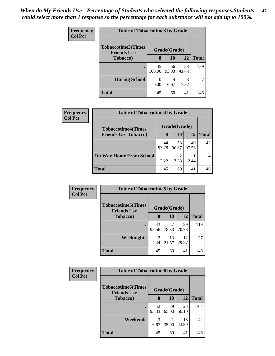| <b>Frequency</b><br><b>Col Pct</b> | <b>Table of Tobaccotime3 by Grade</b>           |              |             |             |              |  |
|------------------------------------|-------------------------------------------------|--------------|-------------|-------------|--------------|--|
|                                    | <b>Tobaccotime3(Times</b><br><b>Friends Use</b> | Grade(Grade) |             |             |              |  |
|                                    | <b>Tobacco</b> )                                | 8            | 10          | 12          | <b>Total</b> |  |
|                                    | $\bullet$                                       | 45<br>100.00 | 56<br>93.33 | 38<br>92.68 | 139          |  |
|                                    | <b>During School</b>                            | 0.00         | 4<br>6.67   | 3<br>7.32   | 7            |  |
|                                    | <b>Total</b>                                    | 45           | 60          | 41          | 146          |  |

| Frequency<br><b>Col Pct</b> | <b>Table of Tobaccotime4 by Grade</b>                    |             |              |             |              |  |  |
|-----------------------------|----------------------------------------------------------|-------------|--------------|-------------|--------------|--|--|
|                             | <b>Tobaccotime4(Times</b><br><b>Friends Use Tobacco)</b> |             | Grade(Grade) |             |              |  |  |
|                             |                                                          | 8           | 10           | 12          | <b>Total</b> |  |  |
|                             |                                                          | 44<br>97.78 | 58<br>96.67  | 40<br>97.56 | 142          |  |  |
|                             | <b>On Way Home From School</b>                           | 2.22        | 2<br>3.33    | 2.44        |              |  |  |
|                             | <b>Total</b>                                             | 45          | 60           | 41          | 146          |  |  |

| <b>Frequency</b> | <b>Table of Tobaccotime5 by Grade</b>           |             |              |             |              |  |
|------------------|-------------------------------------------------|-------------|--------------|-------------|--------------|--|
| <b>Col Pct</b>   | <b>Tobaccotime5(Times</b><br><b>Friends Use</b> |             | Grade(Grade) |             |              |  |
|                  | <b>Tobacco</b> )                                | 8           | 10           | 12          | <b>Total</b> |  |
|                  |                                                 | 43<br>95.56 | 47<br>78.33  | 29<br>70.73 | 119          |  |
|                  | Weeknights                                      | 2<br>4.44   | 13<br>21.67  | 12<br>29.27 | 27           |  |
|                  | <b>Total</b>                                    | 45          | 60           | 41          | 146          |  |

| <b>Frequency</b> | <b>Table of Tobaccotime6 by Grade</b>                           |             |             |             |              |  |
|------------------|-----------------------------------------------------------------|-------------|-------------|-------------|--------------|--|
| <b>Col Pct</b>   | <b>Tobaccotime6(Times</b><br>Grade(Grade)<br><b>Friends Use</b> |             |             |             |              |  |
|                  | <b>Tobacco</b> )                                                | 8           | <b>10</b>   | 12          | <b>Total</b> |  |
|                  |                                                                 | 42<br>93.33 | 39<br>65.00 | 23<br>56.10 | 104          |  |
|                  | Weekends                                                        | 3<br>6.67   | 21<br>35.00 | 18<br>43.90 | 42           |  |
|                  | <b>Total</b>                                                    | 45          | 60          | 41          | 146          |  |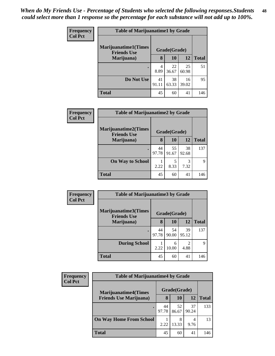| <b>Frequency</b> | <b>Table of Marijuanatime1 by Grade</b>           |             |              |             |              |  |
|------------------|---------------------------------------------------|-------------|--------------|-------------|--------------|--|
| <b>Col Pct</b>   | <b>Marijuanatime1(Times</b><br><b>Friends Use</b> |             | Grade(Grade) |             |              |  |
|                  | Marijuana)                                        | 8           | 10           | 12          | <b>Total</b> |  |
|                  | ٠                                                 | 4<br>8.89   | 22<br>36.67  | 25<br>60.98 | 51           |  |
|                  | Do Not Use                                        | 41<br>91.11 | 38<br>63.33  | 16<br>39.02 | 95           |  |
|                  | <b>Total</b>                                      | 45          | 60           | 41          | 146          |  |

| Frequency      | <b>Table of Marijuanatime2 by Grade</b>           |             |              |             |              |
|----------------|---------------------------------------------------|-------------|--------------|-------------|--------------|
| <b>Col Pct</b> | <b>Marijuanatime2(Times</b><br><b>Friends Use</b> |             | Grade(Grade) |             |              |
|                | Marijuana)                                        | 8           | <b>10</b>    | 12          | <b>Total</b> |
|                |                                                   | 44<br>97.78 | 55<br>91.67  | 38<br>92.68 | 137          |
|                | <b>On Way to School</b>                           | 2.22        | 5<br>8.33    | 3<br>7.32   | 9            |
|                | <b>Total</b>                                      | 45          | 60           | 41          | 146          |

| Frequency      | <b>Table of Marijuanatime3 by Grade</b>    |             |              |                        |              |  |
|----------------|--------------------------------------------|-------------|--------------|------------------------|--------------|--|
| <b>Col Pct</b> | Marijuanatime3(Times<br><b>Friends Use</b> |             | Grade(Grade) |                        |              |  |
|                | Marijuana)                                 | 8           | 10           | 12                     | <b>Total</b> |  |
|                | $\bullet$                                  | 44<br>97.78 | 54<br>90.00  | 39<br>95.12            | 137          |  |
|                | <b>During School</b>                       | 2.22        | 6<br>10.00   | $\overline{2}$<br>4.88 | $\mathbf Q$  |  |
|                | <b>Total</b>                               | 45          | 60           | 41                     | 146          |  |

| <b>Frequency</b> | <b>Table of Marijuanatime4 by Grade</b>                        |             |              |             |              |  |
|------------------|----------------------------------------------------------------|-------------|--------------|-------------|--------------|--|
| <b>Col Pct</b>   | <b>Marijuanatime4</b> (Times<br><b>Friends Use Marijuana</b> ) |             | Grade(Grade) |             |              |  |
|                  |                                                                | 8           | 10           | 12          | <b>Total</b> |  |
|                  |                                                                | 44<br>97.78 | 52<br>86.67  | 37<br>90.24 | 133          |  |
|                  | <b>On Way Home From School</b>                                 | 2.22        | 8<br>13.33   | 4<br>9.76   | 13           |  |
|                  | <b>Total</b>                                                   | 45          | 60           | 41          | 146          |  |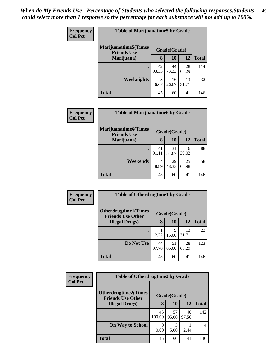| Frequency      | <b>Table of Marijuanatime5 by Grade</b>            |             |              |             |              |  |
|----------------|----------------------------------------------------|-------------|--------------|-------------|--------------|--|
| <b>Col Pct</b> | <b>Marijuanatime5</b> (Times<br><b>Friends Use</b> |             | Grade(Grade) |             |              |  |
|                | Marijuana)                                         | 8           | 10           | 12          | <b>Total</b> |  |
|                | $\bullet$                                          | 42<br>93.33 | 44<br>73.33  | 28<br>68.29 | 114          |  |
|                | Weeknights                                         | 3<br>6.67   | 16<br>26.67  | 13<br>31.71 | 32           |  |
|                | <b>Total</b>                                       | 45          | 60           | 41          | 146          |  |

| <b>Frequency</b> | <b>Table of Marijuanatime6 by Grade</b>            |             |              |             |              |  |
|------------------|----------------------------------------------------|-------------|--------------|-------------|--------------|--|
| <b>Col Pct</b>   | <b>Marijuanatime6</b> (Times<br><b>Friends Use</b> |             | Grade(Grade) |             |              |  |
|                  | Marijuana)                                         | 8           | 10           | 12          | <b>Total</b> |  |
|                  |                                                    | 41<br>91.11 | 31<br>51.67  | 16<br>39.02 | 88           |  |
|                  | Weekends                                           | 4<br>8.89   | 29<br>48.33  | 25<br>60.98 | 58           |  |
|                  | <b>Total</b>                                       | 45          | 60           | 41          | 146          |  |

| Frequency      | <b>Table of Otherdrugtime1 by Grade</b>                 |             |              |             |              |
|----------------|---------------------------------------------------------|-------------|--------------|-------------|--------------|
| <b>Col Pct</b> | <b>Otherdrugtime1(Times</b><br><b>Friends Use Other</b> |             | Grade(Grade) |             |              |
|                | <b>Illegal Drugs</b> )                                  | 8           | <b>10</b>    | 12          | <b>Total</b> |
|                | ٠                                                       | 2.22        | 9<br>15.00   | 13<br>31.71 | 23           |
|                | Do Not Use                                              | 44<br>97.78 | 51<br>85.00  | 28<br>68.29 | 123          |
|                | <b>Total</b>                                            | 45          | 60           | 41          | 146          |

| <b>Frequency</b> | <b>Table of Otherdrugtime2 by Grade</b>                 |              |              |             |              |
|------------------|---------------------------------------------------------|--------------|--------------|-------------|--------------|
| <b>Col Pct</b>   | <b>Otherdrugtime2(Times</b><br><b>Friends Use Other</b> |              | Grade(Grade) |             |              |
|                  | <b>Illegal Drugs</b> )                                  | 8            | 10           | 12          | <b>Total</b> |
|                  |                                                         | 45<br>100.00 | 57<br>95.00  | 40<br>97.56 | 142          |
|                  | <b>On Way to School</b>                                 | 0.00         | 5.00         | 2.44        | 4            |
|                  | <b>Total</b>                                            | 45           | 60           | 41          | 146          |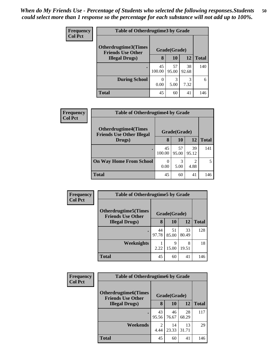| <b>Frequency</b> | <b>Table of Otherdrugtime3 by Grade</b>          |                  |              |             |              |
|------------------|--------------------------------------------------|------------------|--------------|-------------|--------------|
| <b>Col Pct</b>   | Otherdrugtime3(Times<br><b>Friends Use Other</b> |                  | Grade(Grade) |             |              |
|                  | <b>Illegal Drugs</b> )                           | 8                | 10           | 12          | <b>Total</b> |
|                  | $\bullet$                                        | 45<br>100.00     | 57<br>95.00  | 38<br>92.68 | 140          |
|                  | <b>During School</b>                             | $\Omega$<br>0.00 | 3<br>5.00    | 3<br>7.32   | 6            |
|                  | <b>Total</b>                                     | 45               | 60           | 41          | 146          |

| <b>Frequency</b> | <b>Table of Otherdrugtime4 by Grade</b>                         |                  |              |                        |              |  |
|------------------|-----------------------------------------------------------------|------------------|--------------|------------------------|--------------|--|
| <b>Col Pct</b>   | <b>Otherdrugtime4(Times</b><br><b>Friends Use Other Illegal</b> |                  | Grade(Grade) |                        |              |  |
|                  | Drugs)                                                          | 8                | <b>10</b>    | 12                     | <b>Total</b> |  |
|                  |                                                                 | 45<br>100.00     | 57<br>95.00  | 39<br>95.12            | 141          |  |
|                  | <b>On Way Home From School</b>                                  | $\theta$<br>0.00 | 5.00         | $\overline{2}$<br>4.88 | 5            |  |
|                  | <b>Total</b>                                                    | 45               | 60           | 41                     | 146          |  |

| Frequency      | <b>Table of Otherdrugtime5 by Grade</b>                  |             |              |             |              |
|----------------|----------------------------------------------------------|-------------|--------------|-------------|--------------|
| <b>Col Pct</b> | <b>Otherdrugtime5</b> (Times<br><b>Friends Use Other</b> |             | Grade(Grade) |             |              |
|                | <b>Illegal Drugs</b> )                                   | 8           | 10           | 12          | <b>Total</b> |
|                |                                                          | 44<br>97.78 | 51<br>85.00  | 33<br>80.49 | 128          |
|                | Weeknights                                               | 2.22        | 9<br>15.00   | 8<br>19.51  | 18           |
|                | <b>Total</b>                                             | 45          | 60           | 41          | 146          |

| <b>Frequency</b> | <b>Table of Otherdrugtime6 by Grade</b>                  |                        |              |             |              |
|------------------|----------------------------------------------------------|------------------------|--------------|-------------|--------------|
| <b>Col Pct</b>   | <b>Otherdrugtime6</b> (Times<br><b>Friends Use Other</b> |                        | Grade(Grade) |             |              |
|                  | <b>Illegal Drugs)</b>                                    | 8                      | 10           | 12          | <b>Total</b> |
|                  | $\bullet$                                                | 43<br>95.56            | 46<br>76.67  | 28<br>68.29 | 117          |
|                  | Weekends                                                 | $\mathfrak{D}$<br>4.44 | 14<br>23.33  | 13<br>31.71 | 29           |
|                  | <b>Total</b>                                             | 45                     | 60           | 41          | 146          |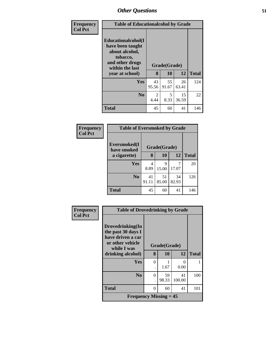| Frequency<br><b>Col Pct</b> |                                                                                                            | <b>Table of Educationalcohol by Grade</b> |              |             |              |  |
|-----------------------------|------------------------------------------------------------------------------------------------------------|-------------------------------------------|--------------|-------------|--------------|--|
|                             | Educationalcohol(I<br>have been taught<br>about alcohol,<br>tobacco,<br>and other drugs<br>within the last |                                           | Grade(Grade) |             |              |  |
|                             | year at school)                                                                                            | 8                                         | 10           | 12          | <b>Total</b> |  |
|                             | <b>Yes</b>                                                                                                 | 43<br>95.56                               | 55<br>91.67  | 26<br>63.41 | 124          |  |
|                             | No.                                                                                                        | 2<br>4.44                                 | 5<br>8.33    | 15<br>36.59 | 22           |  |
|                             | <b>Total</b>                                                                                               | 45                                        | 60           | 41          | 146          |  |

| Frequency      | <b>Table of Eversmoked by Grade</b> |             |              |             |              |  |  |  |
|----------------|-------------------------------------|-------------|--------------|-------------|--------------|--|--|--|
| <b>Col Pct</b> | Eversmoked(I<br>have smoked         |             | Grade(Grade) |             |              |  |  |  |
|                | a cigarette)                        | 8           | 10           | 12          | <b>Total</b> |  |  |  |
|                | Yes                                 | 4<br>8.89   | 9<br>15.00   | 17.07       | 20           |  |  |  |
|                | N <sub>0</sub>                      | 41<br>91.11 | 51<br>85.00  | 34<br>82.93 | 126          |  |  |  |
|                | <b>Total</b>                        | 45          | 60           | 41          | 146          |  |  |  |

| Frequency      |                                                                                 | <b>Table of Drovedrinking by Grade</b> |              |              |              |  |
|----------------|---------------------------------------------------------------------------------|----------------------------------------|--------------|--------------|--------------|--|
| <b>Col Pct</b> | Drovedrinking(In<br>the past 30 days I<br>have driven a car<br>or other vehicle |                                        |              |              |              |  |
|                | while I was                                                                     |                                        | Grade(Grade) |              |              |  |
|                | drinking alcohol)                                                               | 8                                      | <b>10</b>    | 12           | <b>Total</b> |  |
|                | <b>Yes</b>                                                                      | $\Omega$                               |              | 0            |              |  |
|                |                                                                                 |                                        | 1.67         | 0.00         |              |  |
|                | N <sub>0</sub>                                                                  | $\Omega$                               | 59<br>98.33  | 41<br>100.00 | 100          |  |
|                | <b>Total</b>                                                                    | $\theta$                               | 60           | 41           | 101          |  |
|                | <b>Frequency Missing = 45</b>                                                   |                                        |              |              |              |  |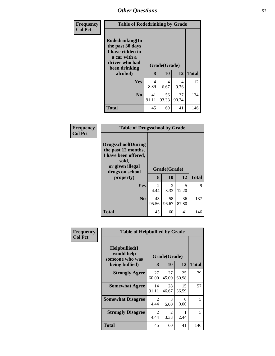| <b>Frequency</b> | <b>Table of Rodedrinking by Grade</b>                                                                                  |             |                    |             |              |  |  |  |
|------------------|------------------------------------------------------------------------------------------------------------------------|-------------|--------------------|-------------|--------------|--|--|--|
| <b>Col Pct</b>   | Rodedrinking(In<br>the past 30 days<br>I have ridden in<br>a car with a<br>driver who had<br>been drinking<br>alcohol) | 8           | Grade(Grade)<br>10 | 12          | <b>Total</b> |  |  |  |
|                  |                                                                                                                        |             |                    |             |              |  |  |  |
|                  | <b>Yes</b>                                                                                                             | 4<br>8.89   | 4<br>6.67          | 4<br>9.76   | 12           |  |  |  |
|                  | N <sub>0</sub>                                                                                                         | 41<br>91.11 | 56<br>93.33        | 37<br>90.24 | 134          |  |  |  |
|                  | <b>Total</b>                                                                                                           | 45          | 60                 | 41          | 146          |  |  |  |

| Frequency<br><b>Col Pct</b> |                                                                                                                                        | <b>Table of Drugsschool by Grade</b> |                        |             |              |  |  |
|-----------------------------|----------------------------------------------------------------------------------------------------------------------------------------|--------------------------------------|------------------------|-------------|--------------|--|--|
|                             | <b>Drugsschool</b> (During<br>the past 12 months,<br>I have been offered,<br>sold,<br>or given illegal<br>drugs on school<br>property) | 8                                    | Grade(Grade)<br>10     | 12          | <b>Total</b> |  |  |
|                             |                                                                                                                                        |                                      |                        |             |              |  |  |
|                             | Yes                                                                                                                                    | 2<br>4.44                            | $\overline{2}$<br>3.33 | 5<br>12.20  | 9            |  |  |
|                             | N <sub>0</sub>                                                                                                                         | 43<br>95.56                          | 58<br>96.67            | 36<br>87.80 | 137          |  |  |
|                             | <b>Total</b>                                                                                                                           | 45                                   | 60                     | 41          | 146          |  |  |

| Frequency      | <b>Table of Helpbullied by Grade</b>                              |                        |                    |             |              |
|----------------|-------------------------------------------------------------------|------------------------|--------------------|-------------|--------------|
| <b>Col Pct</b> | Helpbullied(I)<br>would help<br>someone who was<br>being bullied) | 8                      | Grade(Grade)<br>10 | 12          | <b>Total</b> |
|                | <b>Strongly Agree</b>                                             | 27<br>60.00            | 27<br>45.00        | 25<br>60.98 | 79           |
|                | <b>Somewhat Agree</b>                                             | 14<br>31.11            | 28<br>46.67        | 15<br>36.59 | 57           |
|                | <b>Somewhat Disagree</b>                                          | $\overline{2}$<br>4.44 | 3<br>5.00          | 0<br>0.00   | 5            |
|                | <b>Strongly Disagree</b>                                          | $\overline{2}$<br>4.44 | 2<br>3.33          | 2.44        | 5            |
|                | Total                                                             | 45                     | 60                 | 41          | 146          |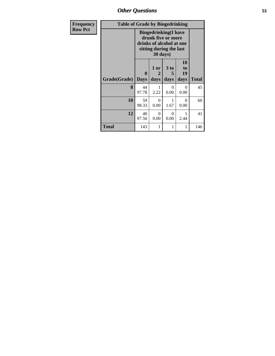*Other Questions* **53**

| Frequency      | <b>Table of Grade by Bingedrinking</b> |                                                                                                                      |                   |                   |                               |              |  |  |
|----------------|----------------------------------------|----------------------------------------------------------------------------------------------------------------------|-------------------|-------------------|-------------------------------|--------------|--|--|
| <b>Row Pct</b> |                                        | <b>Bingedrinking(I have</b><br>drunk five or more<br>drinks of alcohol at one<br>sitting during the last<br>30 days) |                   |                   |                               |              |  |  |
|                | Grade(Grade)                           | 0<br><b>Days</b>                                                                                                     | 1 or<br>2<br>days | 3 to<br>5<br>days | <b>10</b><br>to<br>19<br>days | <b>Total</b> |  |  |
|                | 8                                      | 44<br>97.78                                                                                                          | 2.22              | $\Omega$<br>0.00  | 0<br>0.00                     | 45           |  |  |
|                | 10                                     | 59<br>98.33                                                                                                          | 0<br>0.00         | 1<br>1.67         | 0<br>0.00                     | 60           |  |  |
|                | 12                                     | 40<br>97.56                                                                                                          | $\Omega$<br>0.00  | $\Omega$<br>0.00  | 2.44                          | 41           |  |  |
|                | Total                                  | 143                                                                                                                  |                   | 1                 | 1                             | 146          |  |  |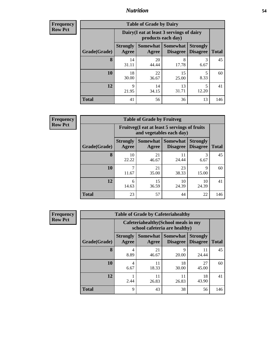### *Nutrition* **54**

**Frequency Row Pct**

| <b>Table of Grade by Dairy</b> |                          |                                                                 |                             |                                    |              |  |  |
|--------------------------------|--------------------------|-----------------------------------------------------------------|-----------------------------|------------------------------------|--------------|--|--|
|                                |                          | Dairy (I eat at least 3 servings of dairy<br>products each day) |                             |                                    |              |  |  |
| Grade(Grade)                   | <b>Strongly</b><br>Agree | Somewhat  <br>Agree                                             | Somewhat<br><b>Disagree</b> | <b>Strongly</b><br><b>Disagree</b> | <b>Total</b> |  |  |
| 8                              | 14<br>31.11              | 20<br>44.44                                                     | 8<br>17.78                  | 3<br>6.67                          | 45           |  |  |
| 10                             | 18<br>30.00              | 22<br>36.67                                                     | 15<br>25.00                 | 5<br>8.33                          | 60           |  |  |
| 12                             | Q<br>21.95               | 14<br>34.15                                                     | 13<br>31.71                 | 5<br>12.20                         | 41           |  |  |
| <b>Total</b>                   | 41                       | 56                                                              | 36                          | 13                                 | 146          |  |  |

| <b>Table of Grade by Fruitveg</b> |                          |                                                                          |                             |                                    |              |  |  |  |
|-----------------------------------|--------------------------|--------------------------------------------------------------------------|-----------------------------|------------------------------------|--------------|--|--|--|
|                                   |                          | Fruitveg(I eat at least 5 servings of fruits<br>and vegetables each day) |                             |                                    |              |  |  |  |
| Grade(Grade)                      | <b>Strongly</b><br>Agree | Somewhat<br>Agree                                                        | Somewhat<br><b>Disagree</b> | <b>Strongly</b><br><b>Disagree</b> | <b>Total</b> |  |  |  |
| 8                                 | 10<br>22.22              | 21<br>46.67                                                              | 11<br>24.44                 | 3<br>6.67                          | 45           |  |  |  |
| 10                                | 11.67                    | 21<br>35.00                                                              | 23<br>38.33                 | 9<br>15.00                         | 60           |  |  |  |
| 12                                | 6<br>14.63               | 15<br>36.59                                                              | 10<br>24.39                 | 10<br>24.39                        | 41           |  |  |  |
| <b>Total</b>                      | 23                       | 57                                                                       | 44                          | 22                                 | 146          |  |  |  |

| <b>Frequency</b> | <b>Table of Grade by Cafeteriahealthy</b> |                          |                          |                                                                       |                                    |              |
|------------------|-------------------------------------------|--------------------------|--------------------------|-----------------------------------------------------------------------|------------------------------------|--------------|
| <b>Row Pct</b>   |                                           |                          |                          | Cafeteriahealthy (School meals in my<br>school cafeteria are healthy) |                                    |              |
|                  | Grade(Grade)                              | <b>Strongly</b><br>Agree | <b>Somewhat</b><br>Agree | <b>Somewhat</b><br><b>Disagree</b>                                    | <b>Strongly</b><br><b>Disagree</b> | <b>Total</b> |
|                  | 8                                         | 4<br>8.89                | 21<br>46.67              | Q<br>20.00                                                            | 11<br>24.44                        | 45           |
|                  | 10                                        | 4<br>6.67                | 11<br>18.33              | 18<br>30.00                                                           | 27<br>45.00                        | 60           |
|                  | 12                                        | 2.44                     | 11<br>26.83              | 11<br>26.83                                                           | 18<br>43.90                        | 41           |
|                  | <b>Total</b>                              | 9                        | 43                       | 38                                                                    | 56                                 | 146          |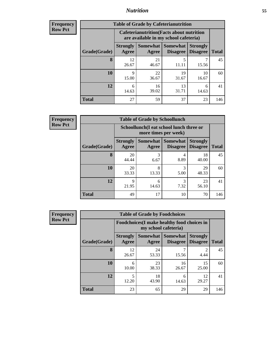## *Nutrition* **55**

| Frequency |
|-----------|
| Row Pct   |

| <b>Table of Grade by Cafeterianutrition</b> |                          |                                                                                           |                                    |                                    |              |  |  |  |
|---------------------------------------------|--------------------------|-------------------------------------------------------------------------------------------|------------------------------------|------------------------------------|--------------|--|--|--|
|                                             |                          | <b>Cafeterianutrition</b> (Facts about nutrition<br>are available in my school cafeteria) |                                    |                                    |              |  |  |  |
| Grade(Grade)                                | <b>Strongly</b><br>Agree | Somewhat  <br>Agree                                                                       | <b>Somewhat</b><br><b>Disagree</b> | <b>Strongly</b><br><b>Disagree</b> | <b>Total</b> |  |  |  |
| 8                                           | 12<br>26.67              | 21<br>46.67                                                                               | 5<br>11.11                         | 15.56                              | 45           |  |  |  |
| 10                                          | 9<br>15.00               | 22<br>36.67                                                                               | 19<br>31.67                        | 10<br>16.67                        | 60           |  |  |  |
| 12                                          | 6<br>14.63               | 16<br>39.02                                                                               | 13<br>31.71                        | 6<br>14.63                         | 41           |  |  |  |
| <b>Total</b>                                | 27                       | 59                                                                                        | 37                                 | 23                                 | 146          |  |  |  |

| <b>Table of Grade by Schoollunch</b> |                          |                                                                 |                                   |                                    |              |  |  |  |
|--------------------------------------|--------------------------|-----------------------------------------------------------------|-----------------------------------|------------------------------------|--------------|--|--|--|
|                                      |                          | Schoollunch(I eat school lunch three or<br>more times per week) |                                   |                                    |              |  |  |  |
| Grade(Grade)                         | <b>Strongly</b><br>Agree | Agree                                                           | Somewhat   Somewhat  <br>Disagree | <b>Strongly</b><br><b>Disagree</b> | <b>Total</b> |  |  |  |
| 8                                    | 20<br>44.44              | 3<br>6.67                                                       | 4<br>8.89                         | 18<br>40.00                        | 45           |  |  |  |
| 10                                   | 20<br>33.33              | 8<br>13.33                                                      | 3<br>5.00                         | 29<br>48.33                        | 60           |  |  |  |
| 12                                   | 9<br>21.95               | 6<br>14.63                                                      | 3<br>7.32                         | 23<br>56.10                        | 41           |  |  |  |
| <b>Total</b>                         | 49                       | 17                                                              | 10                                | 70                                 | 146          |  |  |  |

| <b>Frequency</b> | <b>Table of Grade by Foodchoices</b> |                          |                                                                     |                                    |                                    |              |  |  |
|------------------|--------------------------------------|--------------------------|---------------------------------------------------------------------|------------------------------------|------------------------------------|--------------|--|--|
| <b>Row Pct</b>   |                                      |                          | Foodchoices (I make healthy food choices in<br>my school cafeteria) |                                    |                                    |              |  |  |
|                  | Grade(Grade)                         | <b>Strongly</b><br>Agree | Somewhat  <br>Agree                                                 | <b>Somewhat</b><br><b>Disagree</b> | <b>Strongly</b><br><b>Disagree</b> | <b>Total</b> |  |  |
|                  | 8                                    | 12<br>26.67              | 24<br>53.33                                                         | 15.56                              | 2<br>4.44                          | 45           |  |  |
|                  | 10                                   | 6<br>10.00               | 23<br>38.33                                                         | 16<br>26.67                        | 15<br>25.00                        | 60           |  |  |
|                  | 12                                   | 12.20                    | 18<br>43.90                                                         | 6<br>14.63                         | 12<br>29.27                        | 41           |  |  |
|                  | <b>Total</b>                         | 23                       | 65                                                                  | 29                                 | 29                                 | 146          |  |  |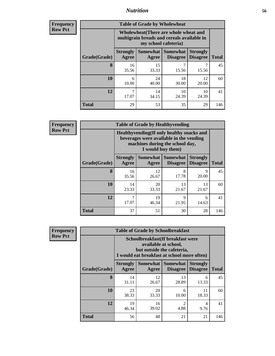## *Nutrition* **56**

| <b>Frequency</b> |
|------------------|
| Row Pct          |

| <b>Table of Grade by Wholewheat</b> |                                                                                                                                           |             |             |             |     |  |  |  |
|-------------------------------------|-------------------------------------------------------------------------------------------------------------------------------------------|-------------|-------------|-------------|-----|--|--|--|
|                                     | Wholewheat (There are whole wheat and<br>multigrain breads and cereals available in<br>my school cafeteria)                               |             |             |             |     |  |  |  |
| Grade(Grade)                        | Somewhat<br><b>Somewhat</b><br><b>Strongly</b><br><b>Strongly</b><br><b>Disagree</b><br><b>Total</b><br>Agree<br><b>Disagree</b><br>Agree |             |             |             |     |  |  |  |
| 8                                   | 16<br>35.56                                                                                                                               | 15<br>33.33 | 7<br>15.56  | 15.56       | 45  |  |  |  |
| 10                                  | 6<br>10.00                                                                                                                                | 24<br>40.00 | 18<br>30.00 | 12<br>20.00 | 60  |  |  |  |
| 12                                  | 7<br>17.07                                                                                                                                | 14<br>34.15 | 10<br>24.39 | 10<br>24.39 | 41  |  |  |  |
| Total                               | 29                                                                                                                                        | 53          | 35          | 29          | 146 |  |  |  |

**Frequency Row Pct**

| <b>Table of Grade by Healthyvending</b> |                          |                                                                                                                                               |                             |                                    |              |  |  |
|-----------------------------------------|--------------------------|-----------------------------------------------------------------------------------------------------------------------------------------------|-----------------------------|------------------------------------|--------------|--|--|
|                                         |                          | Healthyvending (If only healthy snacks and<br>beverages were available in the vending<br>machines during the school day,<br>I would buy them) |                             |                                    |              |  |  |
| Grade(Grade)                            | <b>Strongly</b><br>Agree | Somewhat<br>Agree                                                                                                                             | Somewhat<br><b>Disagree</b> | <b>Strongly</b><br><b>Disagree</b> | <b>Total</b> |  |  |
| 8                                       | 16<br>35.56              | 12<br>26.67                                                                                                                                   | 8<br>17.78                  | Q<br>20.00                         | 45           |  |  |
| 10                                      | 14<br>23.33              | 20<br>33.33                                                                                                                                   | 13<br>21.67                 | 13<br>21.67                        | 60           |  |  |
| 12                                      | 17.07                    | 19<br>46.34                                                                                                                                   | $\mathbf Q$<br>21.95        | 6<br>14.63                         | 41           |  |  |
| <b>Total</b>                            | 37                       | 51                                                                                                                                            | 30                          | 28                                 | 146          |  |  |

| <b>Table of Grade by Schoolbreakfast</b> |                                                                                                                                   |                                                                                                                                        |                        |             |     |  |  |  |
|------------------------------------------|-----------------------------------------------------------------------------------------------------------------------------------|----------------------------------------------------------------------------------------------------------------------------------------|------------------------|-------------|-----|--|--|--|
|                                          |                                                                                                                                   | Schoolbreakfast(If breakfast were<br>available at school,<br>but outside the cafeteria,<br>I would eat breakfast at school more often) |                        |             |     |  |  |  |
| Grade(Grade)                             | Somewhat   Somewhat<br><b>Strongly</b><br><b>Strongly</b><br><b>Disagree</b><br><b>Disagree</b><br><b>Total</b><br>Agree<br>Agree |                                                                                                                                        |                        |             |     |  |  |  |
| 8                                        | 14<br>31.11                                                                                                                       | 12<br>26.67                                                                                                                            | 13<br>28.89            | 6<br>13.33  | 45  |  |  |  |
| <b>10</b>                                | 23<br>38.33                                                                                                                       | 20<br>33.33                                                                                                                            | 6<br>10.00             | 11<br>18.33 | 60  |  |  |  |
| 12                                       | 19<br>46.34                                                                                                                       | 16<br>39.02                                                                                                                            | $\overline{2}$<br>4.88 | 4<br>9.76   | 41  |  |  |  |
| Total                                    | 56                                                                                                                                | 48                                                                                                                                     | 21                     | 21          | 146 |  |  |  |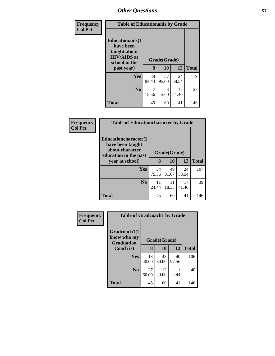| Frequency      | <b>Table of Educationaids by Grade</b>                                                                    |             |                    |             |              |  |
|----------------|-----------------------------------------------------------------------------------------------------------|-------------|--------------------|-------------|--------------|--|
| <b>Col Pct</b> | <b>Educationaids</b> (I<br>have been<br>taught about<br><b>HIV/AIDS</b> at<br>school in the<br>past year) | 8           | Grade(Grade)<br>10 | 12          | <b>Total</b> |  |
|                | <b>Yes</b>                                                                                                | 38<br>84.44 | 57<br>95.00        | 24<br>58.54 | 119          |  |
|                | N <sub>0</sub>                                                                                            | 7<br>15.56  | 3<br>5.00          | 17<br>41.46 | 27           |  |
|                | <b>Total</b>                                                                                              | 45          | 60                 | 41          | 146          |  |

| Frequency      | <b>Table of Educationcharacter by Grade</b>                                          |              |             |             |              |  |  |  |
|----------------|--------------------------------------------------------------------------------------|--------------|-------------|-------------|--------------|--|--|--|
| <b>Col Pct</b> | Educationcharacter(I<br>have been taught<br>about character<br>education in the past | Grade(Grade) |             |             |              |  |  |  |
|                | year at school)                                                                      | 8            | 10          | 12          | <b>Total</b> |  |  |  |
|                | <b>Yes</b>                                                                           | 34<br>75.56  | 49<br>81.67 | 24<br>58.54 | 107          |  |  |  |
|                | N <sub>0</sub>                                                                       | 11<br>24.44  | 11<br>18.33 | 17<br>41.46 | 39           |  |  |  |
|                | <b>Total</b>                                                                         | 45           | 60          | 41          | 146          |  |  |  |

| Frequency      | <b>Table of Gradcoach1 by Grade</b>              |              |             |             |              |
|----------------|--------------------------------------------------|--------------|-------------|-------------|--------------|
| <b>Col Pct</b> | Gradcoach1(I<br>know who my<br><b>Graduation</b> | Grade(Grade) |             |             |              |
|                | Coach is)                                        | 8            | 10          | 12          | <b>Total</b> |
|                | Yes                                              | 18<br>40.00  | 48<br>80.00 | 40<br>97.56 | 106          |
|                | N <sub>0</sub>                                   | 27<br>60.00  | 12<br>20.00 | 2.44        | 40           |
|                | <b>Total</b>                                     | 45           | 60          | 41          | 146          |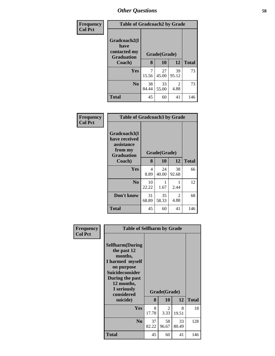| Frequency      | <b>Table of Gradcoach2 by Grade</b>                       |              |             |             |              |
|----------------|-----------------------------------------------------------|--------------|-------------|-------------|--------------|
| <b>Col Pct</b> | Gradcoach2(I<br>have<br>contacted my<br><b>Graduation</b> | Grade(Grade) |             |             |              |
|                | Coach)                                                    | 8            | 10          | 12          | <b>Total</b> |
|                | Yes                                                       | 15.56        | 27<br>45.00 | 39<br>95.12 | 73           |
|                | N <sub>0</sub>                                            | 38<br>84.44  | 33<br>55.00 | 2<br>4.88   | 73           |
|                | <b>Total</b>                                              | 45           | 60          | 41          | 146          |

| Frequency<br><b>Col Pct</b> | <b>Table of Gradcoach3 by Grade</b>                                         |              |             |             |              |
|-----------------------------|-----------------------------------------------------------------------------|--------------|-------------|-------------|--------------|
|                             | Gradcoach3(I<br>have received<br>assistance<br>from my<br><b>Graduation</b> | Grade(Grade) |             |             |              |
|                             | Coach)                                                                      | 8            | 10          | 12          | <b>Total</b> |
|                             | Yes                                                                         | 4<br>8.89    | 24<br>40.00 | 38<br>92.68 | 66           |
|                             | N <sub>0</sub>                                                              | 10<br>22.22  | 1.67        | 2.44        | 12           |
|                             | Don't know                                                                  | 31<br>68.89  | 35<br>58.33 | 2<br>4.88   | 68           |
|                             | <b>Total</b>                                                                | 45           | 60          | 41          | 146          |

| Frequency      | <b>Table of Selfharm by Grade</b>                                                                                                                                                      |             |                    |             |              |
|----------------|----------------------------------------------------------------------------------------------------------------------------------------------------------------------------------------|-------------|--------------------|-------------|--------------|
| <b>Col Pct</b> | <b>Selfharm</b> (During<br>the past 12<br>months,<br>I harmed myself<br>on purpose<br><b>Suicideconsider</b><br>During the past<br>12 months,<br>I seriously<br>considered<br>suicide) | 8           | Grade(Grade)<br>10 | 12          | <b>Total</b> |
|                | <b>Yes</b>                                                                                                                                                                             | 8<br>17.78  | 2<br>3.33          | 8<br>19.51  | 18           |
|                | N <sub>0</sub>                                                                                                                                                                         | 37<br>82.22 | 58<br>96.67        | 33<br>80.49 | 128          |
|                | <b>Total</b>                                                                                                                                                                           | 45          | 60                 | 41          | 146          |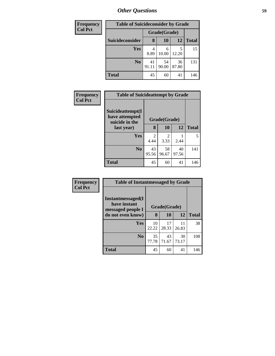| <b>Frequency</b> | <b>Table of Suicideconsider by Grade</b> |             |              |             |              |  |  |
|------------------|------------------------------------------|-------------|--------------|-------------|--------------|--|--|
| <b>Col Pct</b>   |                                          |             | Grade(Grade) |             |              |  |  |
|                  | Suicideconsider                          | 8           | <b>10</b>    | 12          | <b>Total</b> |  |  |
|                  | Yes                                      | 4<br>8.89   | 6<br>10.00   | 12.20       | 15           |  |  |
|                  | N <sub>0</sub>                           | 41<br>91.11 | 54<br>90.00  | 36<br>87.80 | 131          |  |  |
|                  | <b>Total</b>                             | 45          | 60           | 41          | 146          |  |  |

| Frequency      |                                                      | <b>Table of Suicideattempt by Grade</b> |             |             |              |  |
|----------------|------------------------------------------------------|-----------------------------------------|-------------|-------------|--------------|--|
| <b>Col Pct</b> | Suicideattempt(I<br>have attempted<br>suicide in the | Grade(Grade)                            |             |             |              |  |
|                | last year)                                           | 8                                       | 10          | 12          | <b>Total</b> |  |
|                | Yes                                                  | $\mathfrak{D}$<br>4.44                  | 2<br>3.33   | 2.44        | 5            |  |
|                | N <sub>0</sub>                                       | 43<br>95.56                             | 58<br>96.67 | 40<br>97.56 | 141          |  |
|                | <b>Total</b>                                         | 45                                      | 60          | 41          | 146          |  |

| Frequency      |                                                        | <b>Table of Instantmessaged by Grade</b> |             |             |              |  |  |
|----------------|--------------------------------------------------------|------------------------------------------|-------------|-------------|--------------|--|--|
| <b>Col Pct</b> | Instantmessaged(I<br>have instant<br>messaged people I | Grade(Grade)                             |             |             |              |  |  |
|                | do not even know)                                      | 8                                        | 10          | 12          | <b>Total</b> |  |  |
|                | Yes                                                    | 10<br>22.22                              | 17<br>28.33 | 11<br>26.83 | 38           |  |  |
|                | N <sub>0</sub>                                         | 35<br>77.78                              | 43<br>71.67 | 30<br>73.17 | 108          |  |  |
|                | <b>Total</b>                                           | 45                                       | 60          | 41          | 146          |  |  |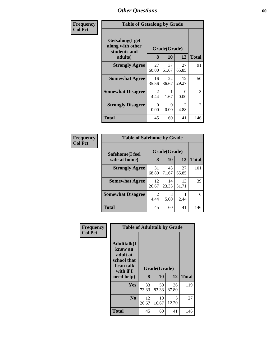| Frequency      | <b>Table of Getsalong by Grade</b>                  |                        |             |                        |                |  |  |
|----------------|-----------------------------------------------------|------------------------|-------------|------------------------|----------------|--|--|
| <b>Col Pct</b> | Getsalong(I get<br>along with other<br>students and | Grade(Grade)           |             |                        |                |  |  |
|                | adults)                                             | 8                      | 10          | 12                     | <b>Total</b>   |  |  |
|                | <b>Strongly Agree</b>                               | 27<br>60.00            | 37<br>61.67 | 27<br>65.85            | 91             |  |  |
|                | <b>Somewhat Agree</b>                               | 16<br>35.56            | 22<br>36.67 | 12<br>29.27            | 50             |  |  |
|                | <b>Somewhat Disagree</b>                            | $\mathfrak{D}$<br>4.44 | 1.67        | 0<br>0.00              | 3              |  |  |
|                | <b>Strongly Disagree</b>                            | 0<br>0.00              | 0<br>0.00   | $\mathfrak{D}$<br>4.88 | $\overline{2}$ |  |  |
|                | Total                                               | 45                     | 60          | 41                     | 146            |  |  |

| Frequency      | <b>Table of Safehome by Grade</b> |              |             |             |              |
|----------------|-----------------------------------|--------------|-------------|-------------|--------------|
| <b>Col Pct</b> | Safehome(I feel                   | Grade(Grade) |             |             |              |
|                | safe at home)                     | 8            | 10          | 12          | <b>Total</b> |
|                | <b>Strongly Agree</b>             | 31<br>68.89  | 43<br>71.67 | 27<br>65.85 | 101          |
|                | <b>Somewhat Agree</b>             | 12<br>26.67  | 14<br>23.33 | 13<br>31.71 | 39           |
|                | <b>Somewhat Disagree</b>          | 2<br>4.44    | 3<br>5.00   | 2.44        | 6            |
|                | Total                             | 45           | 60          | 41          | 146          |

| Frequency      | <b>Table of Adulttalk by Grade</b>                                                  |             |              |             |              |
|----------------|-------------------------------------------------------------------------------------|-------------|--------------|-------------|--------------|
| <b>Col Pct</b> | <b>Adulttalk(I</b><br>know an<br>adult at<br>school that<br>I can talk<br>with if I |             | Grade(Grade) |             |              |
|                | need help)                                                                          | 8           | 10           | 12          | <b>Total</b> |
|                | Yes                                                                                 | 33<br>73.33 | 50<br>83.33  | 36<br>87.80 | 119          |
|                | N <sub>0</sub>                                                                      | 12<br>26.67 | 10<br>16.67  | 5<br>12.20  | 27           |
|                | <b>Total</b>                                                                        | 45          | 60           | 41          | 146          |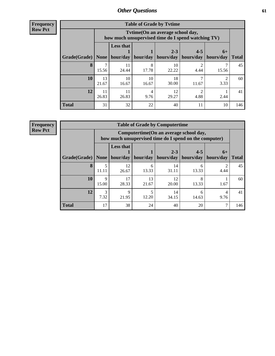**Frequency Row Pct**

| <b>Table of Grade by Tytime</b> |             |                                                                                         |                     |                      |                          |                   |              |
|---------------------------------|-------------|-----------------------------------------------------------------------------------------|---------------------|----------------------|--------------------------|-------------------|--------------|
|                                 |             | Tytime (On an average school day,<br>how much unsupervised time do I spend watching TV) |                     |                      |                          |                   |              |
| Grade(Grade)                    | None        | <b>Less that</b>                                                                        | hour/day   hour/day | $2 - 3$<br>hours/day | $4 - 5$<br>hours/day $ $ | $6+$<br>hours/day | <b>Total</b> |
| 8                               | 15.56       | 11<br>24.44                                                                             | 8<br>17.78          | 10<br>22.22          | 4.44                     | 15.56             | 45           |
| 10                              | 13<br>21.67 | 10<br>16.67                                                                             | 10<br>16.67         | 18<br>30.00          | 11.67                    | 3.33              | 60           |
| 12                              | 11<br>26.83 | 11<br>26.83                                                                             | 4<br>9.76           | 12<br>29.27          | 4.88                     | 2.44              | 41           |
| <b>Total</b>                    | 31          | 32                                                                                      | 22                  | 40                   | 11                       | 10                | 146          |

**Frequency**

**Row Pct**

| <b>Table of Grade by Computertime</b> |                                                                                                                                         |                                                                                                   |             |             |            |           |     |  |  |
|---------------------------------------|-----------------------------------------------------------------------------------------------------------------------------------------|---------------------------------------------------------------------------------------------------|-------------|-------------|------------|-----------|-----|--|--|
|                                       |                                                                                                                                         | Computertime (On an average school day,<br>how much unsupervised time do I spend on the computer) |             |             |            |           |     |  |  |
| Grade(Grade)                          | <b>Less that</b><br>$2 - 3$<br>$4 - 5$<br>$6+$<br>hour/day<br>hours/day<br>hours/day<br>hour/day<br>hours/day<br>None  <br><b>Total</b> |                                                                                                   |             |             |            |           |     |  |  |
| 8                                     | 5<br>11.11                                                                                                                              | 12<br>26.67                                                                                       | 13.33       | 14<br>31.11 | h<br>13.33 | 4.44      | 45  |  |  |
| 10                                    | $\mathbf Q$<br>15.00                                                                                                                    | 17<br>28.33                                                                                       | 13<br>21.67 | 12<br>20.00 | 8<br>13.33 | 1.67      | 60  |  |  |
| 12                                    | 3<br>7.32                                                                                                                               | 9<br>21.95                                                                                        | 12.20       | 14<br>34.15 | 6<br>14.63 | 4<br>9.76 | 41  |  |  |
| <b>Total</b>                          | 17                                                                                                                                      | 38                                                                                                | 24          | 40          | 20         |           | 146 |  |  |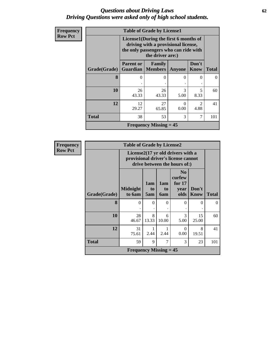### *Questions about Driving Laws* **62** *Driving Questions were asked only of high school students.*

| <b>Frequency</b> |              | <b>Table of Grade by License1</b> |                                                                                                                                           |               |                        |              |  |  |  |
|------------------|--------------|-----------------------------------|-------------------------------------------------------------------------------------------------------------------------------------------|---------------|------------------------|--------------|--|--|--|
| <b>Row Pct</b>   |              |                                   | License1(During the first 6 months of<br>driving with a provisional license,<br>the only passengers who can ride with<br>the driver are:) |               |                        |              |  |  |  |
|                  | Grade(Grade) | <b>Parent or</b>                  | Family<br><b>Guardian</b>   Members                                                                                                       | <b>Anyone</b> | Don't<br>Know          | <b>Total</b> |  |  |  |
|                  | 8            | $\theta$                          | $\Omega$                                                                                                                                  | 0             | 0                      | 0            |  |  |  |
|                  | 10           | 26<br>43.33                       | 26<br>43.33                                                                                                                               | 3<br>5.00     | 5<br>8.33              | 60           |  |  |  |
|                  | 12           | 12<br>29.27                       | 27<br>65.85                                                                                                                               | 0<br>0.00     | $\mathfrak{D}$<br>4.88 | 41           |  |  |  |
|                  | <b>Total</b> | 38                                | 53                                                                                                                                        | 3             | 7                      | 101          |  |  |  |
|                  |              |                                   | <b>Frequency Missing = 45</b>                                                                                                             |               |                        |              |  |  |  |

| Frequency      |  |
|----------------|--|
| <b>Row Pct</b> |  |
|                |  |

| <b>Table of Grade by License2</b> |                           |                                                                                                          |                         |                                                      |               |              |  |  |
|-----------------------------------|---------------------------|----------------------------------------------------------------------------------------------------------|-------------------------|------------------------------------------------------|---------------|--------------|--|--|
|                                   |                           | License2(17 yr old drivers with a<br>provisional driver's license cannot<br>drive between the hours of:) |                         |                                                      |               |              |  |  |
| Grade(Grade)                      | <b>Midnight</b><br>to 6am | 1am<br>to<br>5am                                                                                         | 1am<br>to<br><b>6am</b> | N <sub>0</sub><br>curfew<br>for $17$<br>year<br>olds | Don't<br>Know | <b>Total</b> |  |  |
| 8                                 | $\theta$                  | 0                                                                                                        | $\Omega$                | $\theta$                                             | 0             | $\Omega$     |  |  |
| 10                                | 28<br>46.67               | 8<br>13.33                                                                                               | 6<br>10.00              | 3<br>5.00                                            | 15<br>25.00   | 60           |  |  |
| 12                                | 31<br>75.61               | 1<br>2.44                                                                                                | 2.44                    | 0<br>0.00                                            | 8<br>19.51    | 41           |  |  |
| <b>Total</b>                      | 59                        | 9                                                                                                        | 7                       | 3                                                    | 23            | 101          |  |  |
| <b>Frequency Missing = 45</b>     |                           |                                                                                                          |                         |                                                      |               |              |  |  |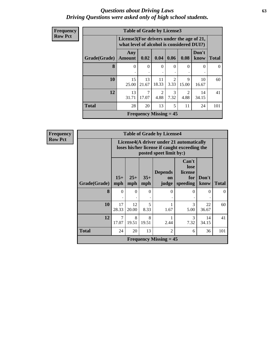### *Questions about Driving Laws* **63** *Driving Questions were asked only of high school students.*

| Frequency      |              | <b>Table of Grade by License3</b>                                                      |                               |               |                        |                        |               |              |
|----------------|--------------|----------------------------------------------------------------------------------------|-------------------------------|---------------|------------------------|------------------------|---------------|--------------|
| <b>Row Pct</b> |              | License3(For drivers under the age of 21,<br>what level of alcohol is considered DUI?) |                               |               |                        |                        |               |              |
|                | Grade(Grade) | Any<br><b>Amount</b>                                                                   | 0.02                          | 0.04          | 0.06                   | 0.08                   | Don't<br>know | <b>Total</b> |
|                | 8            | $\Omega$                                                                               | $\Omega$<br>٠                 | $\Omega$<br>٠ | $\Omega$               | 0                      | $\Omega$      | $\theta$     |
|                | 10           | 15<br>25.00                                                                            | 13<br>21.67                   | 11<br>18.33   | $\mathfrak{D}$<br>3.33 | 9<br>15.00             | 10<br>16.67   | 60           |
|                | 12           | 13<br>31.71                                                                            | 7<br>17.07                    | 2<br>4.88     | 3<br>7.32              | $\overline{2}$<br>4.88 | 14<br>34.15   | 41           |
|                | <b>Total</b> | 28                                                                                     | 20                            | 13            | 5                      | 11                     | 24            | 101          |
|                |              |                                                                                        | <b>Frequency Missing = 45</b> |               |                        |                        |               |              |

| <b>Table of Grade by License4</b> |                         |                                                                                                                      |              |                               |                                             |               |              |  |  |
|-----------------------------------|-------------------------|----------------------------------------------------------------------------------------------------------------------|--------------|-------------------------------|---------------------------------------------|---------------|--------------|--|--|
|                                   |                         | License4(A driver under 21 automatically<br>loses his/her license if caught exceeding the<br>posted speet limit by:) |              |                               |                                             |               |              |  |  |
| Grade(Grade)                      | $15+$<br>mph            | $25+$<br>mph                                                                                                         | $35+$<br>mph | <b>Depends</b><br>on<br>judge | Can't<br>lose<br>license<br>for<br>speeding | Don't<br>know | <b>Total</b> |  |  |
| 8                                 | $\Omega$                | $\Omega$                                                                                                             | $\Omega$     | $\Omega$                      | 0                                           | $\Omega$      | 0            |  |  |
| 10                                | 17<br>28.33             | 12<br>20.00                                                                                                          | 5<br>8.33    | 1.67                          | 3<br>5.00                                   | 22<br>36.67   | 60           |  |  |
| 12                                | $\overline{7}$<br>17.07 | 8<br>19.51                                                                                                           | 8<br>19.51   | 2.44                          | $\mathcal{R}$<br>7.32                       | 14<br>34.15   | 41           |  |  |
| <b>Total</b>                      | 24                      | 20<br>13<br>2<br>36<br>6                                                                                             |              |                               |                                             |               |              |  |  |
|                                   |                         |                                                                                                                      |              | <b>Frequency Missing = 45</b> |                                             |               |              |  |  |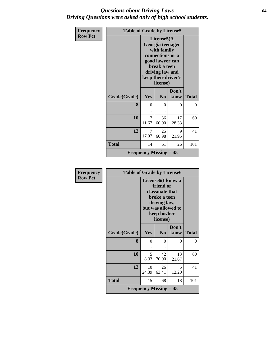### *Questions about Driving Laws* **64** *Driving Questions were asked only of high school students.*

| Frequency      | <b>Table of Grade by License5</b> |                                                                                                                                                             |                |               |              |  |
|----------------|-----------------------------------|-------------------------------------------------------------------------------------------------------------------------------------------------------------|----------------|---------------|--------------|--|
| <b>Row Pct</b> |                                   | License5(A)<br>Georgia teenager<br>with family<br>connections or a<br>good lawyer can<br>break a teen<br>driving law and<br>keep their driver's<br>license) |                |               |              |  |
|                | Grade(Grade)                      | Yes                                                                                                                                                         | N <sub>0</sub> | Don't<br>know | <b>Total</b> |  |
|                | 8                                 | $\theta$                                                                                                                                                    | 0              | 0             | 0            |  |
|                | 10                                | 7<br>11.67                                                                                                                                                  | 36<br>60.00    | 17<br>28.33   | 60           |  |
|                | 12                                | 7<br>17.07                                                                                                                                                  | 25<br>60.98    | 9<br>21.95    | 41           |  |
|                | <b>Total</b>                      | 14                                                                                                                                                          | 61             | 26            | 101          |  |
|                |                                   | <b>Frequency Missing = 45</b>                                                                                                                               |                |               |              |  |

| <b>Frequency</b> | <b>Table of Grade by License6</b> |                                            |                                                                                         |                                                      |              |  |  |
|------------------|-----------------------------------|--------------------------------------------|-----------------------------------------------------------------------------------------|------------------------------------------------------|--------------|--|--|
| <b>Row Pct</b>   |                                   |                                            | friend or<br>classmate that<br>broke a teen<br>driving law,<br>keep his/her<br>license) | License <sub>6</sub> (I know a<br>but was allowed to |              |  |  |
|                  | Grade(Grade)                      | Yes                                        | N <sub>0</sub>                                                                          | Don't<br>know                                        | <b>Total</b> |  |  |
|                  | 8                                 | $\Omega$                                   | 0                                                                                       | 0                                                    | $\theta$     |  |  |
|                  | 10                                | 5<br>8.33                                  | 42<br>70.00                                                                             | 13<br>21.67                                          | 60           |  |  |
|                  | 12                                | 10<br>24.39                                | 26<br>63.41                                                                             | $\overline{\mathcal{L}}$<br>12.20                    | 41           |  |  |
|                  | <b>Total</b>                      | 15                                         | 68                                                                                      | 18                                                   | 101          |  |  |
|                  |                                   | <b>Frequency Missing <math>= 45</math></b> |                                                                                         |                                                      |              |  |  |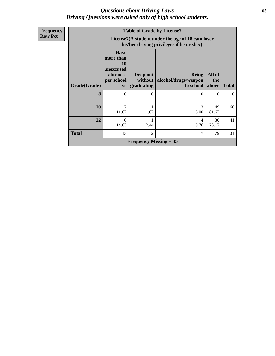### *Questions about Driving Laws* **65** *Driving Questions were asked only of high school students.*

| Frequency      |                                            | <b>Table of Grade by License7</b>                                                  |                                                                                               |                                                   |                        |              |  |  |  |
|----------------|--------------------------------------------|------------------------------------------------------------------------------------|-----------------------------------------------------------------------------------------------|---------------------------------------------------|------------------------|--------------|--|--|--|
| <b>Row Pct</b> |                                            |                                                                                    | License7(A student under the age of 18 cam loser<br>his/her driving privileges if he or she:) |                                                   |                        |              |  |  |  |
|                | Grade(Grade)                               | <b>Have</b><br>more than<br><b>10</b><br>unexcused<br>absences<br>per school<br>yr | Drop out<br>without<br>graduating                                                             | <b>Bring</b><br>alcohol/drugs/weapon<br>to school | All of<br>the<br>above | <b>Total</b> |  |  |  |
|                | 8                                          | 0                                                                                  | $\Omega$                                                                                      | 0                                                 | 0                      | $\Omega$     |  |  |  |
|                | 10                                         | 7<br>11.67                                                                         | 1.67                                                                                          | 3<br>5.00                                         | 49<br>81.67            | 60           |  |  |  |
|                | 12                                         | 6<br>14.63                                                                         | 2.44                                                                                          | 4<br>9.76                                         | 30<br>73.17            | 41           |  |  |  |
|                | <b>Total</b>                               | 13                                                                                 | $\overline{2}$                                                                                | 7                                                 | 79                     | 101          |  |  |  |
|                | <b>Frequency Missing <math>= 45</math></b> |                                                                                    |                                                                                               |                                                   |                        |              |  |  |  |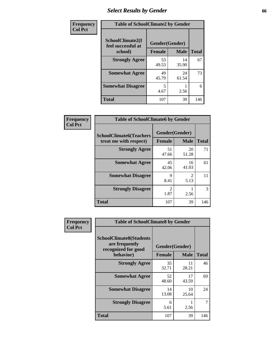## *Select Results by Gender* **66**

| Frequency      |                                        | <b>Table of SchoolClimate2 by Gender</b> |             |              |  |  |  |  |
|----------------|----------------------------------------|------------------------------------------|-------------|--------------|--|--|--|--|
| <b>Col Pct</b> | SchoolClimate2(I<br>feel successful at | Gender(Gender)                           |             |              |  |  |  |  |
|                | school)                                | <b>Female</b>                            | <b>Male</b> | <b>Total</b> |  |  |  |  |
|                | <b>Strongly Agree</b>                  | 53<br>49.53                              | 14<br>35.90 | 67           |  |  |  |  |
|                | <b>Somewhat Agree</b>                  | 49<br>45.79                              | 24<br>61.54 | 73           |  |  |  |  |
|                | <b>Somewhat Disagree</b>               | 5<br>4.67                                | 2.56        | 6            |  |  |  |  |
|                | <b>Total</b>                           | 107                                      | 39          | 146          |  |  |  |  |

| <b>Frequency</b> | <b>Table of SchoolClimate6 by Gender</b>                 |                          |                                     |              |  |  |  |
|------------------|----------------------------------------------------------|--------------------------|-------------------------------------|--------------|--|--|--|
| <b>Col Pct</b>   | <b>SchoolClimate6(Teachers</b><br>treat me with respect) | Gender(Gender)<br>Female | <b>Male</b>                         | <b>Total</b> |  |  |  |
|                  | <b>Strongly Agree</b>                                    | 51<br>47.66              | 20<br>51.28                         | 71           |  |  |  |
|                  | <b>Somewhat Agree</b>                                    | 45<br>42.06              | 16<br>41.03                         | 61           |  |  |  |
|                  | <b>Somewhat Disagree</b>                                 | $\mathbf Q$<br>8.41      | $\mathcal{D}_{\mathcal{L}}$<br>5.13 | 11           |  |  |  |
|                  | <b>Strongly Disagree</b>                                 | $\mathfrak{D}$<br>1.87   | 2.56                                | 3            |  |  |  |
|                  | <b>Total</b>                                             | 107                      | 39                                  | 146          |  |  |  |

| <b>Frequency</b> | <b>Table of SchoolClimate8 by Gender</b>                                |                                 |             |              |  |  |
|------------------|-------------------------------------------------------------------------|---------------------------------|-------------|--------------|--|--|
| <b>Col Pct</b>   | <b>SchoolClimate8(Students</b><br>are frequently<br>recognized for good | Gender(Gender)<br><b>Female</b> |             |              |  |  |
|                  | behavior)                                                               |                                 | <b>Male</b> | <b>Total</b> |  |  |
|                  | <b>Strongly Agree</b>                                                   | 35<br>32.71                     | 11<br>28.21 | 46           |  |  |
|                  | <b>Somewhat Agree</b>                                                   | 52<br>48.60                     | 17<br>43.59 | 69           |  |  |
|                  | <b>Somewhat Disagree</b>                                                | 14<br>13.08                     | 10<br>25.64 | 24           |  |  |
|                  | <b>Strongly Disagree</b>                                                | 6<br>5.61                       | 2.56        |              |  |  |
|                  | Total                                                                   | 107                             | 39          | 146          |  |  |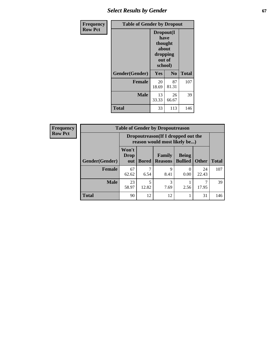## **Select Results by Gender 67**

| Frequency      | <b>Table of Gender by Dropout</b> |                                                                        |                |              |
|----------------|-----------------------------------|------------------------------------------------------------------------|----------------|--------------|
| <b>Row Pct</b> |                                   | Dropout(I<br>have<br>thought<br>about<br>dropping<br>out of<br>school) |                |              |
|                | Gender(Gender)                    | Yes                                                                    | N <sub>0</sub> | <b>Total</b> |
|                | <b>Female</b>                     | 20<br>18.69                                                            | 87<br>81.31    | 107          |
|                | <b>Male</b>                       | 13<br>33.33                                                            | 26<br>66.67    | 39           |
|                | <b>Total</b>                      | 33                                                                     | 113            | 146          |

| <b>Frequency</b> |                        | <b>Table of Gender by Dropoutreason</b>                             |              |                          |                                |              |              |
|------------------|------------------------|---------------------------------------------------------------------|--------------|--------------------------|--------------------------------|--------------|--------------|
| <b>Row Pct</b>   |                        | Dropoutreason (If I dropped out the<br>reason would most likely be) |              |                          |                                |              |              |
|                  | <b>Gender</b> (Gender) | Won't<br><b>Drop</b><br>out                                         | <b>Bored</b> | Family<br><b>Reasons</b> | <b>Being</b><br><b>Bullied</b> | <b>Other</b> | <b>Total</b> |
|                  | <b>Female</b>          | 67<br>62.62                                                         | ┑<br>6.54    | 9<br>8.41                | 0.00                           | 24<br>22.43  | 107          |
|                  | <b>Male</b>            | 23<br>58.97                                                         | 5<br>12.82   | 3<br>7.69                | 2.56                           | 17.95        | 39           |
|                  | <b>Total</b>           | 90                                                                  | 12           | 12                       |                                | 31           | 146          |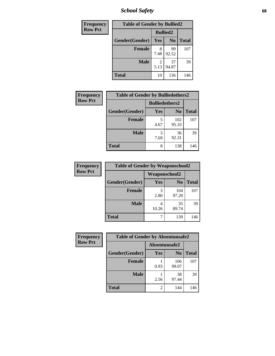*School Safety* **68**

| Frequency      | <b>Table of Gender by Bullied2</b> |                 |                |              |
|----------------|------------------------------------|-----------------|----------------|--------------|
| <b>Row Pct</b> |                                    | <b>Bullied2</b> |                |              |
|                | Gender(Gender)                     | Yes             | N <sub>0</sub> | <b>Total</b> |
|                | <b>Female</b>                      | 8<br>7.48       | 99<br>92.52    | 107          |
|                | <b>Male</b>                        | 2<br>5.13       | 37<br>94.87    | 39           |
|                | <b>Total</b>                       | 10              | 136            | 146          |

| Frequency      | <b>Table of Gender by Bulliedothers2</b> |                       |                |              |
|----------------|------------------------------------------|-----------------------|----------------|--------------|
| <b>Row Pct</b> |                                          | <b>Bulliedothers2</b> |                |              |
|                | Gender(Gender)                           | Yes                   | N <sub>0</sub> | <b>Total</b> |
|                | <b>Female</b>                            | 5<br>4.67             | 102<br>95.33   | 107          |
|                | <b>Male</b>                              | 3<br>7.69             | 36<br>92.31    | 39           |
|                | Total                                    | 8                     | 138            | 146          |

| Frequency      | <b>Table of Gender by Weaponschool2</b> |                      |                |              |
|----------------|-----------------------------------------|----------------------|----------------|--------------|
| <b>Row Pct</b> |                                         | <b>Weaponschool2</b> |                |              |
|                | Gender(Gender)                          | Yes                  | N <sub>0</sub> | <b>Total</b> |
|                | <b>Female</b>                           | 3<br>2.80            | 104<br>97.20   | 107          |
|                | <b>Male</b>                             | 10.26                | 35<br>89.74    | 39           |
|                | <b>Total</b>                            |                      | 139            | 146          |

| Frequency      | <b>Table of Gender by Absentunsafe2</b> |               |                |              |
|----------------|-----------------------------------------|---------------|----------------|--------------|
| <b>Row Pct</b> |                                         | Absentunsafe2 |                |              |
|                | Gender(Gender)                          | Yes           | N <sub>0</sub> | <b>Total</b> |
|                | <b>Female</b>                           | 0.93          | 106<br>99.07   | 107          |
|                | <b>Male</b>                             | 2.56          | 38<br>97.44    | 39           |
|                | <b>Total</b>                            | 2             | 144            | 146          |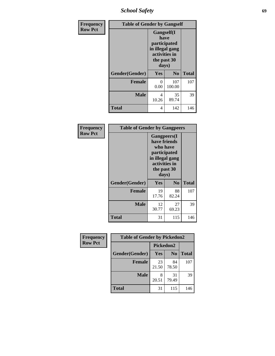*School Safety* **69**

| Frequency      | <b>Table of Gender by Gangself</b> |                                                                                                |                |              |
|----------------|------------------------------------|------------------------------------------------------------------------------------------------|----------------|--------------|
| <b>Row Pct</b> |                                    | Gangself(I<br>have<br>participated<br>in illegal gang<br>activities in<br>the past 30<br>days) |                |              |
|                | Gender(Gender)                     | Yes                                                                                            | N <sub>0</sub> | <b>Total</b> |
|                | <b>Female</b>                      | 0<br>0.00                                                                                      | 107<br>100.00  | 107          |
|                | <b>Male</b>                        | 4<br>10.26                                                                                     | 35<br>89.74    | 39           |
|                | <b>Total</b>                       | 4                                                                                              | 142            | 146          |

| Frequency      |                | <b>Table of Gender by Gangpeers</b>                                                                                         |                |              |  |
|----------------|----------------|-----------------------------------------------------------------------------------------------------------------------------|----------------|--------------|--|
| <b>Row Pct</b> |                | <b>Gangpeers</b> (I<br>have friends<br>who have<br>participated<br>in illegal gang<br>activities in<br>the past 30<br>days) |                |              |  |
|                | Gender(Gender) | Yes                                                                                                                         | N <sub>0</sub> | <b>Total</b> |  |
|                | <b>Female</b>  | 19<br>17.76                                                                                                                 | 88<br>82.24    | 107          |  |
|                | <b>Male</b>    | 12<br>30.77                                                                                                                 | 27<br>69.23    | 39           |  |
|                | <b>Total</b>   | 31                                                                                                                          | 115            | 146          |  |

| Frequency      | <b>Table of Gender by Pickedon2</b> |                  |                |              |
|----------------|-------------------------------------|------------------|----------------|--------------|
| <b>Row Pct</b> |                                     | <b>Pickedon2</b> |                |              |
|                | Gender(Gender)                      | <b>Yes</b>       | N <sub>0</sub> | <b>Total</b> |
|                | <b>Female</b>                       | 23<br>21.50      | 84<br>78.50    | 107          |
|                | <b>Male</b>                         | 8<br>20.51       | 31<br>79.49    | 39           |
|                | <b>Total</b>                        | 31               | 115            | 146          |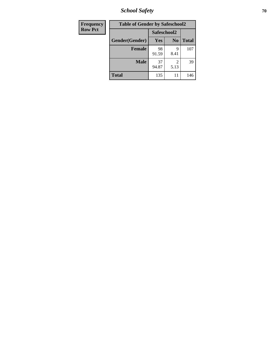*School Safety* **70**

| Frequency      |                |             | <b>Table of Gender by Safeschool2</b> |              |  |
|----------------|----------------|-------------|---------------------------------------|--------------|--|
| <b>Row Pct</b> |                | Safeschool2 |                                       |              |  |
|                | Gender(Gender) | <b>Yes</b>  | N <sub>0</sub>                        | <b>Total</b> |  |
|                | <b>Female</b>  | 98<br>91.59 | 9<br>8.41                             | 107          |  |
|                | <b>Male</b>    | 37<br>94.87 | $\overline{\mathcal{L}}$<br>5.13      | 39           |  |
|                | <b>Total</b>   | 135         | 11                                    | 146          |  |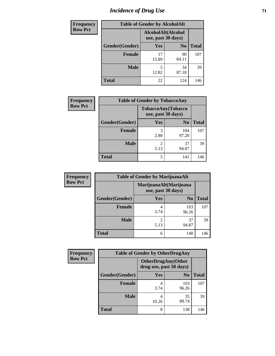## *Incidence of Drug Use* <sup>71</sup>

| <b>Frequency</b> | <b>Table of Gender by AlcoholAlt</b> |                                          |                |              |  |
|------------------|--------------------------------------|------------------------------------------|----------------|--------------|--|
| <b>Row Pct</b>   |                                      | AlcoholAlt(Alcohol<br>use, past 30 days) |                |              |  |
|                  | Gender(Gender)                       | <b>Yes</b>                               | N <sub>0</sub> | <b>Total</b> |  |
|                  | <b>Female</b>                        | 17<br>15.89                              | 90<br>84.11    | 107          |  |
|                  | <b>Male</b>                          | 5<br>12.82                               | 34<br>87.18    | 39           |  |
|                  | <b>Total</b>                         | 22                                       | 124            | 146          |  |

| <b>Frequency</b> | <b>Table of Gender by TobaccoAny</b>     |                        |                |              |  |
|------------------|------------------------------------------|------------------------|----------------|--------------|--|
| <b>Row Pct</b>   | TobaccoAny(Tobacco<br>use, past 30 days) |                        |                |              |  |
|                  | Gender(Gender)                           | <b>Yes</b>             | N <sub>0</sub> | <b>Total</b> |  |
|                  | <b>Female</b>                            | 3<br>2.80              | 104<br>97.20   | 107          |  |
|                  | <b>Male</b>                              | $\mathfrak{D}$<br>5.13 | 37<br>94.87    | 39           |  |
|                  | <b>Total</b>                             | 5                      | 141            | 146          |  |

| <b>Frequency</b> | <b>Table of Gender by MarijuanaAlt</b> |                                              |                |              |
|------------------|----------------------------------------|----------------------------------------------|----------------|--------------|
| <b>Row Pct</b>   |                                        | MarijuanaAlt(Marijuana<br>use, past 30 days) |                |              |
|                  | Gender(Gender)                         | <b>Yes</b>                                   | N <sub>0</sub> | <b>Total</b> |
|                  | <b>Female</b>                          | 4<br>3.74                                    | 103<br>96.26   | 107          |
|                  | <b>Male</b>                            | 2<br>5.13                                    | 37<br>94.87    | 39           |
|                  | <b>Total</b>                           | 6                                            | 140            | 146          |

| <b>Frequency</b> | <b>Table of Gender by OtherDrugAny</b> |                                                      |                |              |
|------------------|----------------------------------------|------------------------------------------------------|----------------|--------------|
| <b>Row Pct</b>   |                                        | <b>OtherDrugAny(Other</b><br>drug use, past 30 days) |                |              |
|                  | Gender(Gender)                         | <b>Yes</b>                                           | N <sub>0</sub> | <b>Total</b> |
|                  | <b>Female</b>                          | 3.74                                                 | 103<br>96.26   | 107          |
|                  | <b>Male</b>                            | 4<br>10.26                                           | 35<br>89.74    | 39           |
|                  | <b>Total</b>                           | 8                                                    | 138            | 146          |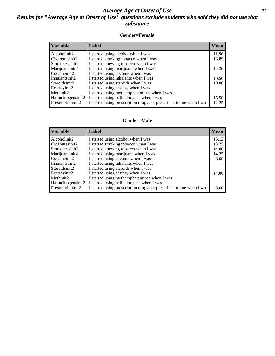### *Average Age at Onset of Use* **72** *Results for "Average Age at Onset of Use" questions exclude students who said they did not use that substance*

### **Gender=Female**

| <b>Variable</b>    | <b>Label</b>                                                       | <b>Mean</b> |
|--------------------|--------------------------------------------------------------------|-------------|
| Alcoholinit2       | I started using alcohol when I was                                 | 11.96       |
| Cigarettesinit2    | I started smoking tobacco when I was                               | 13.89       |
| Smokelessinit2     | I started chewing tobacco when I was                               |             |
| Marijuanainit2     | I started using marijuana when I was                               | 14.30       |
| Cocaineinit2       | I started using cocaine when I was                                 |             |
| Inhalantsinit2     | I started using inhalants when I was                               | 10.50       |
| Steroidsinit2      | I started using steroids when I was                                | 10.00       |
| Ecstasyinit2       | I started using ecstasy when I was                                 |             |
| Methinit2          | I started using methamphetamines when I was                        |             |
| Hallucinogensinit2 | I started using hallucinogens when I was                           | 15.50       |
| Prescription in t2 | I started using prescription drugs not prescribed to me when I was | 12.25       |

### **Gender=Male**

| <b>Variable</b>    | Label                                                              | <b>Mean</b> |
|--------------------|--------------------------------------------------------------------|-------------|
| Alcoholinit2       | I started using alcohol when I was                                 | 13.13       |
| Cigarettesinit2    | I started smoking tobacco when I was                               | 13.25       |
| Smokelessinit2     | I started chewing tobacco when I was                               | 14.00       |
| Marijuanainit2     | I started using marijuana when I was                               | 14.25       |
| Cocaineinit2       | I started using cocaine when I was                                 | 8.00        |
| Inhalantsinit2     | I started using inhalants when I was                               |             |
| Steroidsinit2      | I started using steroids when I was                                |             |
| Ecstasyinit2       | I started using ecstasy when I was                                 | 14.00       |
| Methinit2          | I started using methamphetamines when I was                        |             |
| Hallucinogensinit2 | I started using hallucinogens when I was                           |             |
| Prescription in t2 | I started using prescription drugs not prescribed to me when I was | 8.00        |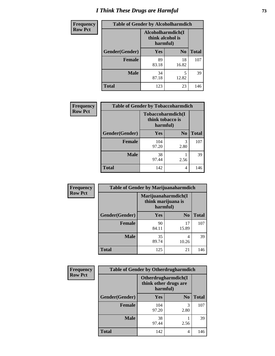# *I Think These Drugs are Harmful* **73**

| Frequency      | <b>Table of Gender by Alcoholharmdich</b> |                                                   |                |              |
|----------------|-------------------------------------------|---------------------------------------------------|----------------|--------------|
| <b>Row Pct</b> |                                           | Alcoholharmdich(I<br>think alcohol is<br>harmful) |                |              |
|                | <b>Gender</b> (Gender)                    | <b>Yes</b>                                        | N <sub>0</sub> | <b>Total</b> |
|                | <b>Female</b>                             | 89<br>83.18                                       | 18<br>16.82    | 107          |
|                | <b>Male</b>                               | 34<br>87.18                                       | 5<br>12.82     | 39           |
|                | <b>Total</b>                              | 123                                               | 23             | 146          |

| Frequency      | <b>Table of Gender by Tobaccoharmdich</b> |              |                                                   |              |
|----------------|-------------------------------------------|--------------|---------------------------------------------------|--------------|
| <b>Row Pct</b> |                                           |              | Tobaccoharmdich(I<br>think tobacco is<br>harmful) |              |
|                | Gender(Gender)                            | Yes          | N <sub>0</sub>                                    | <b>Total</b> |
|                | <b>Female</b>                             | 104<br>97.20 | 3<br>2.80                                         | 107          |
|                | <b>Male</b>                               | 38<br>97.44  | 2.56                                              | 39           |
|                | Total                                     | 142          | 4                                                 | 146          |

| Frequency      | <b>Table of Gender by Marijuanaharmdich</b> |                                                       |                |              |  |
|----------------|---------------------------------------------|-------------------------------------------------------|----------------|--------------|--|
| <b>Row Pct</b> |                                             | Marijuanaharmdich(I<br>think marijuana is<br>harmful) |                |              |  |
|                | Gender(Gender)                              | <b>Yes</b>                                            | N <sub>0</sub> | <b>Total</b> |  |
|                | <b>Female</b>                               | 90<br>84.11                                           | 17<br>15.89    | 107          |  |
|                | <b>Male</b>                                 | 35<br>89.74                                           | 4<br>10.26     | 39           |  |
|                | <b>Total</b>                                | 125                                                   | 21             | 146          |  |

| Frequency      | <b>Table of Gender by Otherdrugharmdich</b> |                                                          |                |              |
|----------------|---------------------------------------------|----------------------------------------------------------|----------------|--------------|
| <b>Row Pct</b> |                                             | Otherdrugharmdich(I<br>think other drugs are<br>harmful) |                |              |
|                | Gender(Gender)                              | <b>Yes</b>                                               | N <sub>0</sub> | <b>Total</b> |
|                | <b>Female</b>                               | 104<br>97.20                                             | 3<br>2.80      | 107          |
|                | <b>Male</b>                                 | 38<br>97.44                                              | 2.56           | 39           |
|                | <b>Total</b>                                | 142                                                      | 4              | 146          |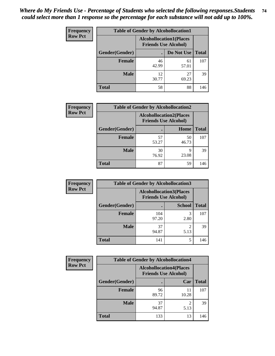| <b>Frequency</b> | <b>Table of Gender by Alcohollocation1</b> |                                                               |             |              |
|------------------|--------------------------------------------|---------------------------------------------------------------|-------------|--------------|
| <b>Row Pct</b>   |                                            | <b>Alcohollocation1(Places</b><br><b>Friends Use Alcohol)</b> |             |              |
|                  | Gender(Gender)                             |                                                               | Do Not Use  | <b>Total</b> |
|                  | <b>Female</b>                              | 46<br>42.99                                                   | 61<br>57.01 | 107          |
|                  | <b>Male</b>                                | 12<br>30.77                                                   | 27<br>69.23 | 39           |
|                  | Total                                      | 58                                                            | 88          | 146          |

| <b>Frequency</b> | <b>Table of Gender by Alcohollocation2</b> |                                |                             |              |
|------------------|--------------------------------------------|--------------------------------|-----------------------------|--------------|
| <b>Row Pct</b>   |                                            | <b>Alcohollocation2(Places</b> | <b>Friends Use Alcohol)</b> |              |
|                  | Gender(Gender)                             |                                | Home                        | <b>Total</b> |
|                  | <b>Female</b>                              | 57<br>53.27                    | 50<br>46.73                 | 107          |
|                  | <b>Male</b>                                | 30<br>76.92                    | Q<br>23.08                  | 39           |
|                  | <b>Total</b>                               | 87                             | 59                          | 146          |

| Frequency      | <b>Table of Gender by Alcohollocation3</b> |              |                                                               |              |
|----------------|--------------------------------------------|--------------|---------------------------------------------------------------|--------------|
| <b>Row Pct</b> |                                            |              | <b>Alcohollocation3(Places</b><br><b>Friends Use Alcohol)</b> |              |
|                | Gender(Gender)                             |              | <b>School</b>                                                 | <b>Total</b> |
|                | <b>Female</b>                              | 104<br>97.20 | 3<br>2.80                                                     | 107          |
|                | <b>Male</b>                                | 37<br>94.87  | 5.13                                                          | 39           |
|                | <b>Total</b>                               | 141          | 5                                                             | 146          |

| Frequency      | <b>Table of Gender by Alcohollocation4</b> |             |                                                               |              |
|----------------|--------------------------------------------|-------------|---------------------------------------------------------------|--------------|
| <b>Row Pct</b> |                                            |             | <b>Alcohollocation4(Places</b><br><b>Friends Use Alcohol)</b> |              |
|                | Gender(Gender)                             |             | Car                                                           | <b>Total</b> |
|                | <b>Female</b>                              | 96<br>89.72 | 11<br>10.28                                                   | 107          |
|                | <b>Male</b>                                | 37<br>94.87 | 2<br>5.13                                                     | 39           |
|                | <b>Total</b>                               | 133         | 13                                                            | 146          |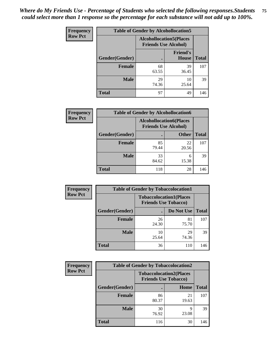| <b>Frequency</b> | <b>Table of Gender by Alcohollocation5</b> |                                                                |                          |              |
|------------------|--------------------------------------------|----------------------------------------------------------------|--------------------------|--------------|
| <b>Row Pct</b>   |                                            | <b>Alcohollocation5</b> (Places<br><b>Friends Use Alcohol)</b> |                          |              |
|                  | Gender(Gender)                             |                                                                | <b>Friend's</b><br>House | <b>Total</b> |
|                  | <b>Female</b>                              | 68<br>63.55                                                    | 39<br>36.45              | 107          |
|                  | <b>Male</b>                                | 29<br>74.36                                                    | 10<br>25.64              | 39           |
|                  | <b>Total</b>                               | 97                                                             | 49                       | 146          |

| Frequency      | <b>Table of Gender by Alcohollocation6</b> |                                                               |              |              |
|----------------|--------------------------------------------|---------------------------------------------------------------|--------------|--------------|
| <b>Row Pct</b> |                                            | <b>Alcohollocation6(Places</b><br><b>Friends Use Alcohol)</b> |              |              |
|                | Gender(Gender)                             |                                                               | <b>Other</b> | <b>Total</b> |
|                | <b>Female</b>                              | 85<br>79.44                                                   | 22<br>20.56  | 107          |
|                | <b>Male</b>                                | 33<br>84.62                                                   | 6<br>15.38   | 39           |
|                | <b>Total</b>                               | 118                                                           | 28           | 146          |

| Frequency      | <b>Table of Gender by Tobaccolocation1</b> |                                                               |             |              |  |
|----------------|--------------------------------------------|---------------------------------------------------------------|-------------|--------------|--|
| <b>Row Pct</b> |                                            | <b>Tobaccolocation1(Places</b><br><b>Friends Use Tobacco)</b> |             |              |  |
|                | Gender(Gender)                             |                                                               | Do Not Use  | <b>Total</b> |  |
|                | Female                                     | 26<br>24.30                                                   | 81<br>75.70 | 107          |  |
|                | <b>Male</b>                                | 10<br>25.64                                                   | 29<br>74.36 | 39           |  |
|                | <b>Total</b>                               | 36                                                            | 110         | 146          |  |

| <b>Frequency</b> |                | <b>Table of Gender by Tobaccolocation2</b>                    |             |              |
|------------------|----------------|---------------------------------------------------------------|-------------|--------------|
| <b>Row Pct</b>   |                | <b>Tobaccolocation2(Places</b><br><b>Friends Use Tobacco)</b> |             |              |
|                  | Gender(Gender) |                                                               | Home        | <b>Total</b> |
|                  | Female         | 86<br>80.37                                                   | 21<br>19.63 | 107          |
|                  | <b>Male</b>    | 30<br>76.92                                                   | Q<br>23.08  | 39           |
|                  | <b>Total</b>   | 116                                                           | 30          | 146          |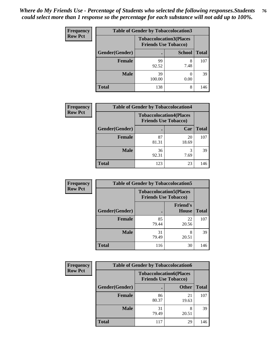| <b>Frequency</b> |                | <b>Table of Gender by Tobaccolocation3</b> |                                                               |              |
|------------------|----------------|--------------------------------------------|---------------------------------------------------------------|--------------|
| <b>Row Pct</b>   |                |                                            | <b>Tobaccolocation3(Places</b><br><b>Friends Use Tobacco)</b> |              |
|                  | Gender(Gender) |                                            | <b>School</b>                                                 | <b>Total</b> |
|                  | <b>Female</b>  | 99<br>92.52                                | 7.48                                                          | 107          |
|                  | <b>Male</b>    | 39<br>100.00                               | 0.00                                                          | 39           |
|                  | <b>Total</b>   | 138                                        | 8                                                             | 146          |

| <b>Frequency</b> | <b>Table of Gender by Tobaccolocation4</b> |                                                               |             |              |
|------------------|--------------------------------------------|---------------------------------------------------------------|-------------|--------------|
| <b>Row Pct</b>   |                                            | <b>Tobaccolocation4(Places</b><br><b>Friends Use Tobacco)</b> |             |              |
|                  | Gender(Gender)                             |                                                               | Car         | <b>Total</b> |
|                  | <b>Female</b>                              | 87<br>81.31                                                   | 20<br>18.69 | 107          |
|                  | <b>Male</b>                                | 36<br>92.31                                                   | 7.69        | 39           |
|                  | <b>Total</b>                               | 123                                                           | 23          | 146          |

| <b>Frequency</b> | <b>Table of Gender by Tobaccolocation5</b> |                             |                                 |              |
|------------------|--------------------------------------------|-----------------------------|---------------------------------|--------------|
| <b>Row Pct</b>   |                                            | <b>Friends Use Tobacco)</b> | <b>Tobaccolocation5(Places</b>  |              |
|                  | Gender(Gender)                             |                             | <b>Friend's</b><br><b>House</b> | <b>Total</b> |
|                  | Female                                     | 85<br>79.44                 | 22<br>20.56                     | 107          |
|                  | <b>Male</b>                                | 31<br>79.49                 | 8<br>20.51                      | 39           |
|                  | <b>Total</b>                               | 116                         | 30                              | 146          |

| <b>Frequency</b> | <b>Table of Gender by Tobaccolocation6</b> |                                                               |              |              |
|------------------|--------------------------------------------|---------------------------------------------------------------|--------------|--------------|
| <b>Row Pct</b>   |                                            | <b>Tobaccolocation6(Places</b><br><b>Friends Use Tobacco)</b> |              |              |
|                  | Gender(Gender)                             |                                                               | <b>Other</b> | <b>Total</b> |
|                  | Female                                     | 86<br>80.37                                                   | 21<br>19.63  | 107          |
|                  | <b>Male</b>                                | 31<br>79.49                                                   | 20.51        | 39           |
|                  | <b>Total</b>                               | 117                                                           | 29           | 146          |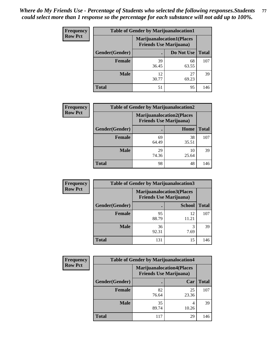| <b>Frequency</b> | <b>Table of Gender by Marijuanalocation1</b> |                                                                    |             |              |  |
|------------------|----------------------------------------------|--------------------------------------------------------------------|-------------|--------------|--|
| <b>Row Pct</b>   |                                              | <b>Marijuanalocation1(Places</b><br><b>Friends Use Marijuana</b> ) |             |              |  |
|                  | Gender(Gender)                               |                                                                    | Do Not Use  | <b>Total</b> |  |
|                  | <b>Female</b>                                | 39<br>36.45                                                        | 68<br>63.55 | 107          |  |
|                  | <b>Male</b>                                  | 12<br>30.77                                                        | 27<br>69.23 | 39           |  |
|                  | <b>Total</b>                                 | 51                                                                 | 95          | 146          |  |

| <b>Frequency</b> | <b>Table of Gender by Marijuanalocation2</b> |                                                                    |             |              |
|------------------|----------------------------------------------|--------------------------------------------------------------------|-------------|--------------|
| <b>Row Pct</b>   |                                              | <b>Marijuanalocation2(Places</b><br><b>Friends Use Marijuana</b> ) |             |              |
|                  | Gender(Gender)                               |                                                                    | Home        | <b>Total</b> |
|                  | <b>Female</b>                                | 69<br>64.49                                                        | 38<br>35.51 | 107          |
|                  | Male                                         | 29<br>74.36                                                        | 10<br>25.64 | 39           |
|                  | <b>Total</b>                                 | 98                                                                 | 48          | 146          |

| Frequency      | <b>Table of Gender by Marijuanalocation3</b> |                                                                    |               |              |
|----------------|----------------------------------------------|--------------------------------------------------------------------|---------------|--------------|
| <b>Row Pct</b> |                                              | <b>Marijuanalocation3(Places</b><br><b>Friends Use Marijuana</b> ) |               |              |
|                | Gender(Gender)                               |                                                                    | <b>School</b> | <b>Total</b> |
|                | Female                                       | 95<br>88.79                                                        | 12<br>11.21   | 107          |
|                | <b>Male</b>                                  | 36<br>92.31                                                        | 3<br>7.69     | 39           |
|                | <b>Total</b>                                 | 131                                                                | 15            | 146          |

| <b>Frequency</b> | <b>Table of Gender by Marijuanalocation4</b> |                                                                    |             |              |
|------------------|----------------------------------------------|--------------------------------------------------------------------|-------------|--------------|
| <b>Row Pct</b>   |                                              | <b>Marijuanalocation4(Places</b><br><b>Friends Use Marijuana</b> ) |             |              |
|                  | Gender(Gender)                               |                                                                    | Car         | <b>Total</b> |
|                  | <b>Female</b>                                | 82<br>76.64                                                        | 25<br>23.36 | 107          |
|                  | <b>Male</b>                                  | 35<br>89.74                                                        | 10.26       | 39           |
|                  | <b>Total</b>                                 | 117                                                                | 29          | 146          |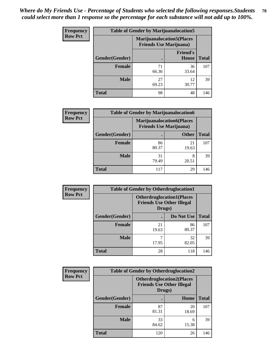| <b>Frequency</b> | <b>Table of Gender by Marijuanalocation5</b> |                                                                     |                          |              |
|------------------|----------------------------------------------|---------------------------------------------------------------------|--------------------------|--------------|
| <b>Row Pct</b>   |                                              | <b>Marijuanalocation5</b> (Places<br><b>Friends Use Marijuana</b> ) |                          |              |
|                  | Gender(Gender)                               |                                                                     | <b>Friend's</b><br>House | <b>Total</b> |
|                  | Female                                       | 71<br>66.36                                                         | 36<br>33.64              | 107          |
|                  | <b>Male</b>                                  | 27<br>69.23                                                         | 12<br>30.77              | 39           |
|                  | <b>Total</b>                                 | 98                                                                  | 48                       | 146          |

| <b>Frequency</b> | <b>Table of Gender by Marijuanalocation6</b> |                                |                                  |              |
|------------------|----------------------------------------------|--------------------------------|----------------------------------|--------------|
| <b>Row Pct</b>   |                                              | <b>Friends Use Marijuana</b> ) | <b>Marijuanalocation6(Places</b> |              |
|                  | <b>Gender</b> (Gender)                       |                                | <b>Other</b>                     | <b>Total</b> |
|                  | <b>Female</b>                                | 86<br>80.37                    | 21<br>19.63                      | 107          |
|                  | <b>Male</b>                                  | 31<br>79.49                    | 8<br>20.51                       | 39           |
|                  | <b>Total</b>                                 | 117                            | 29                               | 146          |

| <b>Frequency</b> | <b>Table of Gender by Otherdruglocation1</b> |                                                                                |             |              |
|------------------|----------------------------------------------|--------------------------------------------------------------------------------|-------------|--------------|
| <b>Row Pct</b>   |                                              | <b>Otherdruglocation1(Places</b><br><b>Friends Use Other Illegal</b><br>Drugs) |             |              |
|                  | Gender(Gender)                               |                                                                                | Do Not Use  | <b>Total</b> |
|                  | Female                                       | 21<br>19.63                                                                    | 86<br>80.37 | 107          |
|                  | <b>Male</b>                                  | 17.95                                                                          | 32<br>82.05 | 39           |
|                  | <b>Total</b>                                 | 28                                                                             | 118         | 146          |

| <b>Frequency</b> | <b>Table of Gender by Otherdruglocation2</b> |                                                                                |             |              |
|------------------|----------------------------------------------|--------------------------------------------------------------------------------|-------------|--------------|
| <b>Row Pct</b>   |                                              | <b>Otherdruglocation2(Places</b><br><b>Friends Use Other Illegal</b><br>Drugs) |             |              |
|                  | Gender(Gender)                               |                                                                                | Home        | <b>Total</b> |
|                  | <b>Female</b>                                | 87<br>81.31                                                                    | 20<br>18.69 | 107          |
|                  | <b>Male</b>                                  | 33<br>84.62                                                                    | 6<br>15.38  | 39           |
|                  | <b>Total</b>                                 | 120                                                                            | 26          | 146          |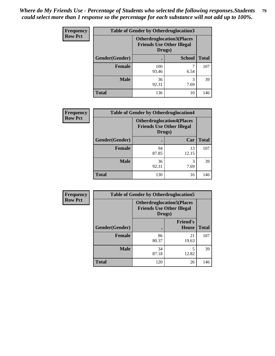| Frequency      | <b>Table of Gender by Otherdruglocation3</b> |                                                                                |               |              |
|----------------|----------------------------------------------|--------------------------------------------------------------------------------|---------------|--------------|
| <b>Row Pct</b> |                                              | <b>Otherdruglocation3(Places</b><br><b>Friends Use Other Illegal</b><br>Drugs) |               |              |
|                | Gender(Gender)                               |                                                                                | <b>School</b> | <b>Total</b> |
|                | <b>Female</b>                                | 100<br>93.46                                                                   | 6.54          | 107          |
|                | <b>Male</b>                                  | 36<br>92.31                                                                    | 3<br>7.69     | 39           |
|                | <b>Total</b>                                 | 136                                                                            | 10            | 146          |

| Frequency      | <b>Table of Gender by Otherdruglocation4</b> |                                                                                |             |              |
|----------------|----------------------------------------------|--------------------------------------------------------------------------------|-------------|--------------|
| <b>Row Pct</b> |                                              | <b>Otherdruglocation4(Places</b><br><b>Friends Use Other Illegal</b><br>Drugs) |             |              |
|                | Gender(Gender)                               |                                                                                | Car         | <b>Total</b> |
|                | <b>Female</b>                                | 94<br>87.85                                                                    | 13<br>12.15 | 107          |
|                | <b>Male</b>                                  | 36<br>92.31                                                                    | 3<br>7.69   | 39           |
|                | <b>Total</b>                                 | 130                                                                            | 16          | 146          |

| <b>Frequency</b> | <b>Table of Gender by Otherdruglocation5</b> |             |                                                                      |              |
|------------------|----------------------------------------------|-------------|----------------------------------------------------------------------|--------------|
| <b>Row Pct</b>   |                                              | Drugs)      | <b>Otherdruglocation5(Places</b><br><b>Friends Use Other Illegal</b> |              |
|                  | Gender(Gender)                               |             | <b>Friend's</b><br>House                                             | <b>Total</b> |
|                  | <b>Female</b>                                | 86<br>80.37 | 21<br>19.63                                                          | 107          |
|                  | <b>Male</b>                                  | 34<br>87.18 | 12.82                                                                | 39           |
|                  | <b>Total</b>                                 | 120         | 26                                                                   | 146          |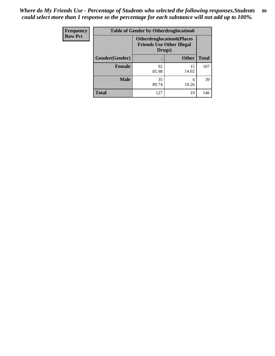| Frequency      | <b>Table of Gender by Otherdruglocation6</b> |                                            |                                  |              |
|----------------|----------------------------------------------|--------------------------------------------|----------------------------------|--------------|
| <b>Row Pct</b> |                                              | <b>Friends Use Other Illegal</b><br>Drugs) | <b>Otherdruglocation6(Places</b> |              |
|                | Gender(Gender)                               |                                            | <b>Other</b>                     | <b>Total</b> |
|                | <b>Female</b>                                | 92<br>85.98                                | 15<br>14.02                      | 107          |
|                | <b>Male</b>                                  | 35<br>89.74                                | 4<br>10.26                       | 39           |
|                | <b>Total</b>                                 | 127                                        | 19                               | 146          |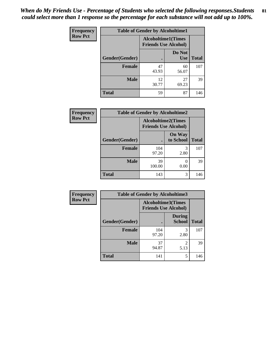| <b>Frequency</b> | <b>Table of Gender by Alcoholtime1</b> |                                                          |                      |              |
|------------------|----------------------------------------|----------------------------------------------------------|----------------------|--------------|
| <b>Row Pct</b>   |                                        | <b>Alcoholtime1(Times</b><br><b>Friends Use Alcohol)</b> |                      |              |
|                  | <b>Gender</b> (Gender)                 |                                                          | Do Not<br><b>Use</b> | <b>Total</b> |
|                  | <b>Female</b>                          | 47<br>43.93                                              | 60<br>56.07          | 107          |
|                  | <b>Male</b>                            | 12<br>30.77                                              | 27<br>69.23          | 39           |
|                  | <b>Total</b>                           | 59                                                       | 87                   | 146          |

| <b>Frequency</b> | <b>Table of Gender by Alcoholtime2</b> |                                                          |                            |              |
|------------------|----------------------------------------|----------------------------------------------------------|----------------------------|--------------|
| <b>Row Pct</b>   |                                        | <b>Alcoholtime2(Times</b><br><b>Friends Use Alcohol)</b> |                            |              |
|                  | Gender(Gender)                         |                                                          | <b>On Way</b><br>to School | <b>Total</b> |
|                  | <b>Female</b>                          | 104<br>97.20                                             | 3<br>2.80                  | 107          |
|                  | <b>Male</b>                            | 39<br>100.00                                             | $\theta$<br>0.00           | 39           |
|                  | Total                                  | 143                                                      | 3                          | 146          |

| Frequency      | <b>Table of Gender by Alcoholtime3</b> |                                                          |                                  |              |
|----------------|----------------------------------------|----------------------------------------------------------|----------------------------------|--------------|
| <b>Row Pct</b> |                                        | <b>Alcoholtime3(Times</b><br><b>Friends Use Alcohol)</b> |                                  |              |
|                | Gender(Gender)                         |                                                          | <b>During</b><br><b>School</b>   | <b>Total</b> |
|                | <b>Female</b>                          | 104<br>97.20                                             | 3<br>2.80                        | 107          |
|                | <b>Male</b>                            | 37<br>94.87                                              | $\overline{\mathcal{L}}$<br>5.13 | 39           |
|                | <b>Total</b>                           | 141                                                      | 5                                | 146          |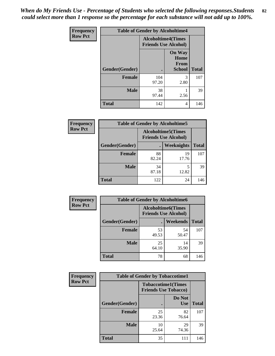*When do My Friends Use - Percentage of Students who selected the following responses.Students could select more than 1 response so the percentage for each substance will not add up to 100%.* **82**

| Frequency      |                | <b>Table of Gender by Alcoholtime4</b>                   |                                                |              |
|----------------|----------------|----------------------------------------------------------|------------------------------------------------|--------------|
| <b>Row Pct</b> |                | <b>Alcoholtime4(Times</b><br><b>Friends Use Alcohol)</b> |                                                |              |
|                | Gender(Gender) |                                                          | <b>On Way</b><br>Home<br><b>From</b><br>School | <b>Total</b> |
|                | <b>Female</b>  | 104<br>97.20                                             | 3<br>2.80                                      | 107          |
|                | <b>Male</b>    | 38<br>97.44                                              | 2.56                                           | 39           |
|                | <b>Total</b>   | 142                                                      | 4                                              | 146          |

| <b>Frequency</b> | <b>Table of Gender by Alcoholtime5</b> |                                                           |             |              |
|------------------|----------------------------------------|-----------------------------------------------------------|-------------|--------------|
| <b>Row Pct</b>   |                                        | <b>Alcoholtime5</b> (Times<br><b>Friends Use Alcohol)</b> |             |              |
|                  | Gender(Gender)                         |                                                           | Weeknights  | <b>Total</b> |
|                  | <b>Female</b>                          | 88<br>82.24                                               | 19<br>17.76 | 107          |
|                  | <b>Male</b>                            | 34<br>87.18                                               | 5<br>12.82  | 39           |
|                  | <b>Total</b>                           | 122                                                       | 24          | 146          |

| <b>Frequency</b> | <b>Table of Gender by Alcoholtime6</b> |                                                           |             |              |
|------------------|----------------------------------------|-----------------------------------------------------------|-------------|--------------|
| <b>Row Pct</b>   |                                        | <b>Alcoholtime6</b> (Times<br><b>Friends Use Alcohol)</b> |             |              |
|                  | Gender(Gender)                         |                                                           | Weekends    | <b>Total</b> |
|                  | Female                                 | 53<br>49.53                                               | 54<br>50.47 | 107          |
|                  | <b>Male</b>                            | 25<br>64.10                                               | 14<br>35.90 | 39           |
|                  | <b>Total</b>                           | 78                                                        | 68          | 146          |

| Frequency      | <b>Table of Gender by Tobaccotime1</b> |                             |                           |              |
|----------------|----------------------------------------|-----------------------------|---------------------------|--------------|
| <b>Row Pct</b> |                                        | <b>Friends Use Tobacco)</b> | <b>Tobaccotime1(Times</b> |              |
|                | Gender(Gender)                         |                             | Do Not<br><b>Use</b>      | <b>Total</b> |
|                | <b>Female</b>                          | 25<br>23.36                 | 82<br>76.64               | 107          |
|                | <b>Male</b>                            | 10<br>25.64                 | 29<br>74.36               | 39           |
|                | <b>Total</b>                           | 35                          | 111                       | 146          |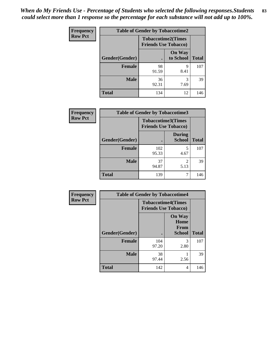| <b>Frequency</b> | <b>Table of Gender by Tobaccotime2</b> |                                                          |                            |              |
|------------------|----------------------------------------|----------------------------------------------------------|----------------------------|--------------|
| <b>Row Pct</b>   |                                        | <b>Tobaccotime2(Times</b><br><b>Friends Use Tobacco)</b> |                            |              |
|                  | Gender(Gender)                         | $\bullet$                                                | <b>On Way</b><br>to School | <b>Total</b> |
|                  | Female                                 | 98<br>91.59                                              | 9<br>8.41                  | 107          |
|                  | <b>Male</b>                            | 36<br>92.31                                              | 3<br>7.69                  | 39           |
|                  | <b>Total</b>                           | 134                                                      | 12                         | 146          |

| <b>Frequency</b> | <b>Table of Gender by Tobaccotime3</b> |                                                          |                                |              |
|------------------|----------------------------------------|----------------------------------------------------------|--------------------------------|--------------|
| <b>Row Pct</b>   |                                        | <b>Tobaccotime3(Times</b><br><b>Friends Use Tobacco)</b> |                                |              |
|                  | Gender(Gender)                         |                                                          | <b>During</b><br><b>School</b> | <b>Total</b> |
|                  | <b>Female</b>                          | 102<br>95.33                                             | 5<br>4.67                      | 107          |
|                  | <b>Male</b>                            | 37<br>94.87                                              | $\mathfrak{D}$<br>5.13         | 39           |
|                  | <b>Total</b>                           | 139                                                      |                                | 146          |

| <b>Frequency</b> | <b>Table of Gender by Tobaccotime4</b> |                                                          |                                         |              |
|------------------|----------------------------------------|----------------------------------------------------------|-----------------------------------------|--------------|
| <b>Row Pct</b>   |                                        | <b>Tobaccotime4(Times</b><br><b>Friends Use Tobacco)</b> |                                         |              |
|                  | Gender(Gender)                         |                                                          | <b>On Way</b><br>Home<br>From<br>School | <b>Total</b> |
|                  | <b>Female</b>                          | 104<br>97.20                                             | 3<br>2.80                               | 107          |
|                  | <b>Male</b>                            | 38<br>97.44                                              | 2.56                                    | 39           |
|                  | <b>Total</b>                           | 142                                                      | 4                                       | 146          |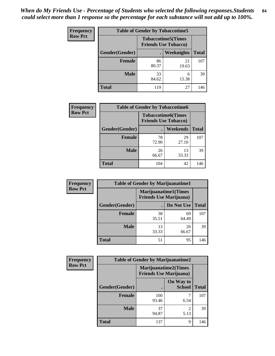| <b>Frequency</b> | <b>Table of Gender by Tobaccotime5</b> |                                                          |             |              |  |
|------------------|----------------------------------------|----------------------------------------------------------|-------------|--------------|--|
| <b>Row Pct</b>   |                                        | <b>Tobaccotime5(Times</b><br><b>Friends Use Tobacco)</b> |             |              |  |
|                  | <b>Gender</b> (Gender)                 |                                                          | Weeknights  | <b>Total</b> |  |
|                  | <b>Female</b>                          | 86<br>80.37                                              | 21<br>19.63 | 107          |  |
|                  | <b>Male</b>                            | 33<br>84.62                                              | 6<br>15.38  | 39           |  |
|                  | <b>Total</b>                           | 119                                                      | 27          | 146          |  |

| Frequency      | <b>Table of Gender by Tobaccotime6</b> |                                                          |                 |              |
|----------------|----------------------------------------|----------------------------------------------------------|-----------------|--------------|
| <b>Row Pct</b> |                                        | <b>Tobaccotime6(Times</b><br><b>Friends Use Tobacco)</b> |                 |              |
|                | Gender(Gender)                         |                                                          | <b>Weekends</b> | <b>Total</b> |
|                | <b>Female</b>                          | 78<br>72.90                                              | 29<br>27.10     | 107          |
|                | <b>Male</b>                            | 26<br>66.67                                              | 13<br>33.33     | 39           |
|                | <b>Total</b>                           | 104                                                      | 42              | 146          |

| Frequency      | <b>Table of Gender by Marijuanatime1</b> |                                |                             |              |
|----------------|------------------------------------------|--------------------------------|-----------------------------|--------------|
| <b>Row Pct</b> |                                          | <b>Friends Use Marijuana</b> ) | <b>Marijuanatime1(Times</b> |              |
|                | Gender(Gender)                           |                                | Do Not Use                  | <b>Total</b> |
|                | <b>Female</b>                            | 38<br>35.51                    | 69<br>64.49                 | 107          |
|                | <b>Male</b>                              | 13<br>33.33                    | 26<br>66.67                 | 39           |
|                | <b>Total</b>                             | 51                             | 95                          | 146          |

| <b>Frequency</b> | <b>Table of Gender by Marijuanatime2</b>                      |              |                            |              |
|------------------|---------------------------------------------------------------|--------------|----------------------------|--------------|
| <b>Row Pct</b>   | <b>Marijuanatime2(Times</b><br><b>Friends Use Marijuana</b> ) |              |                            |              |
|                  | Gender(Gender)                                                |              | On Way to<br><b>School</b> | <b>Total</b> |
|                  | <b>Female</b>                                                 | 100<br>93.46 | 6.54                       | 107          |
|                  | <b>Male</b>                                                   | 37<br>94.87  | $\mathfrak{D}$<br>5.13     | 39           |
|                  | <b>Total</b>                                                  | 137          | 9                          | 146          |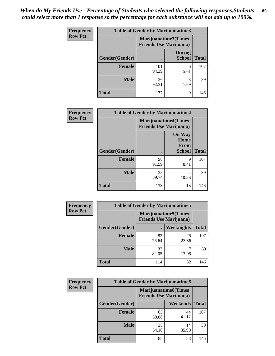*When do My Friends Use - Percentage of Students who selected the following responses.Students could select more than 1 response so the percentage for each substance will not add up to 100%.* **85**

| <b>Frequency</b> | Table of Gender by Marijuanatime3 |                                                        |                                |              |
|------------------|-----------------------------------|--------------------------------------------------------|--------------------------------|--------------|
| <b>Row Pct</b>   |                                   | Marijuanatime3(Times<br><b>Friends Use Marijuana</b> ) |                                |              |
|                  | Gender(Gender)                    |                                                        | <b>During</b><br><b>School</b> | <b>Total</b> |
|                  | <b>Female</b>                     | 101<br>94.39                                           | 6<br>5.61                      | 107          |
|                  | <b>Male</b>                       | 36<br>92.31                                            | 3<br>7.69                      | 39           |
|                  | <b>Total</b>                      | 137                                                    | 9                              | 146          |

| Frequency      | <b>Table of Gender by Marijuanatime4</b> |                                |                                                       |              |
|----------------|------------------------------------------|--------------------------------|-------------------------------------------------------|--------------|
| <b>Row Pct</b> |                                          | <b>Friends Use Marijuana</b> ) | <b>Marijuanatime4</b> (Times                          |              |
|                | Gender(Gender)                           |                                | <b>On Way</b><br>Home<br><b>From</b><br><b>School</b> | <b>Total</b> |
|                | <b>Female</b>                            | 98<br>91.59                    | 9<br>8.41                                             | 107          |
|                | <b>Male</b>                              | 35<br>89.74                    | 4<br>10.26                                            | 39           |
|                | <b>Total</b>                             | 133                            | 13                                                    | 146          |

| <b>Frequency</b> | <b>Table of Gender by Marijuanatime5</b> |             |                                                                |              |  |
|------------------|------------------------------------------|-------------|----------------------------------------------------------------|--------------|--|
| <b>Row Pct</b>   |                                          |             | <b>Marijuanatime5</b> (Times<br><b>Friends Use Marijuana</b> ) |              |  |
|                  | Gender(Gender)                           |             | Weeknights                                                     | <b>Total</b> |  |
|                  | <b>Female</b>                            | 82<br>76.64 | 25<br>23.36                                                    | 107          |  |
|                  | <b>Male</b>                              | 32<br>82.05 | 17.95                                                          | 39           |  |
|                  | <b>Total</b>                             | 114         | 32                                                             | 146          |  |

| Frequency      | <b>Table of Gender by Marijuanatime6</b> |                                                                |                 |              |  |
|----------------|------------------------------------------|----------------------------------------------------------------|-----------------|--------------|--|
| <b>Row Pct</b> |                                          | <b>Marijuanatime6</b> (Times<br><b>Friends Use Marijuana</b> ) |                 |              |  |
|                | <b>Gender</b> (Gender)                   |                                                                | <b>Weekends</b> | <b>Total</b> |  |
|                | <b>Female</b>                            | 63<br>58.88                                                    | 44<br>41.12     | 107          |  |
|                | <b>Male</b>                              | 25<br>64.10                                                    | 14<br>35.90     | 39           |  |
|                | <b>Total</b>                             | 88                                                             | 58              | 146          |  |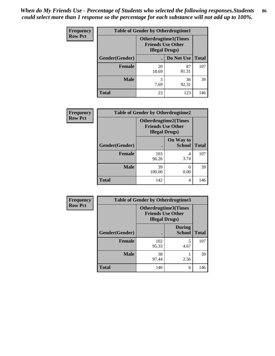| <b>Frequency</b> | <b>Table of Gender by Otherdrugtime1</b> |                                                                                    |             |              |  |
|------------------|------------------------------------------|------------------------------------------------------------------------------------|-------------|--------------|--|
| <b>Row Pct</b>   |                                          | <b>Otherdrugtime1</b> (Times<br><b>Friends Use Other</b><br><b>Illegal Drugs</b> ) |             |              |  |
|                  | Gender(Gender)                           |                                                                                    | Do Not Use  | <b>Total</b> |  |
|                  | <b>Female</b>                            | 20<br>18.69                                                                        | 87<br>81.31 | 107          |  |
|                  | <b>Male</b>                              | 3<br>7.69                                                                          | 36<br>92.31 | 39           |  |
|                  | <b>Total</b>                             | 23                                                                                 | 123         | 146          |  |

| Frequency      | <b>Table of Gender by Otherdrugtime2</b> |                                                                                   |                            |              |
|----------------|------------------------------------------|-----------------------------------------------------------------------------------|----------------------------|--------------|
| <b>Row Pct</b> |                                          | <b>Otherdrugtime2(Times</b><br><b>Friends Use Other</b><br><b>Illegal Drugs</b> ) |                            |              |
|                | Gender(Gender)                           |                                                                                   | On Way to<br><b>School</b> | <b>Total</b> |
|                | <b>Female</b>                            | 103<br>96.26                                                                      | 4<br>3.74                  | 107          |
|                | <b>Male</b>                              | 39<br>100.00                                                                      | 0.00                       | 39           |
|                | <b>Total</b>                             | 142                                                                               | 4                          | 146          |

| <b>Frequency</b> |                | <b>Table of Gender by Otherdrugtime3</b>                                   |                                |              |
|------------------|----------------|----------------------------------------------------------------------------|--------------------------------|--------------|
| <b>Row Pct</b>   |                | Otherdrugtime3(Times<br><b>Friends Use Other</b><br><b>Illegal Drugs</b> ) |                                |              |
|                  | Gender(Gender) |                                                                            | <b>During</b><br><b>School</b> | <b>Total</b> |
|                  | <b>Female</b>  | 102<br>95.33                                                               | 5<br>4.67                      | 107          |
|                  | <b>Male</b>    | 38<br>97.44                                                                | 2.56                           | 39           |
|                  | <b>Total</b>   | 140                                                                        | 6                              | 146          |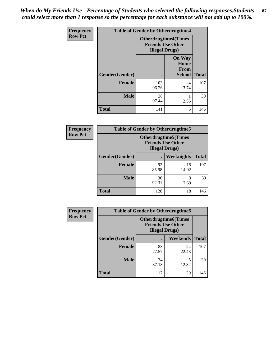*When do My Friends Use - Percentage of Students who selected the following responses.Students could select more than 1 response so the percentage for each substance will not add up to 100%.* **87**

| Frequency      | <b>Table of Gender by Otherdrugtime4</b> |                        |                                                         |              |  |
|----------------|------------------------------------------|------------------------|---------------------------------------------------------|--------------|--|
| <b>Row Pct</b> |                                          | <b>Illegal Drugs</b> ) | <b>Otherdrugtime4(Times</b><br><b>Friends Use Other</b> |              |  |
|                | Gender(Gender)                           |                        | <b>On Way</b><br>Home<br>From<br><b>School</b>          | <b>Total</b> |  |
|                | <b>Female</b>                            | 103<br>96.26           | 4<br>3.74                                               | 107          |  |
|                | <b>Male</b>                              | 38<br>97.44            | 2.56                                                    | 39           |  |
|                | <b>Total</b>                             | 141                    | 5                                                       | 146          |  |

| <b>Frequency</b> |                | <b>Table of Gender by Otherdrugtime5</b>                                           |                   |              |
|------------------|----------------|------------------------------------------------------------------------------------|-------------------|--------------|
| <b>Row Pct</b>   |                | <b>Otherdrugtime5</b> (Times<br><b>Friends Use Other</b><br><b>Illegal Drugs</b> ) |                   |              |
|                  | Gender(Gender) | $\bullet$                                                                          | <b>Weeknights</b> | <b>Total</b> |
|                  | <b>Female</b>  | 92<br>85.98                                                                        | 15<br>14.02       | 107          |
|                  | <b>Male</b>    | 36<br>92.31                                                                        | 3<br>7.69         | 39           |
|                  | <b>Total</b>   | 128                                                                                | 18                | 146          |

| Frequency      | <b>Table of Gender by Otherdrugtime6</b> |                                                                                   |             |              |
|----------------|------------------------------------------|-----------------------------------------------------------------------------------|-------------|--------------|
| <b>Row Pct</b> |                                          | <b>Otherdrugtime6(Times</b><br><b>Friends Use Other</b><br><b>Illegal Drugs</b> ) |             |              |
|                | Gender(Gender)                           |                                                                                   | Weekends    | <b>Total</b> |
|                | <b>Female</b>                            | 83<br>77.57                                                                       | 24<br>22.43 | 107          |
|                | <b>Male</b>                              | 34<br>87.18                                                                       | 5<br>12.82  | 39           |
|                | <b>Total</b>                             | 117                                                                               | 29          | 146          |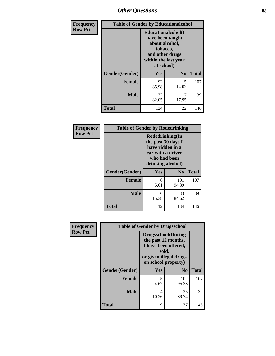## *Other Questions* **88**

| <b>Frequency</b> | <b>Table of Gender by Educationalcohol</b> |                                                                                                                                       |                |              |
|------------------|--------------------------------------------|---------------------------------------------------------------------------------------------------------------------------------------|----------------|--------------|
| <b>Row Pct</b>   |                                            | <b>Educationalcohol</b> (I<br>have been taught<br>about alcohol,<br>tobacco,<br>and other drugs<br>within the last year<br>at school) |                |              |
|                  | Gender(Gender)                             | <b>Yes</b>                                                                                                                            | N <sub>0</sub> | <b>Total</b> |
|                  | <b>Female</b>                              | 92<br>85.98                                                                                                                           | 15<br>14.02    | 107          |
|                  | <b>Male</b>                                | 32<br>82.05                                                                                                                           | 7<br>17.95     | 39           |
|                  | <b>Total</b>                               | 124                                                                                                                                   | 22             | 146          |

| Frequency      | <b>Table of Gender by Rodedrinking</b> |                                                                                                                     |                |              |
|----------------|----------------------------------------|---------------------------------------------------------------------------------------------------------------------|----------------|--------------|
| <b>Row Pct</b> |                                        | Rodedrinking(In<br>the past 30 days I<br>have ridden in a<br>car with a driver<br>who had been<br>drinking alcohol) |                |              |
|                | Gender(Gender)                         | Yes                                                                                                                 | N <sub>0</sub> | <b>Total</b> |
|                | <b>Female</b>                          | 6<br>5.61                                                                                                           | 101<br>94.39   | 107          |
|                | <b>Male</b>                            | 6<br>15.38                                                                                                          | 33<br>84.62    | 39           |
|                | <b>Total</b>                           | 12                                                                                                                  | 134            | 146          |

| Frequency      | <b>Table of Gender by Drugsschool</b> |                                                                                                                                     |                |              |
|----------------|---------------------------------------|-------------------------------------------------------------------------------------------------------------------------------------|----------------|--------------|
| <b>Row Pct</b> |                                       | <b>Drugsschool</b> (During<br>the past 12 months,<br>I have been offered,<br>sold,<br>or given illegal drugs<br>on school property) |                |              |
|                | Gender(Gender)                        | Yes                                                                                                                                 | N <sub>0</sub> | <b>Total</b> |
|                | <b>Female</b>                         | 5<br>4.67                                                                                                                           | 102<br>95.33   | 107          |
|                | <b>Male</b>                           | 4<br>10.26                                                                                                                          | 35<br>89.74    | 39           |
|                | <b>Total</b>                          | 9                                                                                                                                   | 137            | 146          |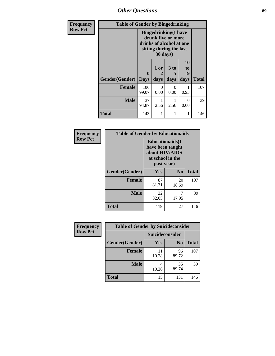*Other Questions* **89**

| <b>Frequency</b> | <b>Table of Gender by Bingedrinking</b> |                                                                                                                       |                              |                              |                               |              |
|------------------|-----------------------------------------|-----------------------------------------------------------------------------------------------------------------------|------------------------------|------------------------------|-------------------------------|--------------|
| <b>Row Pct</b>   |                                         | <b>Bingedrinking</b> (I have<br>drunk five or more<br>drinks of alcohol at one<br>sitting during the last<br>30 days) |                              |                              |                               |              |
|                  | Gender(Gender)                          | $\mathbf 0$<br><b>Days</b>                                                                                            | 1 or<br>$\mathbf{2}$<br>days | 3 <sub>to</sub><br>5<br>days | <b>10</b><br>to<br>19<br>days | <b>Total</b> |
|                  | <b>Female</b>                           | 106<br>99.07                                                                                                          | 0<br>0.00                    | 0<br>0.00                    | 0.93                          | 107          |
|                  | <b>Male</b>                             | 37<br>94.87                                                                                                           | 2.56                         | 2.56                         | 0<br>0.00                     | 39           |
|                  | <b>Total</b>                            | 143                                                                                                                   | 1                            | 1                            |                               | 146          |

| <b>Frequency</b> | <b>Table of Gender by Educationaids</b> |                                                                                                 |                |              |  |
|------------------|-----------------------------------------|-------------------------------------------------------------------------------------------------|----------------|--------------|--|
| <b>Row Pct</b>   |                                         | <b>Educationaids</b> (I<br>have been taught<br>about HIV/AIDS<br>at school in the<br>past year) |                |              |  |
|                  | Gender(Gender)                          | Yes                                                                                             | N <sub>0</sub> | <b>Total</b> |  |
|                  | <b>Female</b>                           | 87<br>81.31                                                                                     | 20<br>18.69    | 107          |  |
|                  | <b>Male</b>                             | 32<br>82.05                                                                                     | 7<br>17.95     | 39           |  |
|                  | <b>Total</b>                            | 119                                                                                             | 27             | 146          |  |

| Frequency      | <b>Table of Gender by Suicideconsider</b> |                 |                |              |  |
|----------------|-------------------------------------------|-----------------|----------------|--------------|--|
| <b>Row Pct</b> |                                           | Suicideconsider |                |              |  |
|                | Gender(Gender)                            | <b>Yes</b>      | N <sub>0</sub> | <b>Total</b> |  |
|                | <b>Female</b>                             | 11<br>10.28     | 96<br>89.72    | 107          |  |
|                | <b>Male</b>                               | 10.26           | 35<br>89.74    | 39           |  |
|                | <b>Total</b>                              | 15              | 131            | 146          |  |